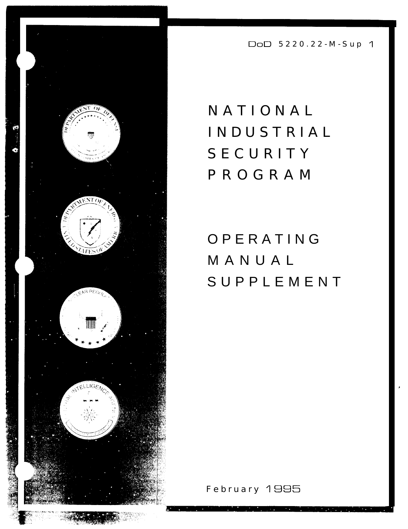

DoD 5220.22-M-Sup <sup>1</sup>

# OPERATIN G **MANUAL SUPPLEMENT**

# NATIONA L **INDUSTRIAL SECURITY** PROGRA M



,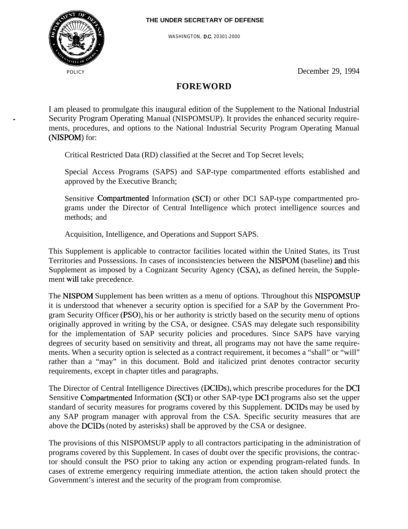.



WASHINGTON, D.C. 20301-2000

December 29, 1994

# **FOREWORD**

I am pleased to promulgate this inaugural edition of the Supplement to the National Industrial Security Program Operating Manual (NISPOMSUP). It provides the enhanced security requirements, procedures, and options to the National Industrial Security Program Operating Manual (NISPOM) for:

Critical Restricted Data (RD) classified at the Secret and Top Secret levels;

Special Access Programs (SAPS) and SAP-type compartmented efforts established and approved by the Executive Branch;

Sensitive Compartmented Information (SCI) or other DCI SAP-type compartmented programs under the Director of Central Intelligence which protect intelligence sources and methods; and

Acquisition, Intelligence, and Operations and Support SAPS.

This Supplement is applicable to contractor facilities located within the United States, its Trust Territories and Possessions. In cases of inconsistencies between the NISPOM (baseline) and this Supplement as imposed by a Cognizant Security Agency (CSA), as defined herein, the Supplement wiH take precedence.

The NISPOM Supplement has been written as a menu of options. Throughout this NISPOMSUP it is understood that whenever a security option is specified for a SAP by the Government Program Security Officer (PSO), his or her authority is strictly based on the security menu of options originally approved in writing by the CSA, or designee. CSAS may delegate such responsibility for the implementation of SAP security policies and procedures. Since SAPS have varying degrees of security based on sensitivity and threat, all programs may not have the same requirements. When a security option is selected as a contract requirement, it becomes a "shall" or "will" rather than a "may" in this document. Bold and italicized print denotes contractor security requirements, except in chapter titles and paragraphs.

The Director of Central Intelligence Directives (DCIDS), which prescribe procedures for the DCI Sensitive Compartmented Information (SCI) or other SAP-type DCI programs also set the upper standard of security measures for programs covered by this Supplement. DCIDS may be used by any SAP program manager with approval from the CSA. Specific security measures that are above the DCIDS (noted by asterisks) shall be approved by the CSA or designee.

The provisions of this NISPOMSUP apply to all contractors participating in the administration of programs covered by this Supplement. In cases of doubt over the specific provisions, the contractor should consult the PSO prior to taking any action or expending program-related funds. In cases of extreme emergency requiring immediate attention, the action taken should protect the Government's interest and the security of the program from compromise.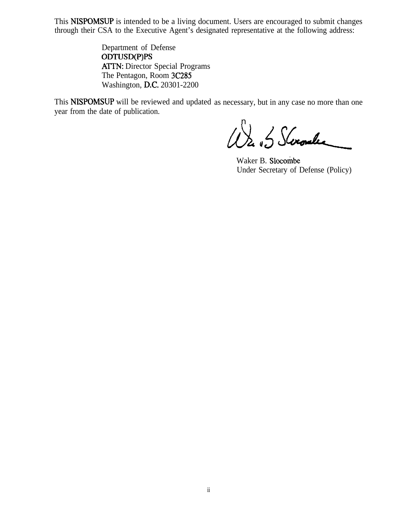This NISPOMSUP is intended to be a living document. Users are encouraged to submit changes through their CSA to the Executive Agent's designated representative at the following address:

This NISPOMSUP will be reviewed and updated as necessary, but in any case no more than one year from the date of publication.

Was Strache

Department of Defense ODTUSD(P)PS **ATTN: Director Special Programs** The Pentagon, Room 3C285 Washington, D.C. 20301-2200

Waker B. Slocombe Under Secretary of Defense (Policy)

ii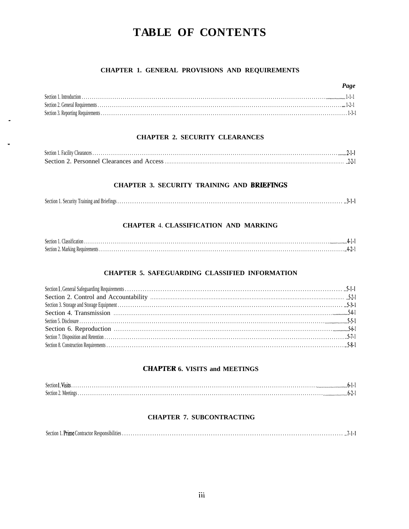# **TABLE OF CONTENTS**

#### CHAPTER 1. GENERAL PROVISIONS AND REQUIREMENTS

| Page |
|------|
|      |
|      |
|      |

#### **CHAPTER 2. SECURITY CLEARANCES**

#### CHAPTER 3. SECURITY TRAINING AND BRIEFINGS

| Section<br><b>Briefing</b><br>™ritv .<br>raining<br>and<br>sec<br>. |
|---------------------------------------------------------------------|
|---------------------------------------------------------------------|

#### **CHAPTER 4. CLASSIFICATION AND MARKING**

#### **CHAPTER 5. SAFEGUARDING CLASSIFIED INFORMATION**

#### **CHAPTER 6. VISITS and MEETINGS**

| Section I.<br>VISILS.      |  |
|----------------------------|--|
| Section 2.<br>. Meetings . |  |

#### **CHAPTER 7. SUBCONTRACTING**

| Section 1. Prime Contractor<br>r Kesponsibilities |  |  |
|---------------------------------------------------|--|--|
|---------------------------------------------------|--|--|

iii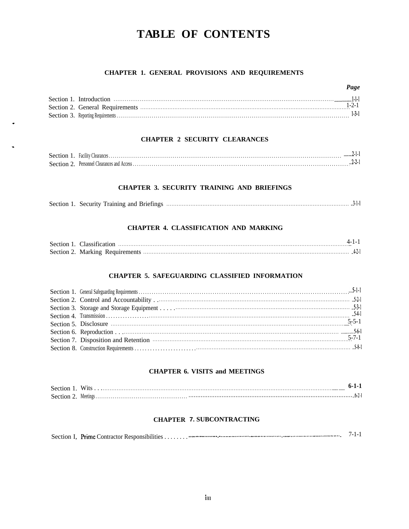# **TABLE OF CONTENTS**

#### **CHAPTER 1. GENERAL PROVISIONS AND REQUIREMENTS**

#### **CHAPTER 2 SECURITY CLEARANCES**

| Section | Facility Clearances                   | ,,,,,,,, |
|---------|---------------------------------------|----------|
| Section | Personnel Clearances and Access.<br>. |          |

#### **CHAPTER 3. SECURITY TRAINING AND BRIEFINGS**

|--|--|--|--|--|--|--|

#### **CHAPTER 4. CLASSIFICATION AND MARKING**

#### **CHAPTER 5. SAFEGUARDING CLASSIFIED INFORMATION**

| Section 5. Disclosure $5-5-1$                                                               |  |
|---------------------------------------------------------------------------------------------|--|
|                                                                                             |  |
| Section 7. Disposition and Retention <b>Example 20</b> Section 7. Disposition and Retention |  |
|                                                                                             |  |

#### **CHAPTER 6. VISITS and MEETINGS**

| Section    |  |  |
|------------|--|--|
| Section 2. |  |  |

#### **CHAPTER 7. SUBCONTRACTING**

in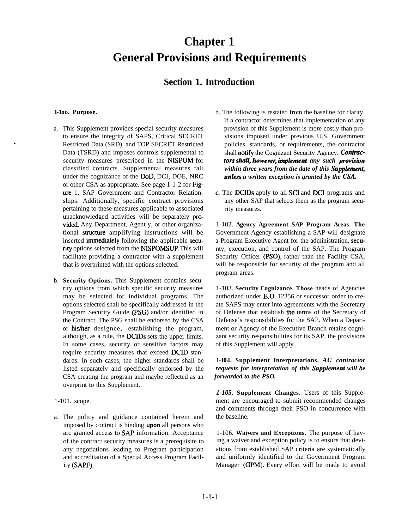#### **1-1oo. Purpose.**

 $\mathcal{A}$ 

# **Chapter 1 General Provisions and Requirements**

# **Section 1. Introduction**

- a. This Supplement provides special security measures to ensure the integrity of SAPS, Critical SECRET Restricted Data (SRD), and TOP SECRET Restricted Data (TSRD) and imposes controls supplemental to security measures prescribed in the NISPOM for classified contracts. Supplemental measures fall under the cognizance of the DoD, DCI, DOE, NRC or other CSA as appropriate. See page 1-1-2 for Figure 1, SAP Government and Contractor Relationships. Additionally, specific contract provisions pertaining to these measures applicable to associated unacknowledged activities will be separately provided. Any Department, Agent y, or other organizational structure amplifying instructions will be inserted immediately following the applicable security options selected from the *NISPOMSUP.* This will facilitate providing a contractor with a supplement that is overprinted with the options selected.
- b. **Security Options.** This Supplement contains security options from which specific security measures may be selected for individual programs. The options selected shall be specifically addressed in the Program Security Guide (PSG) and/or identified in the Contract. The PSG shall be endorsed by the CSA or his/her designee, establishing the program, although, as a rule, the DCIDS sets the upper limits. In some cases, security or sensitive factors may require security measures that exceed DCID standards. In such cases, the higher standards shall be listed separately and specifically endorsed by the CSA creating the program and maybe reflected as an overprint to this Supplement.
- 

1-101. scope.

a. The policy and guidance contained herein and imposed by contract is binding **upon** all persons who arc granted access to SAP information. Acceptance of the contract security measures is a prerequisite to any negotiations leading to Program participation and accreditation of a Special Access Program Facility (SAPF).

- b. The following is restated from the baseline for clarity. If a contractor determines that implementation of any provision of this Supplement is more costly than provisions imposed under previous U.S. Government policies, standards, or requirements, the contractor shall notify the Cognizant Security Agency. **Contrac***tors shall, however, implement any such provision within three years from the date of this Suppkment, unkss a written exception is granted by the CSA.*
- *c.* The DCIDS apply to all SCI and DCI programs and any other SAP that selects them as the program security measures.

1-102. **Agency Agreement SAP Program Areas. The** Government Agency establishing a SAP will designate a Program Executive Agent for the administration, seeunty, execution, and control of the SAP. The Program Security Officer (PSO), rather than the Facility CSA, will be responsible for security of the program and all program areas.

1-103. **Security Cognizance. Those** heads of Agencies authorized under E.O. 12356 or successor order to create SAPS may enter into agreements with the Secretary of Defense that establish the terms of the Secretary of Defense's responsibilities for the SAP. When a Department or Agency of the Executive Branch retains cognizant security responsibilities for its SAP, the provisions of this Supplement will apply.

**1-104. Supplement Interpretations.** *AU contractor requests for interpretation of this Suppkment will be forwarded to the PSO.*

*1-105.* **Supplement Changes.** Users of this Supplement are encouraged to submit recommended changes and comments through their PSO in concurrence with the baseline.

1-106. **Waivers and Exceptions.** The purpose of having a waiver and exception policy is to ensure that deviations from established SAP criteria are systematically and uniformly identified to the Government Program Manager (GPM). Every effort will be made to avoid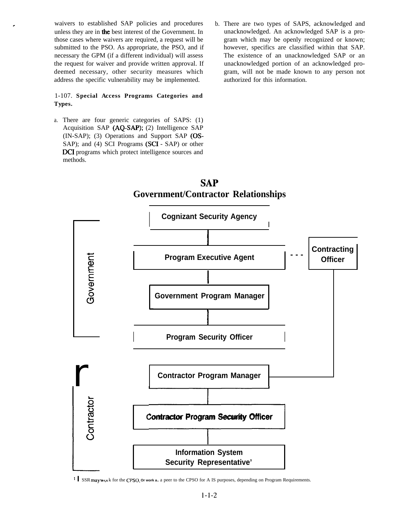waivers to established SAP policies and procedures unless they are in the best interest of the Government. In those cases where waivers are required, a request will be submitted to the PSO. As appropriate, the PSO, and if necessary the GPM (if a different individual) will assess the request for waiver and provide written approval. If deemed necessary, other security measures which address the specific vulnerability may be implemented.

#### 1-107. **Special Access Programs Categories and Types.**

# **SAP Government/Contractor Relationships**

- a. There are four generic categories of SAPS: (1) Acquisition SAP (AQ-SAP); (2) Intelligence SAP (IN-SAP); (3) Operations and Support SAP (OS-SAP); and (4) SCI Programs (SCI - SAP) or other DCI programs which protect intelligence sources and methods.
- b. There are two types of SAPS, acknowledged and unacknowledged. An acknowledged SAP is a program which may be openly recognized or known; however, specifics are classified within that SAP. The existence of an unacknowledged SAP or an unacknowledged portion of an acknowledged program, will not be made known to any person not authorized for this information.



<sup>1</sup> SSR may work for the CPSO, or work a.. a peer to the CPSO for A IS purposes, depending on Program Requirements.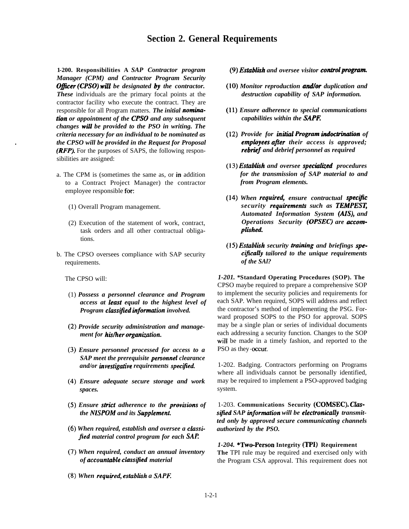### **Section 2. General Requirements**

**1-200. Responsibilities A** *SAP Contractor program Manager (CPM) and Contractor Program Security Officer* (CPSO) will be designated by the contractor. *These* individuals are the primary focal points at the contractor facility who execute the contract. They are responsible for all Program matters. *The initial nomination or appointment of the CPSO and any subsequent changes wifl be provided to the PSO in writing. The criteria necessary for an individual to be nominated as . the CPSO will be provided in the Request for Proposal (RFP).* For the purposes of SAPS, the following responsibilities are assigned:

(5) Ensure strict adherence to the provisions of *the NISPOM and its Suppkment.*

- a. The CPM is (sometimes the same as, or in addition to a Contract Project Manager) the contractor employee responsible for:
	- (1) Overall Program management.
	- (2) Execution of the statement of work, contract, task orders and all other contractual obligations.
- b. The CPSO oversees compliance with SAP security requirements.

The CPSO will:

- (1) *Possess a personnel clearance and Program access at least equal to the highest level of Program classified information involved.*
- *(2) Provide security administration and management for his/her organization.*
- *(3) Ensure personnel processed for access to a SAP meet the prerequisite personnel clearance* and/or *investigative requirements specified.*
- *(4) Ensure adequate secure storage and work spaces.*

*(6) When required, establish and oversee a classified material control program for each SAE*

*(7) When required, conduct an annual inventory of accountabk chrss&ied material*

*(8) When required, establish a SAPF.* 

1-204. **\*Two-Person Integrity** (TPI) Requirement **The** TPI rule may be required and exercised only with the Program CSA approval. This requirement does not

- *(9) Estizb[i.rh and oversee visitor controlprogram*
- *(10) Monitor reproduction andor duplication and destruction capability of SAP information.*
- *(11) Ensure adherence to special communications capabilities within the SAPl?*
- *(12) Provide for initiul Progmm indoctrinatkn of empikyees afler their access is approved; rebrief and debrief personnel as required*
- *(13) Estlzblish and oversee spectied procedures for the transmission of SAP material to and from Program elements.*
- *(14) When required, ensure contractual specific security requkements such as TEMPESZ Automated Information System (AIS), and Operations Security (OPSEC) are accom*plished.
- *(15) Estnblish security tmining and briefings specifialfy tailored to the unique requirements of the SAl?*

*1-201.* **\*Standard Operating Procedures (SOP). The** CPSO maybe required to prepare a comprehensive SOP to implement the security policies and requirements for each SAP. When required, SOPS will address and reflect the contractor's method of implementing the PSG. Forward proposed SOPS to the PSO for approval. SOPS may be a single plan or series of individual documents each addressing a security function. Changes to the SOP will be made in a timely fashion, and reported to the PSO as they occur.

1-202. Badging. Contractors performing on Programs where all individuals cannot be personally identified, may be required to implement a PSO-approved badging system.

1-203. **Communications Security (COMSEC). Cfas**sified SAP information will be electronically transmit*ted only by approved secure communicating channels authorized by the PSO.*

1-2-1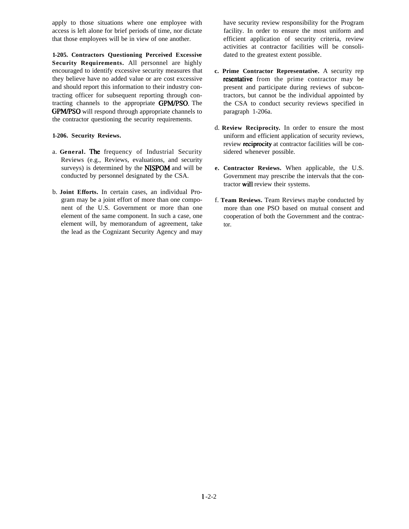apply to those situations where one employee with access is left alone for brief periods of time, nor dictate that those employees will be in view of one another.

**1-205. Contractors Questioning Perceived Excessive Security Requirements.** All personnel are highly encouraged to identify excessive security measures that they believe have no added value or are cost excessive and should report this information to their industry contracting officer for subsequent reporting through contracting channels to the appropriate GPM/PSO. The **GPM/PSO** will respond through appropriate channels to the contractor questioning the security requirements.

- a. **General.** The frequency of Industrial Security Reviews (e.g., Reviews, evaluations, and security surveys) is determined by the **NISPOM** and will be conducted by personnel designated by the CSA.
- b. **Joint Efforts.** In certain cases, an individual Program may be a joint effort of more than one component of the U.S. Government or more than one element of the same component. In such a case, one element will, by memorandum of agreement, take the lead as the Cognizant Security Agency and may

#### **1-206. Security Reviews.**

have security review responsibility for the Program facility. In order to ensure the most uniform and efficient application of security criteria, review activities at contractor facilities will be consolidated to the greatest extent possible.

- **c. Prime Contractor Representative.** A security rep **resentative** from the prime contractor may be present and participate during reviews of subcontractors, but cannot be the individual appointed by the CSA to conduct security reviews specified in paragraph 1-206a.
- d. **Review Reciprocity.** In order to ensure the most uniform and efficient application of security reviews, review **reciprocity** at contractor facilities will be considered whenever possible.
- **e. Contractor Reviews.** When applicable, the U.S. Government may prescribe the intervals that the contractor will review their systems.
- f. **Team Reviews.** Team Reviews maybe conducted by more than one PSO based on mutual consent and cooperation of both the Government and the contractor.

#### $1 - 2 - 2$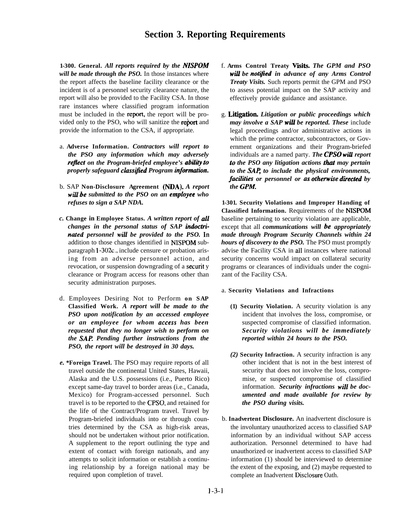# **Section 3. Reporting Requirements**

**1-300. General.** *All reports required by the NISPOM will be made through the PSO.* In those instances where the report affects the baseline facility clearance or the incident is of a personnel security clearance nature, the report will also be provided to the Facility CSA. In those rare instances where classified program information must be included in the report, the report will be provided only to the PSO, who will sanitize the report and provide the information to the CSA, if appropriate.

- a. **Adverse Information.** *Contractors will report to the PSO any information which may adversely reflect on the Program-briefed employee's ability to properly safeguard classified Program information.*
- b. SAP **Non-Disclosure Agreement (NDA).** *A report wiff be submitted to the PSO on an emphyee who refuses to sign a SAP NDA.*
- *c.* **Change in Employee Status.** *A written report of all changes in the personal status of SAP indoctriated personnel wiU be provided to the PSO.* In addition to those changes identified in MSPOM subparagraph 1 -302c., include censure or probation arising from an adverse personnel action, and revocation, or suspension downgrading of a security clearance or Program access for reasons other than security administration purposes.
- d. Employees Desiring Not to Perform **on SAP Classified Work.** *A report will be made to the PSO upon notification by an accessed employee or an employee for whom access has been requested that they no longer wish to perform on the SAP Pending further instructions from the PSO, the report will be destroyed in 30 days.*
- *e.* **\*Foreign Travel.** The PSO may require reports of all travel outside the continental United States, Hawaii, Alaska and the U.S. possessions (i.e., Puerto Rico) except same-day travel to border areas (i.e., Canada, Mexico) for Program-accessed personnel. Such

b. **Inadvertent Disclosure.** An inadvertent disclosure is the involuntary unauthorized access to classified SAP information by an individual without SAP access authorization. Personnel determined to have had unauthorized or inadvertent access to classified SAP information (1) should be interviewed to determine the extent of the exposing, and (2) maybe requested to complete an Inadvertent Disclosure Oath.

travel is to be reported to the CPSO, and retained for the life of the Contract/Program travel. Travel by Program-briefed individuals into or through countries determined by the CSA as high-risk areas, should not be undertaken without prior notification. A supplement to the report outlining the type and extent of contact with foreign nationals, and any attempts to solicit information or establish a continuing relationship by a foreign national may be required upon completion of travel.

- f. **Arms Control Treaty Viiits.** *The GPM and PSO* **will be notified** in advance of any Arms Control *Treaty Visits.* Such reports permit the GPM and PSO to assess potential impact on the SAP activity and effectively provide guidance and assistance.
- g. **LMgation.** *Litigation or public proceedings which may involve a SAP wiU be reported. These* include legal proceedings and/or administrative actions in which the prime contractor, subcontractors, or Government organizations and their Program-briefed individuals are a named party. *The CPSO wiil report* **to** the PSO any litigation actions **that** may pertain *to the SAR to include the physical environments, facilities or personnel or as otherwise directed by the GPM.*

**1-301. Security Violations and Improper Handing of Classified Information.** Requirements of the NISPOM baseline pertaining to security violation are applicable, except that all *communications will be appropriately made through Program Security Channels within 24 hours of discovery to the PSO.* The PSO must promptly advise the Facility CSA in all instances where national security concerns would impact on collateral security programs or clearances of individuals under the cognizant of the Facility CSA.

#### a. **Security Violations and Infractions**

- **(1) Security Violation.** A security violation is any incident that involves the loss, compromise, or suspected compromise of classified information. *Security violations will be immediately reported within 24 hours to the PSO.*
- *(2)* **Security Infraction.** A security infraction is any other incident that is not in the best interest of security that does not involve the loss, compromise, or suspected compromise of classified information. *Security infractions will be documented and made available for review by*

#### *the PSO during visits.*

1-3-1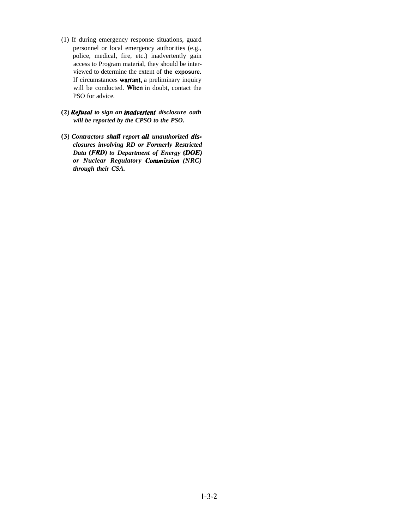- (1) If during emergency response situations, guard personnel or local emergency authorities (e.g., police, medical, fire, etc.) inadvertently gain access to Program material, they should be interviewed to determine the extent of **the exposure.** If circumstances warrant, a preliminary inquiry will be conducted. When in doubt, contact the PSO for advice.
- (2) *Refisal to sign an inadvetient disclosure oath will be reported by the CPSO to the PSO.*
- (3) Contractors shall report all unauthorized dis*closures involving RD or Formerly Restricted Data* (*FRD*) to Department of Energy (DOE) or Nuclear Regulatory **Commission** (NRC) *through their CSA.*

# 1-3-2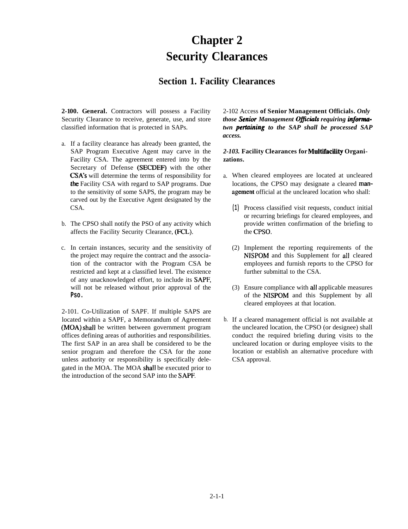# **Chapter 2 Security Clearances**

### **Section 1. Facility Clearances**

**2-100. General.** Contractors will possess a Facility Security Clearance to receive, generate, use, and store classified information that is protected in SAPs.

- a. If a facility clearance has already been granted, the SAP Program Executive Agent may carve in the Facility CSA. The agreement entered into by the Secretary of Defense (SECDEF) with the other CSA'S will determine the terms of responsibility for the Facility CSA with regard to SAP programs. Due to the sensitivity of some SAPS, the program may be carved out by the Executive Agent designated by the CSA.
- b. The CPSO shall notify the PSO of any activity which affects the Facility Security Clearance, (FCL).
- c. In certain instances, security and the sensitivity of the project may require the contract and the association of the contractor with the Program CSA be restricted and kept at a classified level. The existence of any unacknowledged effort, to include its SAPF, will not be released without prior approval of the **Pso.**

2-101. Co-Utilization of SAPF. If multiple SAPS are located within a SAPF, a Memorandum of Agreement (MOA) shall be written between government program offices defining areas of authorities and responsibilities. The first SAP in an area shall be considered to be the senior program and therefore the CSA for the zone unless authority or responsibility is specifically delegated in the MOA. The MOA shall be executed prior to the introduction of the second SAP into the SAPF.

2-102 Access **of Senior Management Officials.** *Only those Senior Management Officials requiring informatwn perkzining to the SAP shall be processed SAP access.*

#### *2-103.* **Facility Clearances for Multifacility Organizations.**

- a. When cleared employees are located at uncleared locations, the CPSO may designate a cleared mangement official at the uncleared location who shall:
	- **(1)** Process classified visit requests, conduct initial or recurring briefings for cleared employees, and provide written confirmation of the briefing to the CPSO.
	- (2) Implement the reporting requirements of the NISPOM and this Supplement for all cleared employees and furnish reports to the CPSO for further submittal to the CSA.
	- (3) Ensure compliance with all applicable measures of the NISPOM and this Supplement by all cleared employees at that location.
- b. If a cleared management official is not available at the uncleared location, the CPSO (or designee) shall conduct the required briefing during visits to the uncleared location or during employee visits to the location or establish an alternative procedure with CSA approval.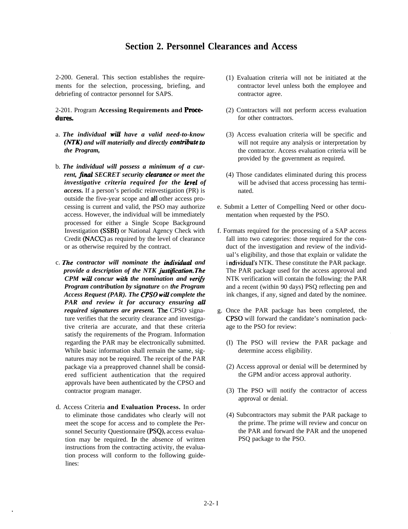### **Section 2. Personnel Clearances and Access**

2-200. General. This section establishes the requirements for the selection, processing, briefing, and debriefing of contractor personnel for SAPS.

#### 2-201. Program **Accessing Requirements and Procedures.**

- a. *The individual wiU have a valid need-to-know (NTK) and will materially and directly contribute to the Program,*
- b. *The individual will possess a minimum of a current, final SECRET security clearance or meet the investigative criteria required for the level of access.* If a person's periodic reinvestigation (PR) is outside the five-year scope and all other access processing is current and valid, the PSO may authorize access. However, the individual will be immediately processed for either a Single Scope Background Investigation (SSBI) or National Agency Check with Credit (NACC) as required by the level of clearance or as otherwise required by the contract.
- c. *The contractor will nominate the individucd and provide a description of the NTK justification. The CPM will concur with the nomination and verifi Program contribution by signature* on *the Program Access Request (PAR). The CPSO wilI complete the PAR and review it for accuracy ensuring aU required signatures are present. The* CPSO signature verifies that the security clearance and investigative criteria are accurate, and that these criteria satisfy the requirements of the Program. Information regarding the PAR may be electronically submitted. While basic information shall remain the same, signatures may not be required. The receipt of the PAR package via a preapproved channel shall be considered sufficient authentication that the required approvals have been authenticated by the CPSO and contractor program manager.

#### d. Access Criteria **and Evaluation Process.** In order

to eliminate those candidates who clearly will not meet the scope for access and to complete the Personnel Security Questionnaire (PSQ), access evaluation may be required. In the absence of written instructions from the contracting activity, the evaluation process will conform to the following guidelines:

- (1) Evaluation criteria will not be initiated at the contractor level unless both the employee and contractor agree.
- (2) Contractors will not perform access evaluation for other contractors.
- (3) Access evaluation criteria will be specific and will not require any analysis or interpretation by the contractor. Access evaluation criteria will be provided by the government as required.
- (4) Those candidates eliminated during this process will be advised that access processing has terminated.
- e. Submit a Letter of Compelling Need or other documentation when requested by the PSO.
- f. Formats required for the processing of a SAP access fall into two categories: those required for the conduct of the investigation and review of the individual's eligibility, and those that explain or validate the i ndividual's NTK. These constitute the PAR package. The PAR package used for the access approval and NTK verification will contain the following: the PAR and a recent (within 90 days) PSQ reflecting pen and ink changes, if any, signed and dated by the nominee.
- g. Once the PAR package has been completed, the CPSO will forward the candidate's nomination package to the PSO for review:
	- (I) The PSO will review the PAR package and determine access eligibility.
	- (2) Access approval or denial will be determined by the GPM and/or access approval authority.
	- (3) The PSO will notify the contractor of access approval or denial.

(4) Subcontractors may submit the PAR package to the prime. The prime will review and concur on the PAR and forward the PAR and the unopened PSQ package to the PSO.

2-2- I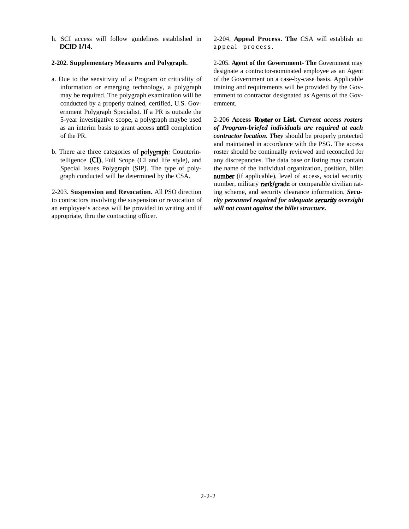h. SCI access will follow guidelines established in DCID 1/14.

#### **2-202. Supplementary Measures and Polygraph.**

- a. Due to the sensitivity of a Program or criticality of information or emerging technology, a polygraph may be required. The polygraph examination will be conducted by a properly trained, certified, U.S. Government Polygraph Specialist. If a PR is outside the 5-year investigative scope, a polygraph maybe used as an interim basis to grant access until completion of the PR.
- b. There are three categories of polygraph: Counterintelligence (CI), Full Scope (CI and life style), and Special Issues Polygraph (SIP). The type of polygraph conducted will be determined by the CSA.

2-203. **Suspension and Revocation.** All PSO direction to contractors invoIving the suspension or revocation of an employee's access will be provided in writing and if appropriate, thru the contracting officer.

2-204. **Appeal Process. The** CSA will establish an appeal process.

2-206 **Access Roster or List.** Current access rosters *of Program-briefed individuals are required at each contractor location. They* should be properly protected and maintained in accordance with the PSG. The access roster should be continually reviewed and reconciled for any discrepancies. The data base or listing may contain the name of the individual organization, position, billet number (if applicable), level of access, social security number, military rank/grade or comparable civilian rating scheme, and security clearance information. *Security personnel required for adequate securdy oversight will not count against the billet structure.*

2-205. **Agent of the Government- The** Government may designate a contractor-nominated employee as an Agent of the Government on a case-by-case basis. Applicable training and requirements will be provided by the Government to contractor designated as Agents of the Government.

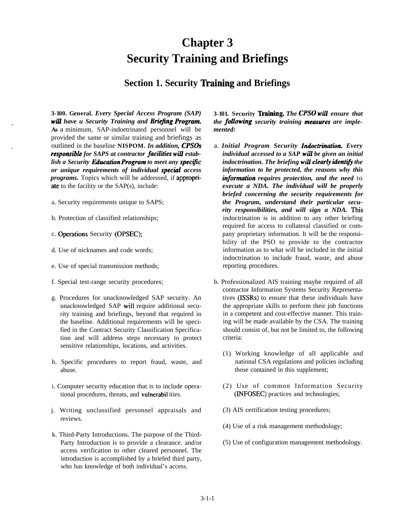# **Chapter 3 Security Training and Briefings**

# **Section 1. Security Training and Briefings**

**3-100. General.** *Every Special Access Program (SAP)* **will** have u Security Training and **Briefing Program. As** a minimum, SAP-indoetrinated personnel will be provided the same or similar training and briefings as outlined in the baseline **NISPOM.** *In addition, CPSOS* **responsible** for SAPS at contractor **facilities** will estab*lish a Security Education Program to meet any specific or unique requirements of individual special access programs.* Topics which will be addressed, if appropriate to the facility or the  $SAP(s)$ , include:

- a. *Initial Program Security Indoctrination. Every individual accessed to a SAP wiU be given an initial indoctrination. The briefing wiU ckarly tientrfi the information to be protected, the reasons why this information requires protection, and the need to execute a NDA. The individual will be properly briefed concerning the security requirements for the Program, understand their particular security responsibilities, and will sign a NDA*. This indoctrination is in addition to any other briefing required for access to collateral classified or company proprietary information. It will be the responsibility of the PSO to provide to the contractor information as to what will be included in the initial indoctrination to include fraud, waste, and abuse reporting procedures.
- b. Professionalized AIS training maybe required of all contractor Information Systems Security Representatives (ISSRS) to ensure that these individuals have the appropriate skills to perform their job functions in a competent and cost-effective manner. This training will be made available by the CSA. The training should consist of, but not be limited to, the following criteria:
	- (1) Working knowledge of all applicable and national CSA regulations and policies including those contained in this supplement;
	- (2) Use of common Information Security (INFOSEC) practices and technologies;
- j. Writing unclassified personnel appraisals and reviews.
- k. Third-Party Introductions. The purpose of the Third-Party Introduction is to provide a clearance. and/or access verification to other cleared personnel. The introduction is accomplished by a briefed third party, who has knowledge of both individual's access.
- a. Security requirements unique to SAPS;
- b. Protection of classified relationships;
- c. Oprations Security (OPSEC);
- d. Use of nicknames and code words;
- e. Use of special transmission methods;
- f. Special test-range security procedures;
- g. Procedures for unacknowledged SAP security. An unacknowledged SAP will require additional security training and briefings, beyond that required in the baseline. Additional requirements will be specified in the Contract Security Classification Specification and will address steps necessary to protect sensitive relationships, locations, and activities.
- h. Specific procedures to report fraud, waste, and abuse.
- i. Computer security education that is to include operational procedures, threats, and vulnerabil ities.

**3-101. Security 'lhiiing.** *The CPSO wifl ensure that the foUowing security training meosures are implemented:*

(3) AIS certification testing procedures;

(4) Use of a risk management methodology;

(5) Use of configuration management methodology.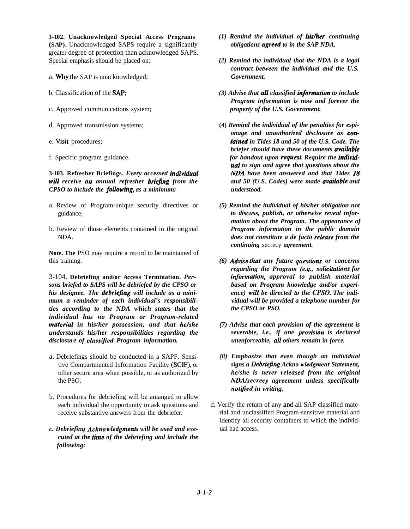**3-102. Unacknowledged Special Access Programs (SAP).** Unacknowledged SAPS require a significantly greater degree of protection than acknowledged SAPS. Special emphasis should be placed on:

- a. Why the SAP is unacknowledged;
- b. Classification of the **SAP**:
- c. Approved communications system;
- d. Approved transmission systems;
- e. Visit procedures;
- f. Specific program guidance.

3-104. **Debriefing and/or Access Termination.** *Persons briefed to SAPS will be debriefed by the CPSO or* his designee. The debriefing will include as a mini*mum a reminder of each individual's responsibilities according to the NDA which states that the individual has no Program or Program-related material in his/her possession, and that he/she understands his/her responsibilities regarding the disclosure of classified* Program information.

#### **3-103. Refresher Briefings.** *Every accessed inalvidud will receive an annual refresher briefing from the CPSO to include the folbwing, as a minimum:*

- a. Review of Program-unique security directives or guidance;
- b. Review of those elements contained in the original NDA.

**Note. The** PSO may require a record to be maintained of this training.

- a. Debriefings should be conducted in a SAPF, Sensitive Compartmented Information Facility (SCIF), or other secure area when possible, or as authorized by the PSO.
- b. Procedures for debriefing will be amanged to allow
- (1) Remind the individual of **his/her** continuing *obligations agreed to in the SAP NDA.*
- *(2) Remind the individual that the NDA is a legal contract between the individual and the U.S. Government.*
- (3) Advise that **all** classified **information** to include *Program information is now and forever the property of the U.S. Government.*
- **(4)** *Remind the individual of the penalties for espionage and unauthorized disclosure as con***tained** in Tides 18 and 50 of the U.S. Code. The *briefer should have these documents available* for handout upon **request**. Require the *individual to sign and agree that questions about the iVDA have been answered and that Tides 18 and 50 (U.S. Codes) were made avaihzble and understood.*
- *(5) Remind the individual of his/her obligation not to discuss, publish, or otherwise reveal information about the Program. The appearance of Program information in the public domain does not constitute a de facto release from the continuing* secrecy *agreement.*
- *(6) Advtie thut any future questwns or concerns regarding the Program (e.g., solicitations for information, approval to publish material based on Program knowledge and/or experience) wiU be directed to the CPSO. The individual will be provided a telephone number for the CPSO or PSO.*
- *(7) Advise that each provision of the agreement is severable, i.e., if one proviswn is declared unenforceable, all others remain in force.*
- *(8) Emphasize that even though an individual signs a Debriejlng Ackno wledgment Statement, he/she is never released from the original NDA/secrecy agreement unless specifically notijied in writing.*
- each individual the opportunity to ask questions and receive substantive answers from the debriefer.
- *c. Debriefing Ackno wledgments will be used and executed at the time of the debriefing and include the following:*
- d. Verify the return of any and all SAP classified material and unclassified Program-sensitive material and identify all security containers to which the individual had access.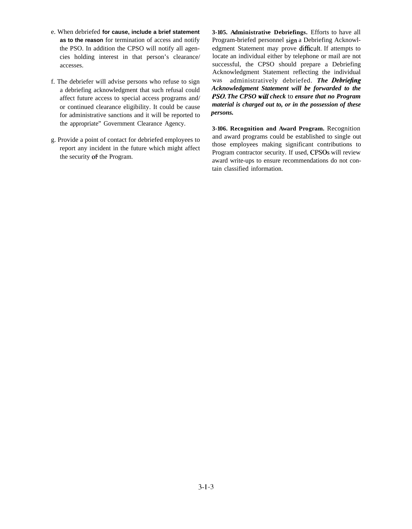- e. When debriefed **for cause, include a brief statement as to the reason** for termination of access and notify the PSO. In addition the CPSO will notify all agencies holding interest in that person's clearance/ accesses.
- f. The debriefer will advise persons who refuse to sign a debriefing acknowledgment that such refusal could affect future access to special access programs and/ or continued clearance eligibility. It could be cause for administrative sanctions and it will be reported to the appropriate" Government Clearance Agency.
- g. Provide a point of contact for debriefed employees to report any incident in the future which might affect the security of the Program.

**3-105. Administrative Debriefings.** Efforts to have all Program-briefed personnel sign a Debriefing Acknowledgment Statement may prove difficult. If attempts to locate an individual either by telephone or mail are not successful, the CPSO should prepare a Debriefing Acknowledgment Statement reflecting the individual was administratively debriefed. *The Debriefing Acknowledgment Statement will be forwarded to the PSO. The CPSO will check* to *ensure that no Program material is charged out to, or in the possession of these persons.*

**3-106. Recognition and Award Program.** Recognition and award programs could be established to single out those employees making significant contributions to Program contractor security. If used, CPSOS will review award write-ups to ensure recommendations do not contain classified information.

#### $3 - 1 - 3$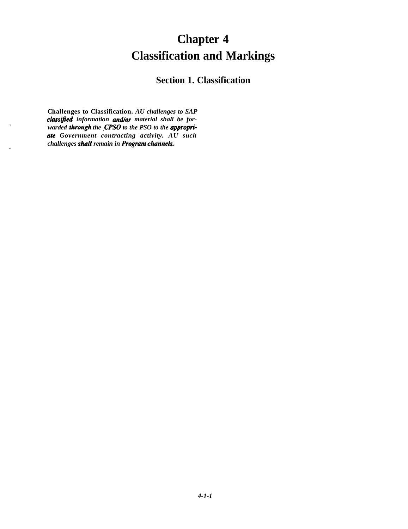# **Chapter 4 Classification and Markings**

**Challenges to Classification.** *AU challenges to SAP dassijied information andor material shall be for*warded **through** the CPSO to the PSO to the appropri-*@? Government contracting activity. AU such challenges shall remain in Program channels.* 

**Section 1. Classification**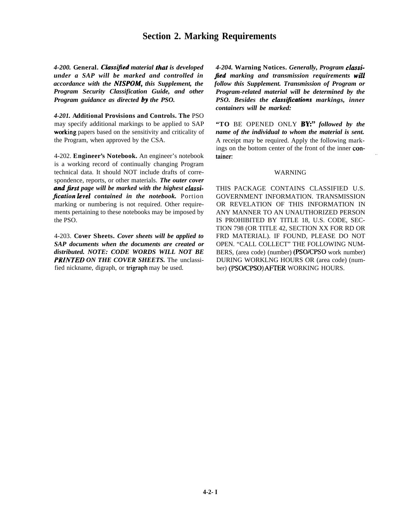### **Section 2. Marking Requirements**

4-200. **General.** Classified material that is developed *under a SAP will be marked and controlled in accordance with the NISPOM, this Supplement, the Program Security Classification Guide, and other Program guidance as directed by the PSO.*

*4-201.* **Additional Provisions and Controls. The** PSO may specify additional markings to be applied to SAP working papers based on the sensitivity and criticality of the Program, when approved by the CSA.

4-202. **Engineer's Notebook.** An engineer's notebook is a working record of continually changing Program technical data. It should NOT include drafts of correspondence, reports, or other materials. *The outer cover and first page will be marked with the highest classijication level contained in the notebook.* Portion marking or numbering is not required. Other requirements pertaining to these notebooks may be imposed by the PSO.

4-203. **Cover Sheets.** *Cover sheets will be applied to SAP documents when the documents are created or distributed. NOTE: CODE WORDS WILL NOT BE PRINTED ON THE COVER SHEETS.* The unclassified nickname, digraph, or trigraph may be used.

*4-204.* **Warning Notices.** *Generally, Program classified marking and transmission requirements will follow this Supplement. Transmission of Program or Program-related material will be determined by the PSO. Besides the cfassijications markings, inner containers will be marked:*

"**TO** BE OPENED ONLY **BY**:" followed by the *name of the individual to whom the material is sent.* A receipt may be required. Apply the following markings on the bottom center of the front of the inner container: etc. and the state of the state of the state of the state of the state of the state of the state of th

#### WARNING

THIS PACKAGE CONTAINS CLASSIFIED U.S. GOVERNMENT INFORMATION. TRANSMISSION OR REVELATION OF THIS INFORMATION IN ANY MANNER TO AN UNAUTHORIZED PERSON IS PROHIBITED BY TITLE 18, U.S. CODE, SEC-TION 798 (OR TITLE 42, SECTION XX FOR RD OR FRD MATERIAL). IF FOUND, PLEASE DO NOT OPEN. "CALL COLLECT" THE FOLLOWING NUM-BERS, (area code) (number) (PSO/CPSO work number) DURING WORKLNG HOURS OR (area code) (number) (PSO/CPSO) AFTER WORKING HOURS.

**4-2- I**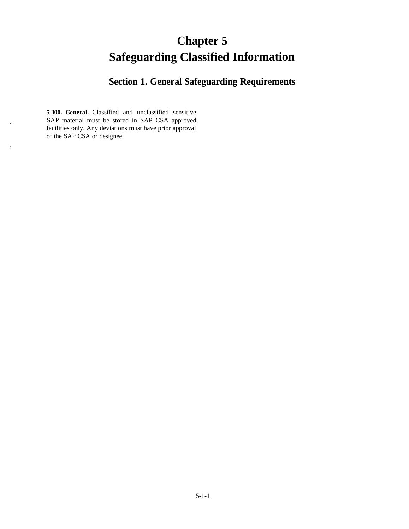# **Chapter 5 Safeguarding Classified Information**

# **Section 1. General Safeguarding Requirements**

**5-100. General.** Classified and unclassified sensitive SAP material must be stored in SAP CSA approved facilities only. Any deviations must have prior approval of the SAP CSA or designee.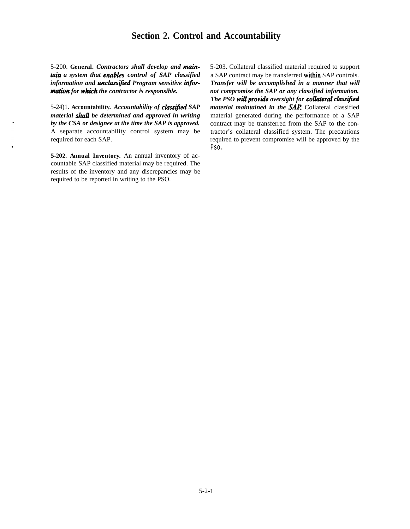# **Section 2. Control and Accountability**

5-200. **General.** *Contractors shall develop and main***tain** a system that **enables** control of SAP classified information and *unclassified Program sensitive infor*mation for which the contractor is responsible.

5-24)1. **Accountability.** *Accountability of ckssijied SAP material shaU be determined and approved in writing by the CSA or designee at the time the SAP is approved.* A separate accountability control system may be required for each SAP.

5-203. Collateral classified material required to support a SAP contract may be transferred within SAP controls. *Transfer will be accomplished in a manner that will not compromise the SAP or any classified information.* The PSO will provide oversight for collateral classified *material maintained in the SAP* Collateral classified material generated during the performance of a SAP contract may be transferred from the SAP to the contractor's collateral classified system. The precautions required to prevent compromise will be approved by the Pso.

**5-202. Annual Inventory.** An annual inventory of accountable SAP classified material may be required. The results of the inventory and any discrepancies may be required to be reported in writing to the PSO.

#### 5-2-1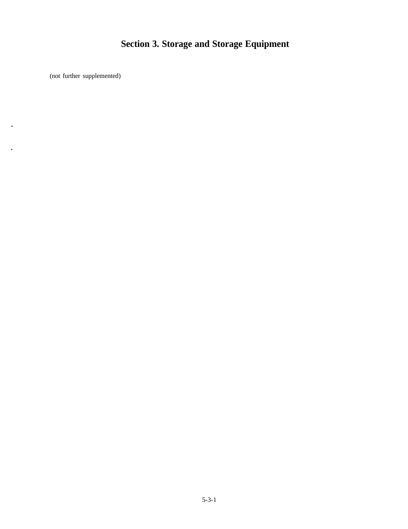# **Section 3. Storage and Storage Equipment**

(not further supplemented)

 $\omega$ 

 $\mathcal{A}$ 

# 5-3-1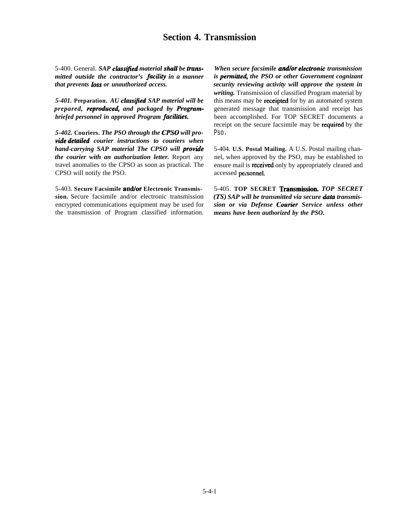### **Section 4. Transmission**

5-400. General. *SAP classified material shall be transmitted outside the contractor's facility in a manner that prevents /0ss or unauthorized access.*

*5-401.* **Preparation.** *AU cfassifwd SAP material will be* prepared, **reproduced**, and packaged by **Program***briefed personnel in approved Program facilities.* 

5-403. Secure Facsimile and/or Electronic Transmis**sion.** Secure facsimile and/or electronic transmission encrypted communications equipment may be used for the transmission of Program classified information.

*5-402.* **Couriers.** *The PSO through the CPSO will provide detaikd courier instructions to couriers when hand-carrying SAP material The CPSO will provtie the courier with an authorization letter.* Report any travel anomalies to the CPSO as soon as practical. The CPSO will notify the PSO.

*When secure facsimile andor ekctronic transmission is permitted, the PSO or other Government cognizant security reviewing activity will approve the system in writing.* Transmission of classified Program material by this means may be **receipted** for by an automated system generated message that transmission and receipt has been accomplished. For TOP SECRET documents a receipt on the secure facsimile may be **required** by the Pso.

5-404. **U.S. Postal Mailing.** A U.S. Postal mailing channel, when approved by the PSO, may be established to ensure mail is **received** only by appropriately cleared and accessed peisonnel.

5-405. **TOP SECRET Transmisdon.** *TOP SECRET* (TS) SAP will be transmitted via secure **data** transmis*sion or via Defense Courier Service unless other means have been authorized by the PSO.*

#### 5-4-1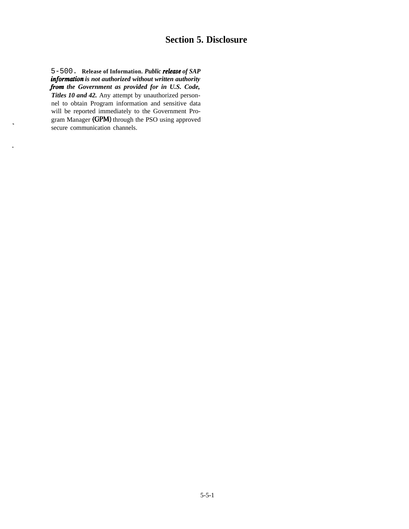# **Section 5. Disclosure**

5-500. **Release of Information.** *Public release of SAP information* is not authorized without written authority from the Government as provided for in U.S. Code, *Titles 10 and 42.* Any attempt by unauthorized personnel to obtain Program information and sensitive data will be reported immediately to the Government Program Manager (GPM) through the PSO using approved secure communication channels.

#### 5-5-1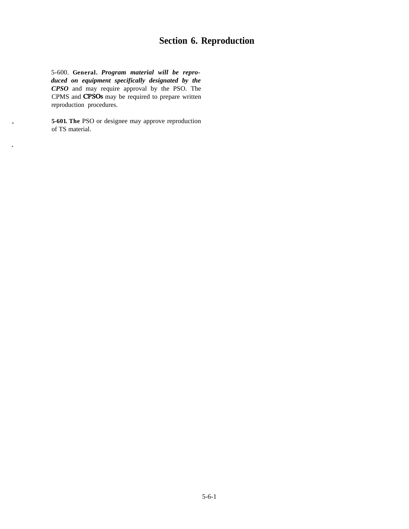# **Section 6. Reproduction**

5-600. **General.** *Program material will be reproduced on equipment specifically designated by the CPSO* and may require approval by the PSO. The CPMS and CPSOS may be required to prepare written reproduction procedures.

**5-601. The** PSO or designee may approve reproduction of TS material.

### 5-6-1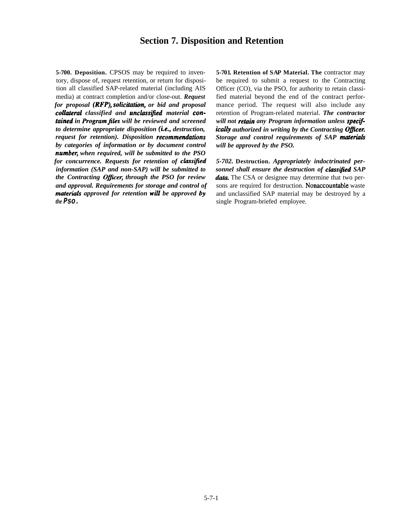# **Section 7. Disposition and Retention**

**5-700. Deposition.** CPSOS may be required to inventory, dispose of, request retention, or return for disposition all classified SAP-related material (including AIS media) at contract completion and/or close-out. *Request for proposal* (RFP), solicitation, or bid and proposal collateral classified and unclassified material con**tained in Program files** will be reviewed and screened *to determine appropriate disposition (Le., destruction, request for retention). Disposition recommenddions by categories of information or by document control numbeq when required, will be submitted to the PSO for concurrence. Requests for retention of classified information (SAP and non-SAP) will be submitted to the Contracting Officer, through the PSO for review and approval. Requirements for storage and control of materials approved for retention will be approved by the* **Pso.**

**5-701. Retention of SAP Material. The** contractor may be required to submit a request to the Contracting Officer (CO), via the PSO, for authority to retain classified material beyond the end of the contract performance period. The request will also include any retention of Program-related material. *The contractor will not retain any Program information unless specifically authorized in writing by the Contracting Ojjicer. Storage and control requirements of SAP materials will be approved by the PSO.*

*5-702.* **Destruction.** *Appropriately indoctrinated personnel shall ensure the destruction of classified SAP data*. The CSA or designee may determine that two persons are required for destruction. Nonaccountable waste and unclassified SAP material may be destroyed by a single Program-briefed employee.

#### 5-7-1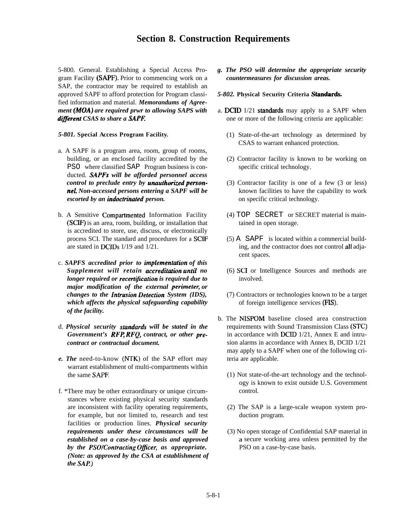### **Section 8. Construction Requirements**

5-800. General. Establishing a Special Access Program Facility (SAPF). Prior to commencing work on a SAP, the contractor may be required to establish an approved SAPF to afford protection for Program classified information and material. *Memorandums of Agreement (MOA) are required prwr to allowing SAPS with diflerent CSAS to share a SAPl?*

#### *5-801.* **Special Access Program Facility.**

- a. A SAPF is a program area, room, group of rooms, building, or an enclosed facility accredited by the PSO where classified SAP Program business is conducted. *SAPFS will be afforded personnel access* control to preclude entry by *unauthorized* person*nel Non-accessed persons entering a SAPF will be escorted by an indoctrinated person.*
- b. A Sensitive Compartmented Information Facility (SCIF) is an area, room, building, or installation that is accredited to store, use, discuss, or electronically process SCI. The standard and procedures for a SCIF are stated in DCIDS 1/19 and 1/21.
- c. *SAPFS* accredited prior to *implementation* of this *Supplement will retain accreditation until no longer required or recertification is required due to major modification of the external perimeter, or changes to the Intrusion Detection System (IDS), which affects the physical safeguarding capability of the facility.*
- d. *Physical security stindards will be stated in the* Government's RFP, RFQ, contract, or other pre*contract or contractual document.*
- *e. The* need-to-know (NTK) of the SAP effort may warrant establishment of multi-compartments within the same SAPF.
- f. \*There may be other extraordinary or unique circumstances where existing physical security standards
- a. DCID  $1/21$  standards may apply to a SAPF when one or more of the following criteria are applicable:
	- (1) State-of-the-art technology as determined by CSAS to warrant enhanced protection.
	- (2) Contractor facility is known to be working on specific critical technology.
	- (3) Contractor facility is one of a few (3 or less) known facilities to have the capability to work on specific critical technology.
	- (4) TOP SECRET or SECRET material is maintained in open storage.
	- (5) A SAPF is located within a commercial building, and the contractor does not control all adjacent spaces.
	- (6) SCI or Intelligence Sources and methods are involved.
	- (7) Contractors or technologies known to be a target of foreign intelligence services (FIS).
- b. The NISPOM baseline closed area construction requirements with Sound Transmission Class (STC) in accordance with DCID 1/21, Annex E and intrusion alarms in accordance with Annex B, DCID 1/21 may apply to a SAPF when one of the following criteria are applicable.
	- (1) Not state-of-the-art technology and the technology is known to exist outside U.S. Government control.

are inconsistent with facility operating requirements, for example, but not limited to, research and test facilities or production lines. *Physical security requirements under these circumstances will be established on a case-by-case basis and approved* by the *PSO/Contracting Officer*, as appropriate. *(Note: as approved by the CSA at establishment of the SAR)*

*g. The PSO will determine the appropriate security countermeasures for discussion areas.*

#### *5-802.* **Physical Security Criteria Standar&**

(2) The SAP is a large-scale weapon system production program.

(3) No open storage of Confidential SAP material in a secure working area unless permitted by the PSO on a case-by-case basis.

5-8-1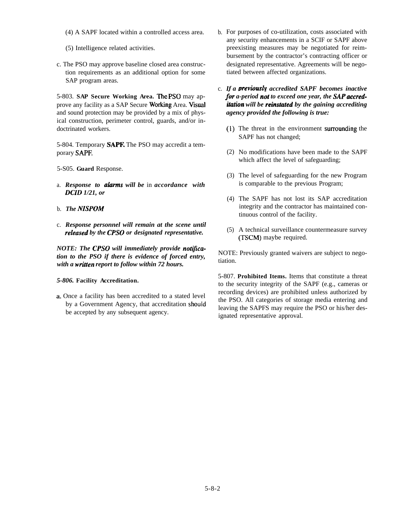- (4) A SAPF located within a controlled access area.
- (5) Intelligence related activities.
- c. The PSO may approve baseline closed area construction requirements as an additional option for some SAP program areas.

5-804. Temporary **SAPF.** The PSO may accredit a temporary SAPF.

5-803. **SAP Secure Working Area. The** PSO may approve any facility as a SAP Secure Working Area. Visual and sound protection may be provided by a mix of physical construction, perimeter control, guards, and/or indoctrinated workers.

*NOTE: The CPSO will immediately provide notification to the PSO if there is evidence of forced entry, with a wrilten report to follow within 72 hours.*

5-S05. **Guard** Response.

- a. *Response to ahums will be* in *accordance with DCID 1/21, or*
- b. *The AVSPOM*
- c. *Response personnel will remain at the scene until rekased by the CPSO or designated representative.*

#### *5-806.* **Facility Accreditation.**

**a** Once a facility has been accredited to a stated level by a Government Agency, that accreditation should be accepted by any subsequent agency.

- b. For purposes of co-utilization, costs associated with any security enhancements in a SCIF or SAPF above preexisting measures may be negotiated for reimbursement by the contractor's contracting officer or designated representative. Agreements will be negotiated between affected organizations.
- c. If a **previously** accredited SAPF becomes inactive for a-period not to exceed one year, the **SAP** accred*itation will be reinstated by the gaining accrediting agency provided the following is true:*
	- (1) The threat in the environment surrounding the SAPF has not changed;
	- (2) No modifications have been made to the SAPF which affect the level of safeguarding;
	- (3) The level of safeguarding for the new Program is comparable to the previous Program;
	- (4) The SAPF has not lost its SAP accreditation integrity and the contractor has maintained continuous control of the facility.
	- A technical surveillance countermeasure survey (5) (TSCM) maybe required.

NOTE: Previously granted waivers are subject to negotiation.

5-807. **Prohibited Items.** Items that constitute a threat to the security integrity of the SAPF (e.g., cameras or recording devices) are prohibited unless authorized by the PSO. All categories of storage media entering and leaving the SAPFS may require the PSO or his/her designated representative approval.

#### 5-8-2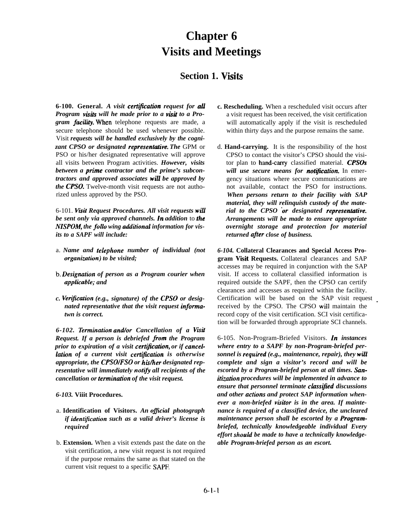# **Chapter 6 Visits and Meetings**

# **Section 1. Visits**

**6-100. General.** *A visit certzfiation request for aU Program visits will he made prior to a visit to a Program facility.* When telephone requests are made, a secure telephone should be used whenever possible. Visit *requests will be handled exclusively by the cognizant CPSO or designated representative. The GPM or* PSO or his/her designated representative will approve all visits between Program activities. *However, visits* between a **prime** contractor and the prime's subcon*tractors and approved associates* will be approved by *the CPSO.* Twelve-month visit requests are not authorized unless approved by the PSO.

6-101. Visit Request Procedures. All visit requests will *be sent only via approved channels. In addition* to *the* MISPOM, the follo wing additional information for vis*its to a SAPF will include:*

- a. **Identification of Visitors.** An official photograph *if iakntijication such as a valid driver's license is required*
- b. **Extension.** When a visit extends past the date on the visit certification, a new visit request is not required if the purpose remains the same as that stated on the current visit request to a specific SAPF.
- a. *Name and tekphone number of individual (not organization*) to be visited;
- *b. Designation of person as a Program courier when app[icab[e; and*
- *c. Verijlcation (e.g., signature) of the CPSO or designated representative that the visit request informatwn is correct.*

*6-102. Terminatwn ana70r Cancellation of a Visit Request. If a person is debriefed from the Program prior to expiration of a visit certification, or if cancellation of a current visit certification is otherwise* appropriate, the CPSO/FSO or his/her designated rep*resentative will immediately notifi all recipients of the cancellation or terrninadon of the visit request.*

*6-103.* **Viiit Procedures.**

- **c. Rescheduling.** When a rescheduled visit occurs after a visit request has been received, the visit certification will automatically apply if the visit is rescheduled within thirty days and the purpose remains the same.
- d. **Hand-carrying.** It is the responsibility of the host CPSO to contact the visitor's CPSO should the visitor plan to hand-cany classified material. *CPSOS* will use secure means for **notification**. In emergency situations where secure communications are not available, contact the PSO for instructions. *When persons return to their facility with SAP material, they will relinquish custody of the material to the CPSO .or designated represenkzti.ve. Arrangements will be made to ensure appropriate overnight storage and protection for material returned ajler close of business.*

*6-104.* **Collateral Clearances and Special Access Pro**gram Visit Requests. Collateral clearances and SAP accesses may be required in conjunction with the SAP visit. If access to collateral classified information is required outside the SAPF, then the CPSO can certify clearances and accesses as required within the facility. Certification will be based on the SAP visit request received by the CPSO. The CPSO will maintain the record copy of the visit certification. SCI visit certification will be forwarded through appropriate SCI channels.

6-105. Non-Program-Briefed Visitors. *Zn instances where entry to a SAPF by non-Program-briefed personnel is requued (e.g., maintenance, repair), they will complete and sign a visitor's record and will be escorted by a Program-briefed person at all times. Sanitizdon procedures will be implemented in advance to ensure that personnel terminate ciassijied discussions* and other actions and protect SAP information whenever a non-briefed visitor is in the area. If mainte*nance is required of a classified device, the uncleared maintenance person shall be escorted by a Programbriefed, technically knowledgeable individual Every effort shouhi be made to have a technically knowledgeable Program-briefed person as an escort.*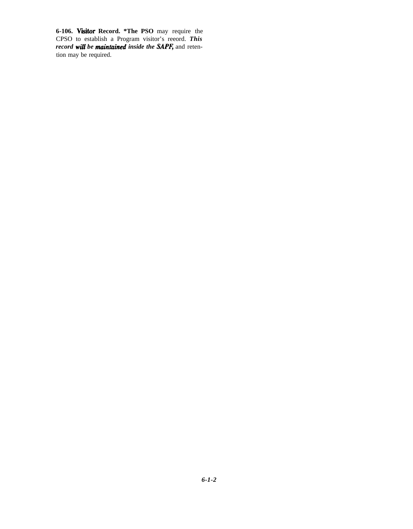6-106. Visitor Record. \*The PSO may require the CPSO to establish a Program visitor's reeord. *This record will be maintained inside the SAPF*, and retention may be required.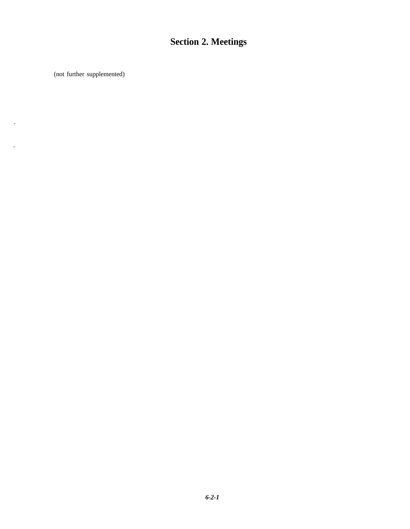# **Section 2. Meetings**

(not further supplemented)

 $\omega_{\rm{eff}}$ 

 $\sim 10^{-10}$ 

*6-2-1*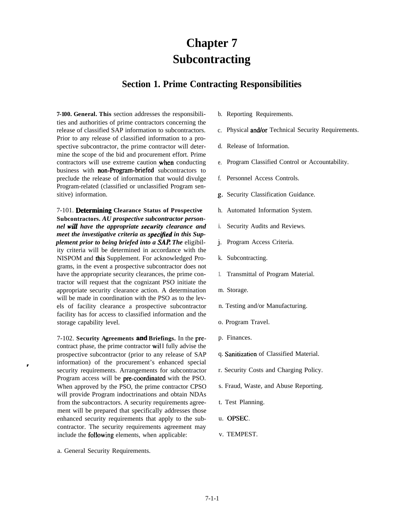# **Chapter 7 Subcontracting**

### **Section 1. Prime Contracting Responsibilities**

**7-100. General. This** section addresses the responsibilities and authorities of prime contractors concerning the release of classified SAP information to subcontractors. Prior to any release of classified information to a prospective subcontractor, the prime contractor will determine the scope of the bid and procurement effort. Prime contractors will use extreme caution when conducting business with non-Program-briefed subcontractors to preclude the release of information that would divulge Program-related (classified or unclassified Program sensitive) information.

7-101. **Determinhg Clearance Status of Prospective Subcontractors.** *AU prospective subcontractor personnel will have the appropriate security clearance and meet the investigative criteria as speczjied in this Supplement prior to being briefed into a SAP The* eligibility criteria will be determined in accordance with the NISPOM and this Supplement. For acknowledged Programs, in the event a prospective subcontractor does not have the appropriate security clearances, the prime contractor will request that the cognizant PSO initiate the appropriate security clearance action. A determination will be made in coordination with the PSO as to the levels of facility clearance a prospective subcontractor facility has for access to classified information and the storage capability level.

?

7-102. **Security Agreements and Briefings.** In the precontract phase, the prime contractor wil I fully advise the prospective subcontractor (prior to any release of SAP information) of the procurement's enhanced special security requirements. Arrangements for subcontractor Program access will be pre-coordinated with the PSO. When approved by the PSO, the prime contractor CPSO will provide Program indoctrinations and obtain NDAs from the subcontractors. A security requirements agreement will be prepared that specifically addresses those enhanced security requirements that apply to the subcontractor. The security requirements agreement may include the following elements, when applicable: t. Test Planning. u. OPSEC. v. TEMPEST.

a. General Security Requirements.

- b. Reporting Requirements.
- c. Physical and/or Technical Security Requirements.
- d. Release of Information.
- e. Program Classified Control or Accountability.
- f. Personnel Access Controls.
- g. Security Classification Guidance.
- h. Automated Information System.
- i. Security Audits and Reviews.
- j. Program Access Criteria.
- k. Subcontracting.
- 1. Transmittal of Program Material.
- m. Storage.
- n. Testing and/or Manufacturing.
- o. Program Travel.
- p. Finances.
- q. Sanitization of Classified Material.
- r. Security Costs and Charging Policy.
- s. Fraud, Waste, and Abuse Reporting.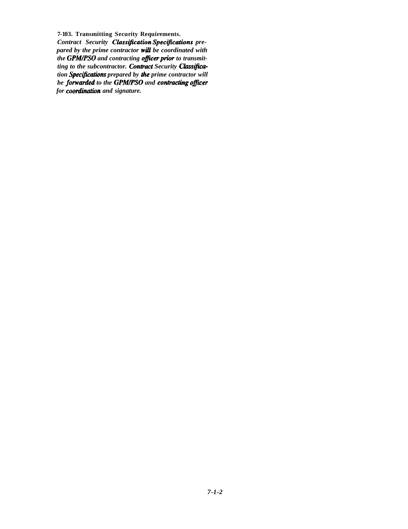### **7-103. Transmitting Security Requirements.**

**Contract Security Classification Specifications** pre*pared by the prime contractor wikl be coordinated with* the GPM/PSO and contracting officer prior to transmitting to the subcontractor. Contract Security Classifica*tion Specifications prepared by the prime contractor will be forwarded to the GPM/PSO and contracting officer for cooniination and signature.*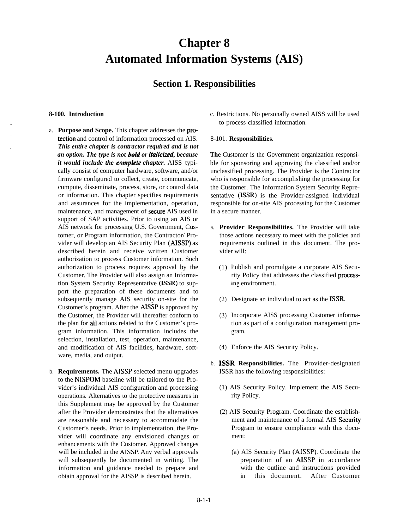#### **8-100. Introduction**

# **Automated Information Systems (AIS) Chapter 8**

### **Section 1. Responsibilities**

- a. **Purpose and Scope.** This chapter addresses the protection and control of information processed on AIS. *This entire chapter is contractor required and is not* an option. The type is not **bold** or *italicized*, because *it would include the conrpkte chapter.* AISS typically consist of computer hardware, software, and/or firmware configured to collect, create, communicate, compute, disseminate, process, store, or control data or information. This chapter specifies requirements and assurances for the implementation, operation, maintenance, and management of **secure** AIS used in support of SAP activities. Prior to using an AIS or AIS network for processing U.S. Government, Customer, or Program information, the Contractor/ Provider will develop an AIS Security Plan (AISSP) as described herein and receive written Customer authorization to process Customer information. Such authorization to process requires approval by the Customer. The Provider will also assign an Information System Security Representative (ISSR) to support the preparation of these documents and to subsequently manage AIS security on-site for the Customer's program. After the AISSP is approved by the Customer, the Provider will thereafter conform to the plan for all actions related to the Customer's program information. This information includes the selection, installation, test, operation, maintenance, and modification of AIS facilities, hardware, software, media, and output.
- b. **Requirements.** The AISSP selected menu upgrades to the NISPOM baseline will be tailored to the Provider's individual AIS configuration and processing operations. Alternatives to the protective measures in

this Supplement may be approved by the Customer after the Provider demonstrates that the alternatives are reasonable and necessary to accommodate the Customer's needs. Prior to implementation, the Provider will coordinate any envisioned changes or enhancements with the Customer. Approved changes will be included in the AISSP. Any verbal approvals will subsequently be documented in writing. The information and guidance needed to prepare and obtain approval for the AISSP is described herein.

c. Restrictions. No personally owned AISS will be used to process classified information.

#### 8-101. **Responsibilities.**

**The** Customer is the Government organization responsible for sponsoring and approving the classified and/or unclassified processing. The Provider is the Contractor who is responsible for accomplishing the processing for the Customer. The Information System Security Representative (ISSR) is the Provider-assigned individual responsible for on-site AIS processing for the Customer in a secure manner.

- a. **Provider Responsibilities.** The Provider will take those actions necessary to meet with the policies and requirements outlined in this document. The provider will:
	- (1) Publish and promulgate a corporate AIS Security Policy that addresses the classified processing environment.
	- (2) Designate an individual to act as the ISSR.
	- (3) Incorporate AISS processing Customer information as part of a configuration management program.
	- (4) Enforce the AIS Security Policy.
- b. **ISSR Responsibilities.** The Provider-designated ISSR has the following responsibilities:
	- (1) AIS Security Policy. Implement the AIS Security Policy.

- (2) AIS Security Program. Coordinate the establishment and maintenance of a formal AIS Security Program to ensure compliance with this document:
	- (a) AIS Security Plan (AISSP). Coordinate the preparation of an AISSP in accordance with the outline and instructions provided in this document. After Customer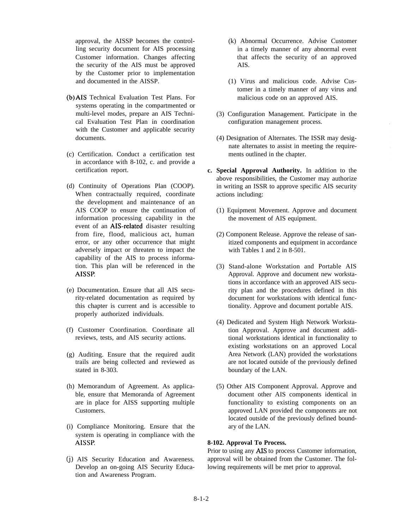approval, the AISSP becomes the controlling security document for AIS processing Customer information. Changes affecting the security of the AIS must be approved by the Customer prior to implementation and documented in the AISSP.

- (b)AIS Technical Evaluation Test Plans. For systems operating in the compartmented or multi-level modes, prepare an AIS Technical Evaluation Test Plan in coordination with the Customer and applicable security documents.
- (c) Certification. Conduct a certification test in accordance with 8-102, c. and provide a certification report.
- (d) Continuity of Operations Plan (COOP). When contractually required, coordinate the development and maintenance of an AIS COOP to ensure the continuation of information processing capability in the event of an AIS-related disaster resulting from fire, flood, malicious act, human error, or any other occurrence that might adversely impact or threaten to impact the capability of the AIS to process information. This plan will be referenced in the AISSP.
- (e) Documentation. Ensure that all AIS security-related documentation as required by this chapter is current and is accessible to properly authorized individuals.
- (f) Customer Coordination. Coordinate all reviews, tests, and AIS security actions.
- (g) Auditing. Ensure that the required audit trails are being collected and reviewed as stated in 8-303.
- (h) Memorandum of Agreement. As applicable, ensure that Memoranda of Agreement

are in place for AISS supporting multiple Customers.

- (i) Compliance Monitoring. Ensure that the system is operating in compliance with the AISSP.
- (j) AIS Security Education and Awareness. Develop an on-going AIS Security Education and Awareness Program.
- (k) Abnormal Occurrence. Advise Customer in a timely manner of any abnormal event that affects the security of an approved AIS.
- (1) Virus and malicious code. Advise Customer in a timely manner of any virus and malicious code on an approved AIS.
- (3) Configuration Management. Participate in the configuration management process.
- (4) Designation of Alternates. The ISSR may designate alternates to assist in meeting the requirements outlined in the chapter.
- **c. Special Approval Authority.** In addition to the above responsibilities, the Customer may authorize in writing an ISSR to approve specific AIS security actions including:
	- (1) Equipment Movement. Approve and document the movement of AIS equipment.
	- (2) Component Release. Approve the release of sanitized components and equipment in accordance with Tables 1 and 2 in 8-501.
	- (3) Stand-alone Workstation and Portable AIS Approval. Approve and document new workstations in accordance with an approved AIS security plan and the procedures defined in this document for workstations with identical functionality. Approve and document portable AIS.
	- (4) Dedicated and System High Network Workstation Approval. Approve and document additional workstations identical in functionality to existing workstations on an approved Local Area Network (LAN) provided the workstations are not located outside of the previously defined boundary of the LAN.
	- (5) Other AIS Component Approval. Approve and document other AIS components identical in

functionality to existing components on an approved LAN provided the components are not located outside of the previously defined boundary of the LAN.

#### **8-102. Approval To Process.**

Prior to using any AIS to process Customer information, approval will be obtained from the Customer. The following requirements will be met prior to approval.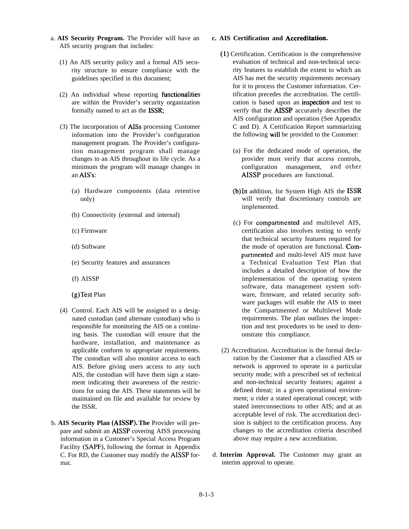- a. **AIS Security Program.** The Provider will have an AIS security program that includes:
	- (1) An AIS security policy and a formal AIS security structure to ensure compliance with the guidelines specified in this document;
	- (2) An individual whose reporting functionalities are within the Provider's security organization formally named to act as the ISSR,
	- (3) The incorporation of AISs processing Customer information into the Provider's configuration management program. The Provider's configuration management program shall manage changes to an AIS throughout its life cycle. As a minimum the program will manage changes in an AIS's:
		- (a) Hardware components (data retentive only)
		- (b) Connectivity (external and internal)
		- (c) Firmware
		- (d) Software
		- (e) Security features and assurances
		- (f) AISSP
		- (g)Test Plan
	- (4) Control. Each AIS will be assigned to a designated custodian (and alternate custodian) who is responsible for monitoring the AIS on a continuing basis. The custodian will ensure that the hardware, installation, and maintenance as applicable conform to appropriate requirements. The custodian will also monitor access to each AIS. Before giving users access to any such AIS, the custodian will have them sign a statement indicating their awareness of the restrictions for using the AIS. These statements will be

#### **c. AIS Certification and Accreditation.**

maintained on file and available for review by the ISSR.

b. **AIS Security Plan (AESP). The** Provider will prepare and submit an AISSP covering AISS processing information in a Customer's Special Access Program Facility (SAPF), following the format in Appendix C. For RD, the Customer may modify the AISSP format.

- (1) Certification. Certification is the comprehensive evaluation of technical and non-technical security features to establish the extent to which an AIS has met the security requirements necessary for it to process the Customer information. Certification precedes the accreditation. The certification is based upon an **inspection** and test to verify that the AISSP accurately describes the AIS configuration and operation (See Appendix C and D). A Certification Report summarizing the following will be provided to the Customer:
	- (a) For the dedicated mode of operation, the provider must verify that access controls, configuration management, and other AISSP procedures are functional.
	- (b)In addition, for System High AIS the LSSR will verify that discretionary controls are implemented.
	- (c) For compartmented and multilevel AIS, certification also involves testing to verify that technical security features required for the mode of operation are functional. Compartmented and multi-level AIS must have a Technical Evaluation Test Plan that includes a detailed description of how the implementation of the operating system software, data management system software, firmware, and related security software packages will enable the AIS to meet the Compartmented or Multilevel Mode requirements. The plan outlines the inspection and test procedures to be used to demonstrate this compliance.
- (2) Accreditation. Accreditation is the formal declaration by the Customer that a classified AIS or network is approved to operate in a particular security mode; with a prescribed set of technical and non-technical security features; against a defined threat; in a given operational environment; u rider a stated operational concept; with

stated interconnections to other AIS; and at an acceptable level of risk. The accreditation decision is subject to the certification process. Any changes to the accreditation criteria described above may require a new accreditation.

d. **Interim Approval.** The Customer may grant an interim approval to operate.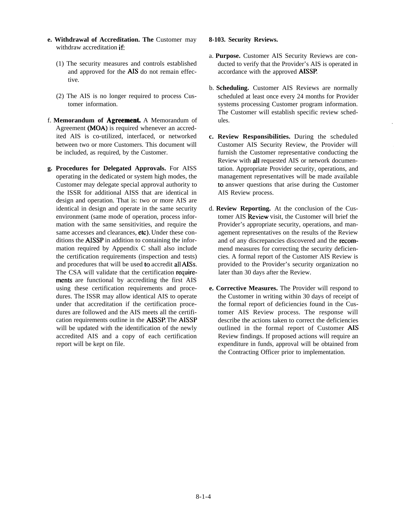- **e. Withdrawal of Accreditation. The** Customer may withdraw accreditation if:
	- (1) The security measures and controls established and approved for the AIS do not remain effective.
	- (2) The AIS is no longer required to process Customer information.
- f. **Memorandum of AgreemenL** A Memorandum of Agreement (MOA) is required whenever an accredited AIS is co-utilized, interfaced, or networked between two or more Customers. This document will be included, as required, by the Customer.
- **g. Procedures for Delegated Approvals.** For AISS operating in the dedicated or system high modes, the Customer may delegate special approval authority to the ISSR for additional AISS that are identical in design and operation. That is: two or more AIS are identical in design and operate in the same security environment (same mode of operation, process information with the same sensitivities, and require the same accesses and clearances, etc). Under these conditions the AISSP in addition to containing the information required by Appendix C shall also include the certification requirements (inspection and tests) and procedures that will be used to accredit all AISS. The CSA will validate that the certification requirements are functional by accrediting the first AIS using these certification requirements and procedures. The ISSR may allow identical AIS to operate under that accreditation if the certification procedures are followed and the AIS meets all the certification requirements outline in the AISSP. The AISSP will be updated with the identification of the newly accredited AIS and a copy of each certification report will be kept on file.

#### **8-103. Security Reviews.**

- a. **Purpose.** Customer AIS Security Reviews are conducted to verify that the Provider's AIS is operated in accordance with the approved AISSP.
- b. **Scheduling.** Customer AIS Reviews are normally scheduled at least once every 24 months for Provider systems processing Customer program information. The Customer will establish specific review schedules.
- **c. Review Responsibilities.** During the scheduled Customer AIS Security Review, the Provider will furnish the Customer representative conducting the Review with all requested AIS or network documentation. Appropriate Provider security, operations, and management representatives will be made available to answer questions that arise during the Customer AIS Review process.
- d. **Review Reporting.** At the conclusion of the Customer AIS Review visit, the Customer will brief the Provider's appropriate security, operations, and management representatives on the results of the Review and of any discrepancies discovered and the recommend measures for correcting the security deficiencies. A formal report of the Customer AIS Review is provided to the Provider's security organization no later than 30 days after the Review.
- **e. Corrective Measures.** The Provider will respond to the Customer in writing within 30 days of receipt of the formal report of deficiencies found in the Customer AIS Review process. The response will describe the actions taken to correct the deficiencies outlined in the formal report of Customer AIS Review findings. If proposed actions will require an expenditure in funds, approval will be obtained from the Contracting Officer prior to implementation.

#### 8-1-4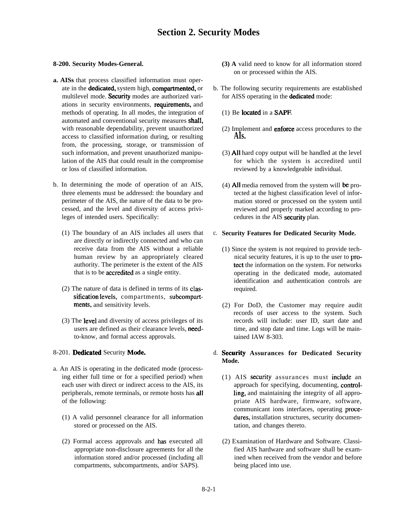### **Section 2. Security Modes**

#### **8-200. Security Modes-General.**

- **a. AISs** that process classified information must operate in the dedicated, system high, compartmented, or multilevel mode. Security modes are authorized variations in security environments, requirements, and methods of operating. In all modes, the integration of automated and conventional security measures shall, with reasonable dependability, prevent unauthorized access to classified information during, or resulting from, the processing, storage, or transmission of such information, and prevent unauthorized manipulation of the AIS that could result in the compromise or loss of classified information.
- b. In determining the mode of operation of an AIS, three elements must be addressed: the boundary and perimeter of the AIS, the nature of the data to be processed, and the level and diversity of access privileges of intended users. Specifically:
	- (1) The boundary of an AIS includes all users that are directly or indirectly connected and who can receive data from the AIS without a reliable human review by an appropriately cleared authority. The perimeter is the extent of the AIS that is to be **accredited** as a single entity.
	- $(2)$  The nature of data is defined in terms of its classification levels, compartments, subcompartments, and sensitivity levels.
	- (3) The level and diversity of access privileges of its users are defined as their clearance levels, needto-know, and formal access approvals.

### 8-201. Dedicated Security Mode.

- **(3) A** valid need to know for all information stored on or processed within the AIS.
- b. The following security requirements are established for AISS operating in the **dedicated** mode:
	- (1) Be loeatcd in a SAPF.
	- (2) Implement and **enforce** access procedures to the **AIs.**
	- (3) All hard copy output will be handled at the level for which the system is accredited until reviewed by a knowledgeable individual.
	- (4) All media removed from the system will be protected at the highest classification level of information stored or processed on the system until reviewed and properly marked according to procedures in the AIS security plan.

(1) AIS seeurity assurances must inciude an approach for specifying, documenting, controlling, and maintaining the integrity of all appro-

a. An AIS is operating in the dedicated mode (processing either full time or for a specified period) when each user with direct or indirect access to the AIS, its peripherals, remote terminals, or remote hosts has all

#### of the following:

- (1) A valid personnel clearance for all information stored or processed on the AIS.
- (2) Formal access approvals and has executed all appropriate non-disclosure agreements for all the information stored and/or processed (including all compartments, subcompartments, and/or SAPS).

#### c. **Security Features for Dedicated Security Mode.**

### d. **Seeurity Assurances for Dedicated Security Mode.**

- (1) Since the system is not required to provide technical security features, it is up to the user to proteet the information on the system. For networks operating in the dedicated mode, automated identification and authentication controls are required.
- (2) For DoD, the Customer may require audit records of user access to the system. Such records will include: user ID, start date and time, and stop date and time. Logs will be maintained IAW 8-303.

priate AIS hardware, firmware, software, communicant ions interfaces, operating procedures, installation structures, security documentation, and changes thereto.

(2) Examination of Hardware and Software. Classified AIS hardware and software shall be examined when received from the vendor and before being placed into use.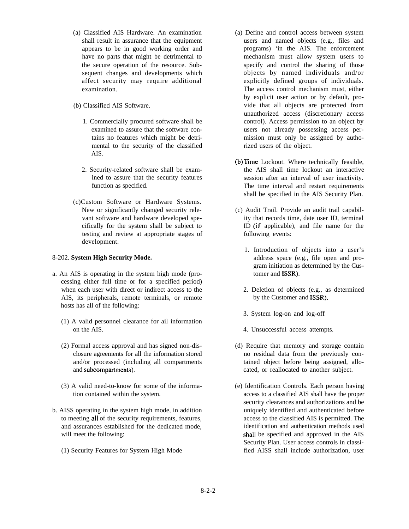- (a) Classified AIS Hardware. An examination shall result in assurance that the equipment appears to be in good working order and have no parts that might be detrimental to the secure operation of the resource. Subsequent changes and developments which affect security may require additional examination.
- (b) Classified AIS Software.
	- 1. Commercially procured software shall be examined to assure that the software contains no features which might be detrimental to the security of the classified AIS.
	- 2. Security-related software shall be examined to assure that the security features function as specified.
- (c)Custom Software or Hardware Systems. New or significantly changed security relevant software and hardware developed specifically for the system shall be subject to testing and review at appropriate stages of development.

b. AISS operating in the system high mode, in addition to meeting all of the security requirements, features, and assurances established for the dedicated mode, will meet the following:

### 8-202. **System High Security Mode.**

- a. An AIS is operating in the system high mode (processing either full time or for a specified period) when each user with direct or indirect access to the AIS, its peripherals, remote terminals, or remote hosts has all of the following:
	- (1) A valid personnel clearance for ail information on the AIS.
	- (2) Formal access approval and has signed non-disclosure agreements for all the information stored and/or processed (including all compartments and subcompartments).
	- (3) A valid need-to-know for some of the information contained within the system.

(1) Security Features for System High Mode

- (a) Define and control access between system users and named objects (e.g., files and programs) 'in the AIS. The enforcement mechanism must allow system users to specify and control the sharing of those objects by named individuals and/or explicitly defined groups of individuals. The access control mechanism must, either by explicit user action or by default, provide that all objects are protected from unauthorized access (discretionary access control). Access permission to an object by users not already possessing access permission must only be assigned by authorized users of the object.
- (b)Time Lockout. Where technically feasible, the AIS shall time lockout an interactive session after an interval of user inactivity. The time interval and restart requirements shall be specified in the AIS Security Plan.
- (c) Audit Trail. Provide an audit trail capability that records time, date user ID, terminal ID (if applicable), and file name for the following events:
	- 1. Introduction of objects into a user's address space (e.g., file open and program initiation as determined by the Customer and ISSR).
	- 2. Deletion of objects (e.g., as determined by the Customer and ISSR).
	- 3. System log-on and log-off
	- 4. Unsuccessful access attempts.
- (d) Require that memory and storage contain no residual data from the previously contained object before being assigned, allocated, or reallocated to another subject.
- (e) Identification Controls. Each person having access to a classified AIS shall have the proper

security clearances and authorizations and be uniquely identified and authenticated before access to the classified AIS is permitted. The identification and authentication methods used shall be specified and approved in the AIS Security Plan. User access controls in classified AISS shall include authorization, user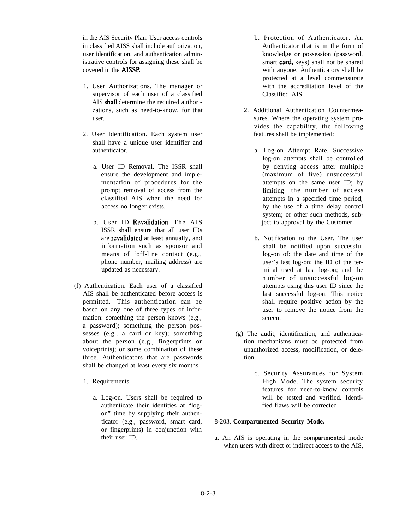in the AIS Security Plan. User access controls in classified AISS shall include authorization, user identification, and authentication administrative controls for assigning these shall be covered in the AISSP.

- 1. User Authorizations. The manager or supervisor of each user of a classified AIS shall determine the required authorizations, such as need-to-know, for that user.
- 2. User Identification. Each system user shall have a unique user identifier and authenticator.
	- a. User ID Removal. The ISSR shall ensure the development and implementation of procedures for the prompt removal of access from the classified AIS when the need for access no longer exists.
	- b. User ID Revalidation. The AIS ISSR shall ensure that all user IDs are revalidated at least annually, and information such as sponsor and means of 'off-line contact (e.g., phone number, mailing address) are updated as necessary.
- (f) Authentication. Each user of a classified AIS shall be authenticated before access is permitted. This authentication can be based on any one of three types of information: something the person knows (e.g., a password); something the person possesses (e.g., a card or key); something about the person (e.g., fingerprints or voiceprints); or some combination of these three. Authenticators that are passwords shall be changed at least every six months.
	- 1. Requirements.
		- a. Log-on. Users shall be required to

authenticate their identities at "logon" time by supplying their authenticator (e.g., password, smart card, or fingerprints) in conjunction with their user ID.

a. An AIS is operating in the compartmented mode when users with direct or indirect access to the AIS,

- b. Protection of Authenticator. An Authenticator that is in the form of knowledge or possession (password, smart **card**, keys) shall not be shared with anyone. Authenticators shall be protected at a level commensurate with the accreditation level of the Classified AIS.
- 2. Additional Authentication Countermeasures. Where the operating system provides the capability, the following features shall be implemented:
	- a. Log-on Attempt Rate. Successive log-on attempts shall be controlled by denying access after multiple (maximum of five) unsuccessful attempts on the same user ID; by limiting the number of access attempts in a specified time period; by the use of a time delay control system; or other such methods, subject to approval by the Customer.
	- b. Notification to the User. The user shall be notified upon successful log-on of: the date and time of the user's last log-on; the ID of the terminal used at last log-on; and the number of unsuccessful log-on attempts using this user ID since the last successful log-on. This notice shall require positive action by the user to remove the notice from the screen.
- (g) The audit, identification, and authentication mechanisms must be protected from unauthorized access, modification, or deletion.
	- c. Security Assurances for System High Mode. The system security features for need-to-know controls will be tested and verified. Identi-

fied flaws will be corrected.

### 8-203. **Compartmented Security Mode.**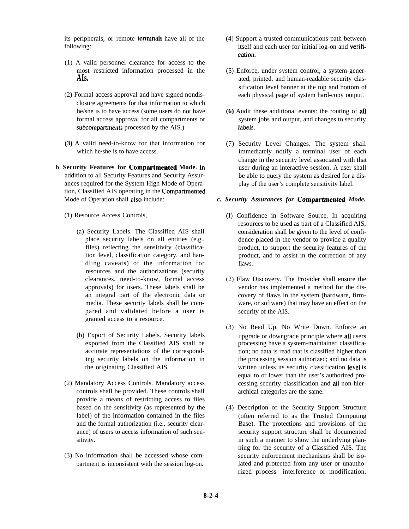its peripherals, or remote **terminals** have all of the following:

- (1) A valid personnel clearance for access to the most restricted information processed in the **AIs.**
- (2) Formal access approval and have signed nondisclosure agreements for that information to which he/she is to have access (some users do not have formal access approval for all compartments or subcompartments processed by the AIS.)
- **(3)** A valid need-to-know for that information for which he/she is to have access.
- b. **Security Features for Compartmented Mode.** In addition to all Security Features and Security Assurances required for the System High Mode of Operation, Classified AIS operating in the Compartmented Mode of Operation shall also include:
	- (1) Resource Access Controls,
		- (a) Security Labels. The Classified AIS shall place security labels on all entities (e.g., files) reflecting the sensitivity (classification level, classification category, and handling caveats) of the information for resources and the authorizations (security clearances, need-to-know, formal access approvals) for users. These labels shall be an integral part of the electronic data or media. These security labels shall be compared and validated before a user is granted access to a resource.
		- (b) Export of Security Labels. Security labels exported from the Classified AIS shall be accurate representations of the corresponding security labels on the information in the originating Classified AIS.
	- (2) Mandatory Access Controls. Mandatory access controls shall be provided. These controls shall provide a means of restricting access to files
- (4) Support a trusted communications path between itself and each user for initial log-on and verification.
- (5) Enforce, under system control, a system-generated, printed, and human-readable security classification level banner at the top and bottom of each physical page of system hard-copy output.
- **(6)** Audit these additional events: the routing of all system jobs and output, and changes to security labels.
- (7) Security Level Changes. The system shall immediately notify a terminal user of each change in the security level associated with that user during an interactive session. A user shall be able to query the system as desired for a display of the user's complete sensitivity label.

### *c. Security Assurances for Cornpartmented Mode.*

- (I) Confidence in Software Source. In acquiring resources to be used as part of a Classified AIS, consideration shall be given to the level of confidence placed in the vendor to provide a quality product, to support the security features of the product, and to assist in the correction of any flaws.
- (2) Flaw Discovery. The Provider shall ensure the vendor has implemented a method for the discovery of flaws in the system (hardware, firmware, or software) that may have an effect on the security of the AIS.
- (3) No Read Up, No Write Down. Enforce an upgrade or downgrade principle where all users processing have a system-maintained classification; no data is read that is classified higher than the processing session authorized; and no data is written unless its security classification level is equal to or lower than the user's authorized processing security classification and all non-hierarchical categories are the same.

based on the sensitivity (as represented by the label) of the information contained in the files and the formal authorization (i.e., security clearance) of users to access information of such sensitivity.

- (3) No information shall be accessed whose compartment is inconsistent with the session log-on.
- (4) Description of the Security Support Structure (often referred to as the Trusted Computing Base). The protections and provisions of the security support structure shall be documented in such a manner to show the underlying planning for the security of a Classified AIS. The security enforcement mechanisms shall be isolated and protected from any user or unauthorized process interference or modification.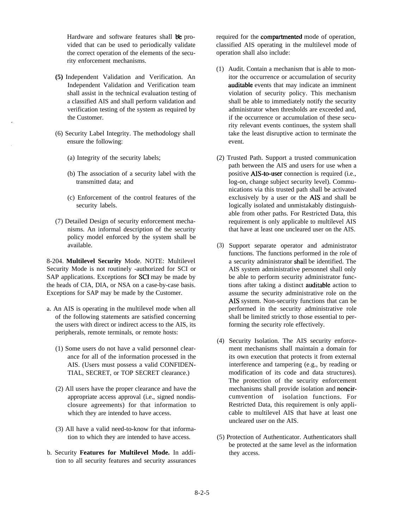Hardware and software features shall be provided that can be used to periodically validate the correct operation of the elements of the security enforcement mechanisms.

required for the **compartmented** mode of operation, classified AIS operating in the multilevel mode of operation shall also include:

- **(5)** Independent Validation and Verification. An Independent Validation and Verification team shall assist in the technical evaluation testing of a classified AIS and shall perform validation and verification testing of the system as required by the Customer.
- (6) Security Label Integrity. The methodology shall ensure the following:
	- (a) Integrity of the security labels;
	- (b) The association of a security label with the transmitted data; and
	- (c) Enforcement of the control features of the security labels.
- (7) Detailed Design of security enforcement mechanisms. An informal description of the security policy model enforced by the system shall be available.

8-204. **Multilevel Security** Mode. NOTE: Multilevel Security Mode is not routinely -authorized for SCI or SAP applications. Exceptions for SCI may be made by the heads of CIA, DIA, or NSA on a case-by-case basis. Exceptions for SAP may be made by the Customer.

- a. An AIS is operating in the multilevel mode when all of the following statements are satisfied concerning the users with direct or indirect access to the AIS, its peripherals, remote terminals, or remote hosts:
	- (1) Some users do not have a valid personnel clearance for all of the information processed in the AIS. (Users must possess a valid CONFIDEN-TIAL, SECRET, or TOP SECRET clearance.)
	- (2) All users have the proper clearance and have the appropriate access approval (i.e., signed nondis-
- (1) Audit. Contain a mechanism that is able to monitor the occurrence or accumulation of security auditable events that may indicate an imminent violation of security policy. This mechanism shall be able to immediately notify the security administrator when thresholds are exceeded and, if the occurrence or accumulation of these security relevant events continues, the system shall take the least disruptive action to terminate the event.
- (2) Trusted Path. Support a trusted communication path between the AIS and users for use when a positive AIS-to-user connection is required (i.e., log-on, change subject security level). Communications via this trusted path shall be activated exclusively by a user or the AIS and shall be logically isolated and unmistakably distinguishable from other paths. For Restricted Data, this requirement is only applicable to multilevel AIS that have at least one uncleared user on the AIS.
- (3) Support separate operator and administrator functions. The functions performed in the role of a security administrator shall be identified. The AIS system administrative personnel shall only be able to perform security administrator functions after taking a distinct auditable action to assume the security administrative role on the AIS system. Non-security functions that can be performed in the security administrative role shall be limited strictly to those essential to performing the security role effectively.
- (4) Security Isolation. The AIS security enforcement mechanisms shall maintain a domain for its own execution that protects it from external interference and tampering (e.g., by reading or modification of its code and data structures). The protection of the security enforcement mechanisms shall provide isolation and noncircumvention of isolation functions. For

closure agreements) for that information to which they are intended to have access.

- (3) All have a valid need-to-know for that information to which they are intended to have access.
- b. Security **Features for Multilevel Mode.** In addition to all security features and security assurances

Restricted Data, this requirement is only applicable to multilevel AIS that have at least one uncleared user on the AIS.

(5) Protection of Authenticator. Authenticators shall be protected at the same level as the information they access.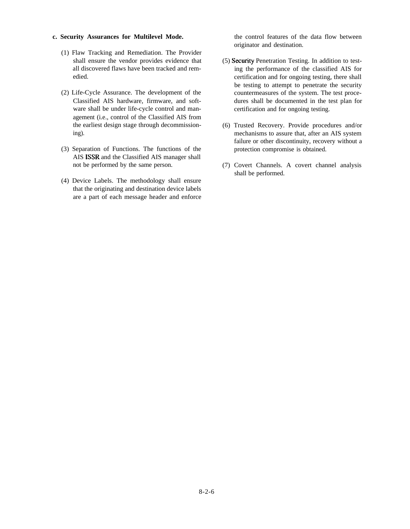#### **c. Security Assurances for Multilevel Mode.**

the control features of the data flow between originator and destination.

- (1) Flaw Tracking and Remediation. The Provider shall ensure the vendor provides evidence that all discovered flaws have been tracked and remedied.
- (2) Life-Cycle Assurance. The development of the Classified AIS hardware, firmware, and software shall be under life-cycle control and management (i.e., control of the Classified AIS from the earliest design stage through decommissioning).
- (3) Separation of Functions. The functions of the AIS ISSR and the Classified AIS manager shall not be performed by the same person.
- (4) Device Labels. The methodology shall ensure that the originating and destination device labels are a part of each message header and enforce
- (5) Seeurity Penetration Testing. In addition to testing the performance of the classified AIS for certification and for ongoing testing, there shall be testing to attempt to penetrate the security countermeasures of the system. The test procedures shall be documented in the test plan for certification and for ongoing testing.
- (6) Trusted Recovery. Provide procedures and/or mechanisms to assure that, after an AIS system failure or other discontinuity, recovery without a protection compromise is obtained.
- (7) Covert Channels. A covert channel analysis shall be performed.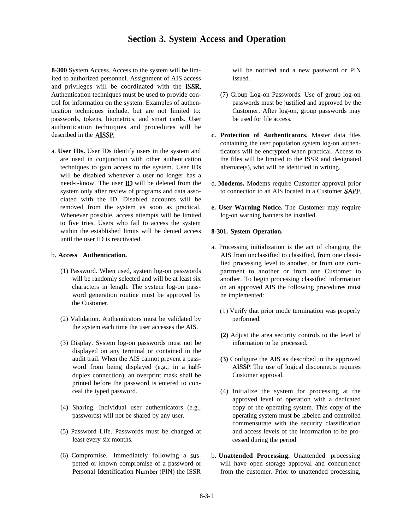### **Section 3. System Access and Operation**

**8-300** System Access. Access to the system will be limited to authorized personnel. Assignment of AIS access and privileges will be coordinated with the ISSR. Authentication techniques must be used to provide control for information on the system. Examples of authentication techniques include, but are not limited to: passwords, tokens, biometrics, and smart cards. User authentication techniques and procedures will be described in the **AISSP**.

a. **User IDs.** User IDs identify users in the system and are used in conjunction with other authentication techniques to gain access to the system. User IDs will be disabled whenever a user no longer has a need-t-know. The user ID will be deleted from the system only after review of programs and data associated with the ID. Disabled accounts will be removed from the system as soon as practical. Whenever possible, access attempts will be limited to five tries. Users who fail to access the system within the established limits will be denied access until the user ID is reactivated.

will be notified and a new password or PIN issued.

#### b. **Access Authentication.**

- (1) Password. When used, system log-on passwords will be randomly selected and will be at least six characters in length. The system log-on password generation routine must be approved by the Customer.
- (2) Validation. Authenticators must be validated by the system each time the user accesses the AIS.
- (3) Display. System log-on passwords must not be displayed on any terminal or contained in the audit trail. When the AIS cannot prevent a password from being displayed (e.g., in a halfduplex connection), an overprint mask shall be printed before the password is entered to conceal the typed password.

(6) Compromise. Immediately following a sus- b. **Unattended Processing.** Unattended processing petted or known compromise of a password or will have open storage approval and concurrence Personal Identification Number (PIN) the ISSR from the customer. Prior to unattended processing,

- a. Processing initialization is the act of changing the AIS from unclassified to classified, from one classified processing level to another, or from one compartment to another or from one Customer to another. To begin processing classified information on an approved AIS the following procedures must be implemented:
	- (1) Verify that prior mode termination was properly performed.
	- **(2)** Adjust the area security controls to the level of information to be processed.
	- **(3)** Configure the AIS as described in the approved AISSP. The use of logical disconnects requires Customer approval.
	- (4) Initialize the system for processing at the approved level of operation with a dedicated
- (4) Sharing. Individual user authenticators (e.g., passwords) will not be shared by any user.
- (5) Password Life. Passwords must be changed at least every six months.
- 
- (7) Group Log-on Passwords. Use of group log-on passwords must be justified and approved by the Customer. After log-on, group passwords may be used for file access.
- **c. Protection of Authenticators.** Master data files containing the user population system log-on authenticators will be encrypted when practical. Access to the files will be limited to the ISSR and designated alternate(s), who will be identified in writing.
- d. **Modems.** Modems require Customer approval prior to connection to an AIS located in a Customer SAPF.
- **e. User Warning Notice.** The Customer may require log-on warning banners be installed.

#### **8-301. System Operation.**

copy of the operating system. This copy of the operating system must be labeled and controlled commensurate with the security classification and access levels of the information to be processed during the period.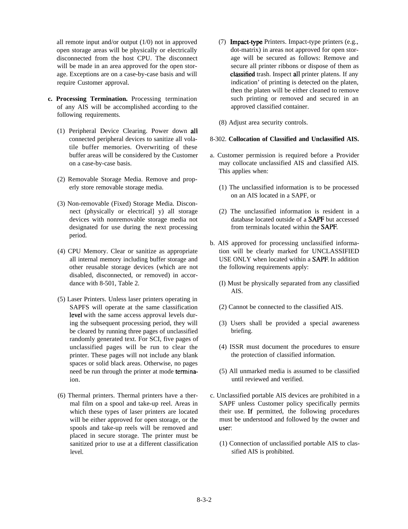all remote input and/or output (1/0) not in approved open storage areas will be physically or electrically disconnected from the host CPU. The disconnect will be made in an area approved for the open storage. Exceptions are on a case-by-case basis and will require Customer approval.

- **c. Processing Termination.** Processing termination of any AIS will be accomplished according to the following requirements.
	- (1) Peripheral Device Clearing. Power down all connected peripheral devices to sanitize all volatile buffer memories. Overwriting of these buffer areas will be considered by the Customer on a case-by-case basis.
	- (2) Removable Storage Media. Remove and properly store removable storage media.
	- (3) Non-removable (Fixed) Storage Media. Disconnect (physically or electrical] y) all storage devices with nonremovable storage media not designated for use during the next processing period.
	- (4) CPU Memory. Clear or sanitize as appropriate all internal memory including buffer storage and other reusable storage devices (which are not disabled, disconnected, or removed) in accordance with 8-501, Table 2.
	- (5) Laser Printers. Unless laser printers operating in SAPFS will operate at the same classification level with the same access approval levels during the subsequent processing period, they will be cleared by running three pages of unclassified randomly generated text. For SCI, five pages of unclassified pages will be run to clear the printer. These pages will not include any blank spaces or solid black areas. Otherwise, no pages need be run through the printer at mode terminaion.
	- (6) Thermal printers. Thermal printers have a ther-
- (7) Impact-type Printers. Impact-type printers (e.g., dot-matrix) in areas not approved for open storage will be secured as follows: Remove and secure all printer ribbons or dispose of them as classified trash. Inspect all printer platens. If any indication' of printing is detected on the platen, then the platen will be either cleaned to remove such printing or removed and secured in an approved classified container.
- (8) Adjust area security controls.

mal film on a spool and take-up reel. Areas in which these types of laser printers are located will be either approved for open storage, or the spools and take-up reels will be removed and placed in secure storage. The printer must be sanitized prior to use at a different classification level.

#### 8-302. **Collocation of Classified and Unclassified AIS.**

- a. Customer permission is required before a Provider may collocate unclassified AIS and classified AIS. This applies when:
	- (1) The unclassified information is to be processed on an AIS located in a SAPF, or
	- (2) The unclassified information is resident in a database located outside of a SAPF but accessed from terminals located within the SAPF.
- b. AIS approved for processing unclassified information will be clearly marked for UNCLASSIFIED USE ONLY when located within a SAPF. In addition the following requirements apply:
	- (I) Must be physically separated from any classified AIS.
	- (2) Cannot be connected to the classified AIS.
	- (3) Users shall be provided a special awareness briefing.
	- (4) ISSR must document the procedures to ensure the protection of classified information.
	- (5) All unmarked media is assumed to be classified until reviewed and verified.
- c. Unclassified portable AIS devices are prohibited in a

SAPF unless Customer policy specifically permits their use. If permitted, the following procedures must be understood and followed by the owner and user

(1) Connection of unclassified portable AIS to classified AIS is prohibited.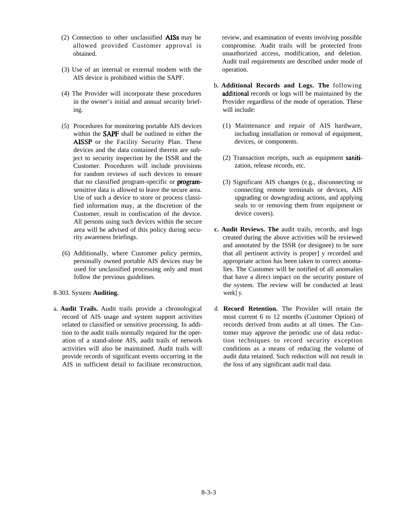- (2) Connection to other unclassified AISS may be allowed provided Customer approval is obtained.
- (3) Use of an internal or external modem with the AIS device is prohibited within the SAPF.
- (4) The Provider will incorporate these procedures in the owner's initial and annual security briefing.
- (5) Procedures for monitoring portable AIS devices within the SAPF shall be outlined in either the AISSP or the Facility Security Plan. These devices and the data contained therein are subject to security inspection by the ISSR and the Customer. Procedures will include provisions for random reviews of such devices to ensure that no classified program-specific or programsensitive data is allowed to leave the secure area. Use of such a device to store or process classified information may, at the discretion of the Customer, result in confiscation of the device. All persons using such devices within the secure area will be advised of this policy during security awareness briefings.
- (6) Additionally, where Customer policy permits, personally owned portable AIS devices may be used for unclassified processing only and must follow the previous guidelines.
- 8-303. System **Auditing.**
- a. **Audit Trails.** Audit trails provide a chronological record of AIS usage and system support activities related to classified or sensitive processing. In addition to the audit trails normally required for the operation of a stand-alone AIS, audit trails of network activities will also be maintained. Audit trails will provide records of significant events occurring in the AIS in sufficient detail to facilitate reconstruction,

review, and examination of events involving possible compromise. Audit trails will be protected from unauthorized access, modification, and deletion. Audit trail requirements are described under mode of operation.

- b. **Additional Records and Logs. The** following additional records or logs will be maintained by the Provider regardless of the mode of operation. These will include:
	- (1) Maintenance and repair of AIS hardware, including installation or removal of equipment, devices, or components.
	- (2) Transaction receipts, such as equipment sanitization, release records, etc.
	- (3) Significant AIS changes (e.g., disconnecting or connecting remote terminals or devices, AIS upgrading or downgrading actions, and applying seals to or removing them from equipment or device covers).
- **c. Audit Reviews. The** audit trails, records, and logs created during the above activities will be reviewed and annotated by the ISSR (or designee) to be sure that all pertinent activity is proper] y recorded and appropriate action has been taken to correct anomalies. The Customer will be notified of all anomalies that have a direct impact on the security posture of the system. The review will be conducted at least week] y.
- d. **Record Retention.** The Provider will retain the most current 6 to 12 months (Customer Option) of records derived from audits at all times. The Customer may approve the periodic use of data reduction techniques to record security exception conditions as a means of reducing the volume of audit data retained. Such reduction will not result in the loss of any significant audit trail data.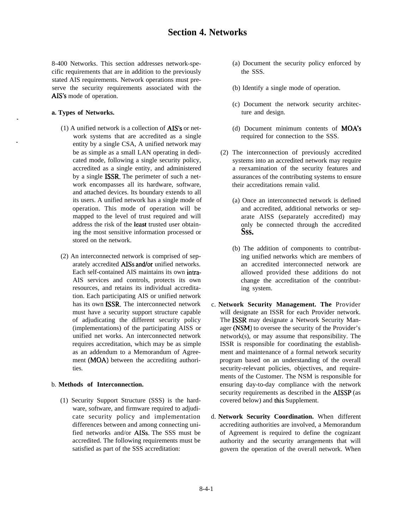### **Section 4. Networks**

8-400 Networks. This section addresses network-specific requirements that are in addition to the previously stated AIS requirements. Network operations must preserve the security requirements associated with the AIS's mode of operation.

#### **a. Types of Networks.**

- (1) A unified network is a collection of  $AIS$ 's or network systems that are accredited as a single entity by a single CSA, A unified network may be as simple as a small LAN operating in dedicated mode, following a single security policy, accredited as a single entity, and administered by a single ISSR. The perimeter of such a network encompasses all its hardware, software, and attached devices. Its boundary extends to all its users. A unified network has a single mode of operation. This mode of operation will be mapped to the level of trust required and will address the risk of the least trusted user obtaining the most sensitive information processed or stored on the network.
- (2) An interconnected network is comprised of separately accredited AISs and/or unified networks. Each self-contained AIS maintains its own intra-AIS services and controls, protects its own resources, and retains its individual accreditation. Each participating AIS or unified network has its own ISSR. The interconnected network must have a security support structure capable of adjudicating the different security policy (implementations) of the participating AISS or unified net works. An interconnected network requires accreditation, which may be as simple as an addendum to a Memorandum of Agreement (MOA) between the accrediting authorities.

#### b. **Methods of Interconnection.**

(1) Security Support Structure (SSS) is the hardware, software, and firmware required to adjudicate security policy and implementation differences between and among connecting unified networks and/or AISS. The SSS must be accredited. The following requirements must be satisfied as part of the SSS accreditation:

- (a) Document the security policy enforced by the SSS.
- (b) Identify a single mode of operation.
- (c) Document the network security architecture and design.
- (d) Document minimum contents of MOA'S required for connection to the SSS.
- (2) The interconnection of previously accredited systems into an accredited network may require a reexamination of the security features and assurances of the contributing systems to ensure their accreditations remain valid.
	- (a) Once an interconnected network is defined and accredited, additional networks or separate AISS (separately accredited) may only be connected through the accredited **Sss.**
	- (b) The addition of components to contributing unified networks which are members of an accredited interconnected network are allowed provided these additions do not change the accreditation of the contributing system.
- c. **Network Security Management. The** Provider will designate an ISSR for each Provider network. The ISSR may designate a Network Security Manager (NSM) to oversee the security of the Provider's network(s), or may assume that responsibility. The ISSR is responsible for coordinating the establishment and maintenance of a formal network security program based on an understanding of the overall security-relevant policies, objectives, and requirements of the Customer. The NSM is responsible for ensuring day-to-day compliance with the network security requirements as described in the AISSP (as covered below) and this Supplement.
	-
- d. **Network Security Coordination.** When different accrediting authorities are involved, a Memorandum of Agreement is required to define the cognizant authority and the security arrangements that will govern the operation of the overall network. When
- 8-4-1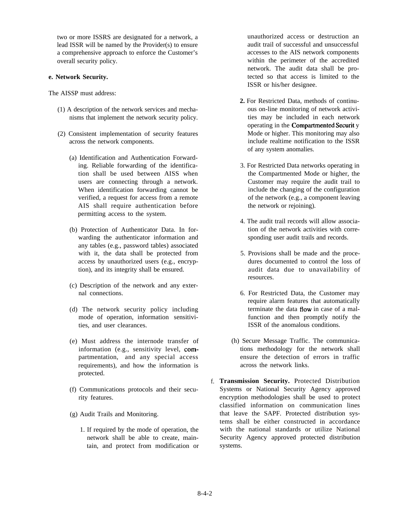two or more ISSRS are designated for a network, a lead ISSR will be named by the Provider(s) to ensure a comprehensive approach to enforce the Customer's overall security policy.

### **e. Network Security.**

The AISSP must address:

- (1) A description of the network services and mechanisms that implement the network security policy.
- (2) Consistent implementation of security features across the network components.
	- (a) Identification and Authentication Forwarding. Reliable forwarding of the identification shall be used between AISS when users are connecting through a network. When identification forwarding cannot be verified, a request for access from a remote AIS shall require authentication before permitting access to the system.
	- (b) Protection of Authenticator Data. In forwarding the authenticator information and any tables (e.g., password tables) associated with it, the data shall be protected from access by unauthorized users (e.g., encryption), and its integrity shall be ensured.
	- (c) Description of the network and any external connections.
	- (d) The network security policy including mode of operation, information sensitivities, and user clearances.
	- (e) Must address the internode transfer of information (e.g., sensitivity level, compartmentation, and any special access requirements), and how the information is protected.
	- (f) Communications protocols and their security features.

(g) Audit Trails and Monitoring.

1. If required by the mode of operation, the network shall be able to create, maintain, and protect from modification or unauthorized access or destruction an audit trail of successful and unsuccessful accesses to the AIS network components within the perimeter of the accredited network. The audit data shall be protected so that access is limited to the ISSR or his/her designee.

- **2.** For Restricted Data, methods of continuous on-line monitoring of network activities may be included in each network operating in the Compartmented Secunt y Mode or higher. This monitoring may also include realtime notification to the ISSR of any system anomalies.
- 3. For Restricted Data networks operating in the Compartmented Mode or higher, the Customer may require the audit trail to include the changing of the configuration of the network (e.g., a component leaving the network or rejoining).
- 4. The audit trail records will allow association of the network activities with corresponding user audit trails and records.
- 5. Provisions shall be made and the procedures documented to control the loss of audit data due to unavailability of resources.
- 6. For Restricted Data, the Customer may require alarm features that automatically terminate the data flow in case of a malfunction and then promptly notify the ISSR of the anomalous conditions.
- (h) Secure Message Traffic. The communications methodology for the network shall ensure the detection of errors in traffic across the network links.
- f. **Transmission Security.** Protected Distribution Systems or National Security Agency approved encryption methodologies shall be used to protect

classified information on communication lines that leave the SAPF. Protected distribution systems shall be either constructed in accordance with the national standards or utilize National Security Agency approved protected distribution systems.

8-4-2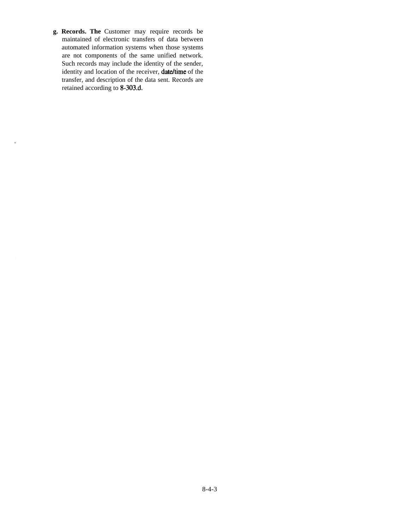**g. Records. The** Customer may require records be maintained of electronic transfers of data between automated information systems when those systems are not components of the same unified network. Such records may include the identity of the sender, identity and location of the receiver, date/time of the transfer, and description of the data sent. Records are retained according to 8-303.d.

 $\tilde{\phantom{a}}$ 

### 8-4-3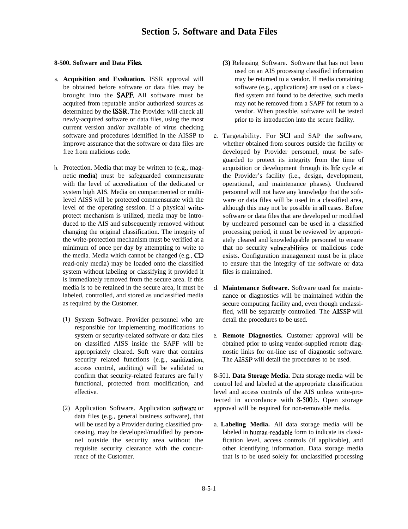- a. **Acquisition and Evaluation.** ISSR approval will be obtained before software or data files may be brought into the SAPF. All software must be acquired from reputable and/or authorized sources as determined by the ISSR. The Provider will check all newly-acquired software or data files, using the most current version and/or available of virus checking software and procedures identified in the AISSP to improve assurance that the software or data files are free from malicious code.
- b. Protection. Media that may be written to (e.g., magnetic **media**) must be safeguarded commensurate with the level of accreditation of the dedicated or system high AIS. Media on compartmented or multilevel AISS will be protected commensurate with the level of the operating session. If a physical writeprotect mechanism is utilized, media may be introduced to the AIS and subsequently removed without changing the original classification. The integrity of the write-protection mechanism must be verified at a minimum of once per day by attempting to write to the media. Media which cannot be changed (e.g., CD read-only media) may be loaded onto the classified system without labeling or classifying it provided it is immediately removed from the secure area. If this media is to be retained in the secure area, it must be labeled, controlled, and stored as unclassified media as required by the Customer.
	- (1) System Software. Provider personnel who are responsible for implementing modifications to system or security-related software or data files on classified AISS inside the SAPF will be appropriately cleared. Soft ware that contains security related functions (e.g., sanitization, access control, auditing) will be validated to confirm that security-related features are fully functional, protected from modification, and effective.

#### **8-500.** Software and Data Files.

- (2) Application Software. Application soflware or data files (e.g., general business software), that will be used by a Provider during classified processing, may be developed/modified by personnel outside the security area without the requisite security clearance with the concurrence of the Customer.
- approval will be required for non-removable media.
- a. **Labeling Media.** All data storage media will be labeled in human-readable form to indicate its classification level, access controls (if applicable), and other identifying information. Data storage media that is to be used solely for unclassified processing
- 8-5-1
- **(3)** Releasing Software. Software that has not been used on an AIS processing classified information may be returned to a vendor. If media containing software (e.g., applications) are used on a classified system and found to be defective, such media may not he removed from a SAPF for return to a vendor. When possible, software will be tested prior to its introduction into the secure facility.
- c. Targetability. For SCI and SAP the software, whether obtained from sources outside the facility or developed by Provider personnel, must be safeguarded to protect its integrity from the time of acquisition or development through its life cycle at the Provider's facility (i.e., design, development, operational, and maintenance phases). Uncleared personnel will not have any knowledge that the software or data files will be used in a classified area, although this may not be possible in all cases. Before software or data files that are developed or modified by uncleared personnel can be used in a classified processing period, it must be reviewed by appropriately cleared and knowledgeable personnel to ensure that no security vulnerabilities or malicious code exists. Configuration management must be in place to ensure that the integrity of the software or data files is maintained.
- d **Maintenance Software.** Software used for maintenance or diagnostics will be maintained within the secure computing facility and, even though unclassified, will be separately controlled. The AISSP will detail the procedures to be used.
- e. **Remote Diagnostics.** Customer approval will be obtained prior to using vendor-supplied remote diagnostic links for on-line use of diagnostic software. The AISSP will detail the procedures to be used.

8-501. **Data Storage Media.** Data storage media will be control led and labeled at the appropriate classification level and access controls of the AIS unless write-protected in accordance with 8-500.b. Open storage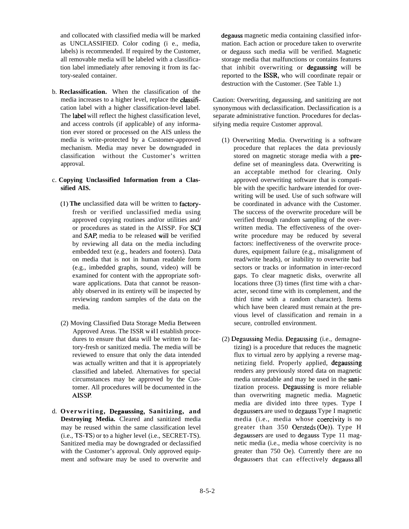and collocated with classified media will be marked as UNCLASSIFIED. Color coding (i e., media, labels) is recommended. If required by the Customer, all removable media will be labeled with a classification label immediately after removing it from its factory-sealed container.

b. **Reclassification.** When the classification of the media increases to a higher level, replace the classification label with a higher classification-level label. The label will reflect the highest classification level, and access controls (if applicable) of any information ever stored or processed on the AIS unless the media is write-protected by a Customer-approved mechanism. Media may never be downgraded in classification without the Customer's written approval.

### c. **Copying Unclassified Information from a Classified AIS.**

- **(1) The** unclassified data will be written to factoryfresh or verified unclassified media using approved copying routines and/or utilities and/ or procedures as stated in the AISSP. For SCI and **SAP**, media to be released will be verified by reviewing all data on the media including embedded text (e.g., headers and footers). Data on media that is not in human readable form (e.g., imbedded graphs, sound, video) will be examined for content with the appropriate software applications. Data that cannot be reasonably observed in its entirety will be inspected by reviewing random samples of the data on the media.
- (2) Moving Classified Data Storage Media Between Approved Areas. The ISSR w il I establish procedures to ensure that data will be written to factory-fresh or sanitized media. The media will be reviewed to ensure that only the data intended was actually written and that it is appropriately classified and labeled. Alternatives for special circumstances may be approved by the Customer. All procedures will be documented in the AISSP.

degauss magnetic media containing classified information. Each action or procedure taken to overwrite or degauss such media will be verified. Magnetic storage media that malfunctions or contains features that inhibit overwriting or degaussing will be reported to the ISSR, who will coordinate repair or destruction with the Customer. (See Table 1.)

- (1) Overwriting Media. Overwriting is a software procedure that replaces the data previously stored on magnetic storage media with a predefine set of meaningless data. Overwriting is an acceptable method for clearing. Only approved overwriting software that is compatible with the specific hardware intended for overwriting will be used. Use of such software will be coordinated in advance with the Customer. The success of the overwrite procedure will be verified through random sampling of the overwritten media. The effectiveness of the overwrite procedure may be reduced by several factors: ineffectiveness of the overwrite procedures, equipment failure (e.g., misalignment of read/write heads), or inability to overwrite bad sectors or tracks or information in inter-record gaps. To clear magnetic disks, overwrite all locations three (3) times (first time with a character, second time with its complement, and the third time with a random character). Items which have been cleared must remain at the previous level of classification and remain in a secure, controlled environment.
- (2) Degaussing Media. Degaussing (i.e., demagnetizing) is a procedure that reduces the magnetic flux to virtual zero by applying a reverse magnetizing field. Properly applied, degaussing renders any previously stored data on magnetic media unreadable and may be used in the sanitization process. Degaussing is more reliable than overwriting magnetic media. Magnetic
- d. **Overwriting, Degaussing, Sanitizing, and Destroying Media.** Cleared and sanitized media may be reused within the same classification level (i.e., TS-TS) or to a higher level (i.e., SECRET-TS). Sanitized media may be downgraded or declassified with the Customer's approval. Only approved equipment and software may be used to overwrite and

Caution: Overwriting, degaussing, and sanitizing are not synonymous with declassification. Declassification is a separate administrative function. Procedures for declassifying media require Customer approval.

> media are divided into three types. Type I degaussers are used to degauss Type I magnetic media (i.e., media whose coercivity is no greater than 350 Oersteds (Oe)). Type H degaussers are used to degauss Type 11 magnetic media (i.e., media whose coercivity is no greater than 750 Oe). Currently there are no degaussers that can effectively degauss all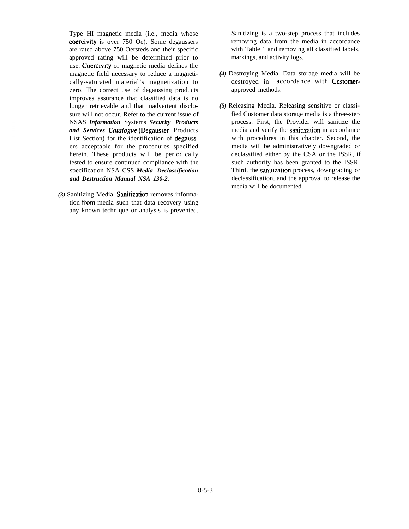Type HI magnetic media (i.e., media whose coercivity is over 750 Oe). Some degaussers are rated above 750 Oersteds and their specific approved rating will be determined prior to use. Coercivity of magnetic media defines the magnetic field necessary to reduce a magnetically-saturated material's magnetization to zero. The correct use of degaussing products improves assurance that classified data is no longer retrievable and that inadvertent disclosure will not occur. Refer to the current issue of NSAS *Information* Systems *Security Products and Services Catalogue* (Degausser Products List Section) for the identification of degaussers acceptable for the procedures specified herein. These products will be periodically tested to ensure continued compliance with the specification NSA CSS *Media Declassification and Destruction Manual NSA 130-2.*

Sanitizing is a two-step process that includes removing data from the media in accordance with Table 1 and removing all classified labels, markings, and activity logs.

- *(4)* Destroying Media. Data storage media will be destroyed in accordance with Customerapproved methods.
- *(5)* Releasing Media. Releasing sensitive or classified Customer data storage media is a three-step process. First, the Provider will sanitize the media and verify the sanitization in accordance with procedures in this chapter. Second, the media will be administratively downgraded or declassified either by the CSA or the ISSR, if such authority has been granted to the ISSR. Third, the sanitization process, downgrading or declassification, and the approval to release the media will be documented.

*(3)* Sanitizing Media. Sanitization removes information from media such that data recovery using any known technique or analysis is prevented.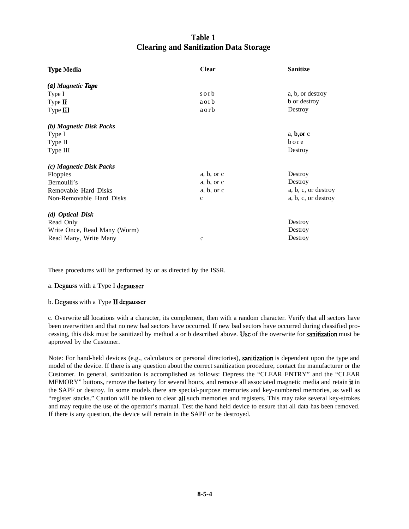| <b>Type Media</b>            | <b>Clear</b> | <b>Sanitize</b>     |
|------------------------------|--------------|---------------------|
| (a) Magnetic Tape            |              |                     |
| Type I                       | sorb         | a, b, or destroy    |
| Type $\mathbf \Pi$           | aorb         | b or destroy        |
| Type $\mathbf{II}$           | aorb         | Destroy             |
| (b) Magnetic Disk Packs      |              |                     |
| Type I                       |              | a, b, or c          |
| Type II                      |              | bore                |
| Type III                     |              | Destroy             |
| (c) Magnetic Disk Packs      |              |                     |
| <b>Floppies</b>              | a, b, or c   | Destroy             |
| Bernoulli's                  | a, b, or c   | Destroy             |
| Removable Hard Disks         | a, b, or c   | a, b, c, or destroy |
| Non-Removable Hard Disks     | $\mathbf C$  | a, b, c, or destroy |
| (d) Optical Disk             |              |                     |
| Read Only                    |              | Destroy             |
| Write Once, Read Many (Worm) |              | Destroy             |
| Read Many, Write Many        | $\mathbf C$  | Destroy             |

### **Table 1 Clearing and Sanitization Data Storage**

These procedures will be performed by or as directed by the ISSR.

a. Degauss with a Type I degausser

b. Degauss with a Type II degausser

c. Overwrite all locations with a character, its complement, then with a random character. Verify that all sectors have been overwritten and that no new bad sectors have occurred. If new bad sectors have occurred during classified processing, this disk must be sanitized by method a or b described above. Use of the overwrite for sanitization must be approved by the Customer.

Note: For hand-held devices (e.g., calculators or personal directories), sanitization is dependent upon the type and model of the device. If there is any question about the correct sanitization procedure, contact the manufacturer or the Customer. In general, sanitization is accomplished as follows: Depress the "CLEAR ENTRY" and the "CLEAR MEMORY" buttons, remove the battery for several hours, and remove all associated magnetic media and retain it in the SAPF or destroy. In some models there are special-purpose memories and key-numbered memories, as well as "register stacks." Caution will be taken to clear all such memories and registers. This may take several key-strokes and may require the use of the operator's manual. Test the hand held device to ensure that all data has been removed. If there is any question, the device will remain in the SAPF or be destroyed.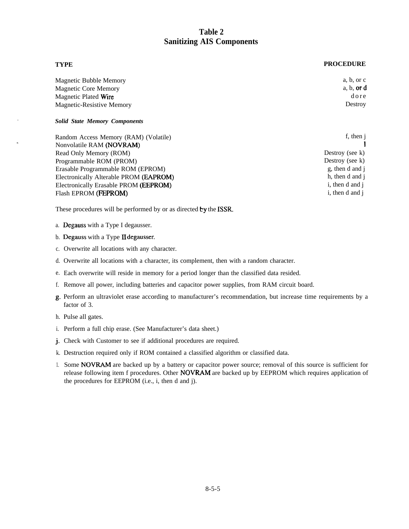### **Table 2 Sanitizing AIS Components**

### **TYPE PROCEDURE**

#### *Solid State Memory Components*

Random Access Memory (RAM) (Volatile) Nonvolatile RAM (NOVRAM) Read Only Memory (ROM) Programmable ROM (PROM) Erasable Programmable ROM (EPROM) Electronically Alterable PROM (EAPROM) Electronically Erasable PROM (EEPROM) Flash EPROM (FEPROM)

| <b>Magnetic Bubble Memory</b>    | a, b, or c |
|----------------------------------|------------|
| <b>Magnetic Core Memory</b>      | a, b, or d |
| Magnetic Plated Wire             | dore       |
| <b>Magnetic-Resistive Memory</b> | Destroy    |

f, then j 1 Destroy (see k) Destroy (see k) g, then d and j h, then d and j i, then d and j i, then d and j

These procedures will be performed by or as directed by the **ISSR**.

- a. Degauss with a Type I degausser.
- b. Degauss with a Type II degausser.
- c. Overwrite all locations with any character.
- d. Overwrite all locations with a character, its complement, then with a random character.
- e. Each overwrite will reside in memory for a period longer than the classified data resided.
- f. Remove all power, including batteries and capacitor power supplies, from RAM circuit board.
- g. Perform an ultraviolet erase according to manufacturer's recommendation, but increase time requirements by a factor of 3.
- h. Pulse all gates.
- i. Perform a full chip erase. (See Manufacturer's data sheet.)
- j. Check with Customer to see if additional procedures are required.
- k. Destruction required only if ROM contained a classified algorithm or classified data.
- 1. Some NOVRAM are backed up by a battery or capacitor power source; removal of this source is sufficient for release following item f procedures. Other NOVRAM are backed up by EEPROM which requires application of the procedures for EEPROM (i.e., i, then d and j).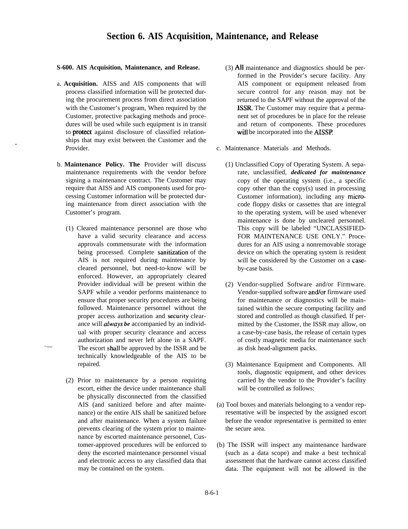### **Section 6. AIS Acquisition, Maintenance, and Release**

**S-600. AIS Acquisition, Maintenance, and Release.**

- a. **Acquisition.** AISS and AIS components that will process classified information will be protected during the procurement process from direct association with the Customer's program, When required by the Customer, protective packaging methods and procedures will be used while such equipment is in transit to proteet against disclosure of classified relationships that may exist between the Customer and the Provider.
- b. **Maintenance Policy. The** Provider will discuss maintenance requirements with the vendor before signing a maintenance contract. The Customer may require that AISS and AIS components used for processing Customer information will be protected during maintenance from direct association with the Customer's program.
	- (1) Cleared maintenance personnel are those who have a valid security clearance and access approvals commensurate with the information being processed. Complete sanitization of the AIS is not required during maintenance by cleared personnel, but need-to-know will be enforced. However, an appropriately cleared Provider individual will be present within the SAPF while a vendor performs maintenance to ensure that proper security procedures are being followed. Maintenance personnel without the proper access authorization and security clearance will *always be* accompanied by an individual with proper security clearance and access authorization and never left alone in a SAPF. The escort shall be approved by the ISSR and be technically knowledgeable of the AIS to be repaired.
	- (2) Prior to maintenance by a person requiring escort, either the device under maintenance shall be physically disconnected from the classified
- (3) All maintenance and diagnostics should be performed in the Provider's secure facility. Any AIS component or equipment released from secure control for any reason may not be returned to the SAPF without the approval of the ISSR. The Customer may require that a permanent set of procedures be in place for the release and return of components. These procedures will be incorporated into the AISSP.
- c. Maintenance Materials and Methods.
	- (1) Unclassified Copy of Operating System. A separate, unclassified, *dedicated for maintenance* copy of the operating system (i.e., a specific copy other than the copy(s) used in processing Customer information), including any microcode floppy disks or cassettes that are integral to the operating system, will be used whenever maintenance is done by uncleared personnel. This copy will be labeled "UNCLASSIFIED-FOR MAINTENANCE USE ONLY." Procedures for an AIS using a nonremovable storage device on which the operating system is resident will be considered by the Customer on a caseby-case basis.
	- (2) Vendor-supplied Software and/or Firmware. Vendor-supplied software and/or firmware used for maintenance or diagnostics will be maintained within the secure computing facility and stored and controlled as though classified. If permitted by the Customer, the ISSR may allow, on a case-by-case basis, the release of certain types of costly magnetic media for maintenance such as disk head-alignment packs.
	- (3) Maintenance Equipment and Components. All tools, diagnostic equipment, and other devices carried by the vendor to the Provider's facility will be controlled as follows:

AIS (and sanitized before and after maintenance) or the entire AIS shall be sanitized before and after maintenance. When a system failure prevents clearing of the system prior to maintenance by escorted maintenance personnel, Customer-approved procedures will be enforced to deny the escorted maintenance personnel visual and electronic access to any classified data that may be contained on the system.

(a) Tool boxes and materials belonging to a vendor representative will be inspected by the assigned escort before the vendor representative is permitted to enter the secure area.

(b) The ISSR will inspect any maintenance hardware (such as a data scope) and make a best technical assessment that the hardware cannot access classified data. The equipment will not be allowed in the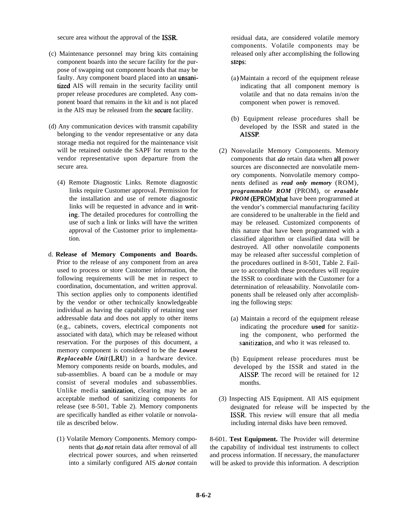secure area without the approval of the ISSR.

- (c) Maintenance personnel may bring kits containing component boards into the secure facility for the purpose of swapping out component boards that may be faulty. Any component board placed into an unsanitized AIS will remain in the security facility until proper release procedures are completed. Any component board that remains in the kit and is not placed in the AIS may be released from the **secure** facility.
- (d) Any communication devices with transmit capability belonging to the vendor representative or any data storage media not required for the maintenance visit will be retained outside the SAPF for return to the vendor representative upon departure from the secure area.
	- (4) Remote Diagnostic Links. Remote diagnostic links require Customer approval. Permission for the installation and use of remote diagnostic links will be requested in advance and in wriing. The detailed procedures for controlling the use of such a link or links will have the written approval of the Customer prior to implementation.
- d. **Release of Memory Components and Boards.** Prior to the release of any component from an area used to process or store Customer information, the following requirements will be met in respect to coordination, documentation, and written approval. This section applies only to components identified by the vendor or other technically knowledgeable individual as having the capability of retaining user addressable data and does not apply to other items (e.g., cabinets, covers, electrical components not associated with data), which may be released without reservation. For the purposes of this document, a memory component is considered to be the *Lowest Replaceable Unit* (LRU) in a hardware device. Memory components reside on boards, modules, and sub-assemblies. A board can be a module or may consist of several modules and subassemblies. Unlike media sanitization, clearing may be an acceptable method of sanitizing components for

residual data, are considered volatile memory components. Volatile components may be released only after accomplishing the following steps:

release (see 8-501, Table 2). Memory components are specifically handled as either volatile or nonvolatile as described below.

(1) Volatile Memory Components. Memory components that *do not* retain data after removal of all electrical power sources, and when reinserted into a similarly configured AIS do *nor* contain

- (a Maintain a record of the equipment release indicating that all component memory is volatile and that no data remains in/on the component when power is removed.
- (b) Equipment release procedures shall be developed by the ISSR and stated in the AISSP.
- (2) Nonvolatile Memory Components. Memory components that do retain data when all power sources are disconnected are nonvolatile memory components. Nonvolatile memory components defined as *read only memory* (ROM), *programmable ROM* (PROM), or *erasable PROM* (EPROM)that have been programmed at the vendor's commercial manufacturing facility are considered to be unalterable in the field and may be released. Customized components of this nature that have been programmed with a classified algorithm or classified data will be destroyed. All other nonvolatile components may be released after successful completion of the procedures outlined in 8-501, Table 2. Failure to accomplish these procedures will require the ISSR to coordinate with the Customer for a determination of releasability. Nonvolatile components shall be released only after accomplishing the following steps:
	- (a) Maintain a record of the equipment release indicating the procedure **used** for sanitizing the component, who performed the sanitization, and who it was released to.
	- (b) Equipment release procedures must be developed by the ISSR and stated in the AISSP. The record will be retained for 12 months.
- (3) Inspecting AIS Equipment. All AIS equipment designated for release will be inspected by the ISSR. This review will ensure that all media including internal disks have been removed.

8-601. **Test Equipment.** The Provider will determine the capability of individual test instruments to collect and process information. If necessary, the manufacturer will be asked to provide this information. A description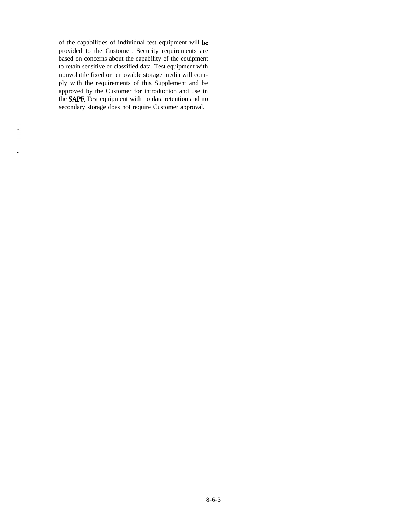of the capabilities of individual test equipment will be provided to the Customer. Security requirements are based on concerns about the capability of the equipment to retain sensitive or classified data. Test equipment with nonvolatile fixed or removable storage media will comply with the requirements of this Supplement and be approved by the Customer for introduction and use in the SAPF. Test equipment with no data retention and no secondary storage does not require Customer approval.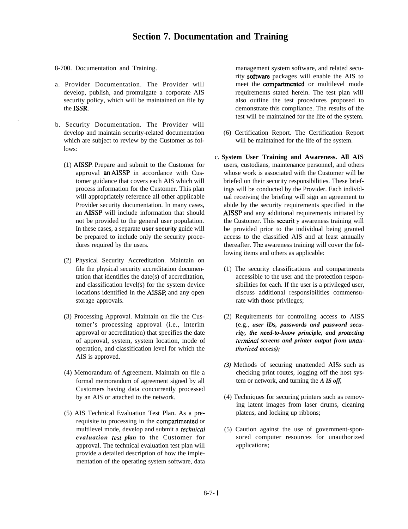### **Section 7. Documentation and Training**

8-700. Documentation and Training.

- a. Provider Documentation. The Provider will develop, publish, and promulgate a corporate AIS security policy, which will be maintained on file by the ISSR.
- b. Security Documentation. The Provider will develop and maintain security-related documentation which are subject to review by the Customer as follows:
	- (1) AISSP. Prepare and submit to the Customer for approval an AISSP in accordance with Customer guidance that covers each AIS which will process information for the Customer. This plan will appropriately reference all other applicable Provider security documentation. In many cases, an AISSP will include information that should not be provided to the general user population. In these cases, a separate **user security** guide will be prepared to include only the security procedures required by the users.
	- (2) Physical Security Accreditation. Maintain on file the physical security accreditation documentation that identifies the date(s) of accreditation, and classification level(s) for the system device locations identified in the AISSP, and any open storage approvals.
	- (3) Processing Approval. Maintain on file the Customer's processing approval (i.e., interim approval or accreditation) that specifies the date of approval, system, system location, mode of operation, and classification level for which the AIS is approved.
	- (4) Memorandum of Agreement. Maintain on file a formal memorandum of agreement signed by all Customers having data concurrently processed by an AIS or attached to the network.

(5) AIS Technical Evaluation Test Plan. As a prerequisite to processing in the compartmented or multilevel mode, develop and submit a *technical evaluation test plan* to the Customer for approval. The technical evaluation test plan will provide a detailed description of how the implementation of the operating system software, data

management system software, and related security software packages will enable the AIS to meet the compartmented or multilevel mode requirements stated herein. The test plan will also outline the test procedures proposed to demonstrate this compliance. The results of the test will be maintained for the life of the system.

- (6) Certification Report. The Certification Report will be maintained for the life of the system.
- c. **System User Training and Awareness. All AIS** users, custodians, maintenance personnel, and others whose work is associated with the Customer will be briefed on their security responsibilities. These briefings will be conducted by the Provider. Each individual receiving the briefing will sign an agreement to abide by the security requirements specified in the AISSP and any additional requirements initiated by the Customer. This securit y awareness training will be provided prior to the individual being granted access to the classified AIS and at least annually thereafter. The awareness training will cover the following items and others as applicable:
	- (1) The security classifications and compartments accessible to the user and the protection responsibilities for each. If the user is a privileged user, discuss additional responsibilities commensurate with those privileges;
	- (2) Requirements for controlling access to AISS (e.g., *user lDs, passwords and password security, the need-to-know principle, and protecting terminul screens and printer output from unau*thorized access);
	- *(3)* Methods of securing unattended AISS such as checking print routes, logging off the host system or network, and turning the *A IS off,*
	- (4) Techniques for securing printers such as remov-

ing latent images from laser drums, cleaning platens, and locking up ribbons;

(5) Caution against the use of government-sponsored computer resources for unauthorized applications;

 $8-7-1$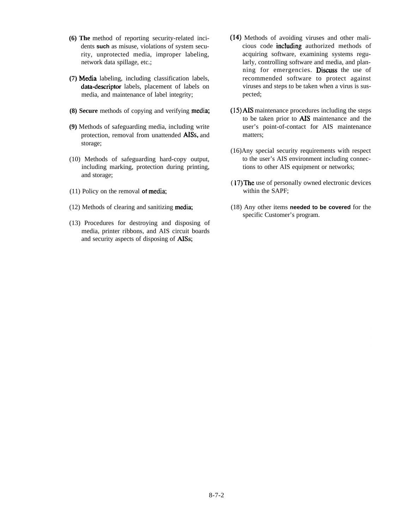- **(6) The** method of reporting security-related incidents **such** as misuse, violations of system security, unprotected media, improper labeling, network data spillage, etc.;
- (7) Media labeling, including classification labels, data-descriptor labels, placement of labels on media, and maintenance of label integrity;
- **(8) Secure** methods of copying and verifying media;
- **(9)** Methods of safeguarding media, including write protection, removal from unattended AISS, and storage;
- (10) Methods of safeguarding hard-copy output, including marking, protection during printing, and storage;
- (11) Policy on the removal **of mediz**
- $(12)$  Methods of clearing and sanitizing media;
- (13) Procedures for destroying and disposing of media, printer ribbons, and AIS circuit boards and security aspects of disposing of AISS;
- (14) Methods of avoiding viruses and other malicious code including authorized methods of acquiring software, examining systems regularly, controlling software and media, and planning for emergencies. Discuss the use of recommended software to protect against viruses and steps to be taken when a virus is suspected;
- (15)AIS maintenance procedures including the steps to be taken prior to **AIS** maintenance and the user's point-of-contact for AIS maintenance matters;
- (16)Any special security requirements with respect to the user's AIS environment including connections to other AIS equipment or networks;
- ( 17)The use of personally owned electronic devices within the SAPF;
- (18) Any other items **needed to be covered** for the specific Customer's program.

#### 8-7-2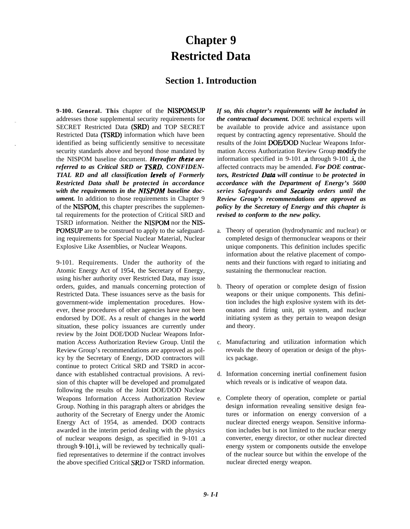## **Chapter 9 Restricted Data**

### **Section 1. Introduction**

**9-100. General. This** chapter of the NISPOMSUP addresses those supplemental security requirements for SECRET Restricted Data (SRD) and TOP SECRET Restricted Data (TSRD) information which have been identified as being sufficiently sensitive to necessitate security standards above and beyond those mandated by the NISPOM baseline document. *Hereafter these are referred to as Critical SRD or TSRD. CONFIDEN-TIAL RD and all classification kvels of Formerly Restricted Data shall be protected in accordance with the requirements in the NISPOM baseline document.* In addition to those requirements in Chapter 9 of the NISPOM, this chapter prescribes the supplemental requirements for the protection of Critical SRD and TSRD information. Neither the NISPOM nor the NIS-POMSUP are to be construed to apply to the safeguarding requirements for Special Nuclear Material, Nuclear Explosive Like Assemblies, or Nuclear Weapons.

9-101. Requirements. Under the authority of the Atomic Energy Act of 1954, the Secretary of Energy, using his/her authority over Restricted Data, may issue orders, guides, and manuals concerning protection of Restricted Data. These issuances serve as the basis for government-wide implementation procedures. However, these procedures of other agencies have not been endorsed by DOE. As a result of changes in the world situation, these policy issuances are currently under review by the Joint DOE/DOD Nuclear Weapons Information Access Authorization Review Group. Until the Review Group's recommendations are approved as policy by the Secretary of Energy, DOD contractors will continue to protect Critical SRD and TSRD in accordance with established contractual provisions. A revision of this chapter will be developed and promulgated following the results of the Joint DOE/DOD Nuclear Weapons Information Access Authorization Review Group. Nothing in this paragraph alters or abridges the authority of the Secretary of Energy under the Atomic Energy Act of 1954, as amended. DOD contracts awarded in the interim period dealing with the physics of nuclear weapons design, as specified in 9-101 .a through 9-101 .i, will be reviewed by technically qualified representatives to determine if the contract involves the above specified Critical SRD or TSRD information.

*If so, this chapter's requirements will be included in the contractual document.* DOE technical experts will be available to provide advice and assistance upon request by contracting agency representative. Should the results of the Joint DOE/DOD Nuclear Weapons Information Access Authorization Review Group modify the information specified in 9-101 .a through 9-101 .i, the affected contracts may be amended. *For DOE contractors, Restricted Data will continue to be protected in accordance with the Department of Energy's 5600 series Safeguards and Security orders until the Review Group's recommendations are approved as policy by the Secretary of Energy and this chapter is revised to conform to the new policy.*

- a. Theory of operation (hydrodynamic and nuclear) or completed design of thermonuclear weapons or their unique components. This definition includes specific information about the relative placement of components and their functions with regard to initiating and sustaining the thermonuclear reaction.
- b. Theory of operation or complete design of fission weapons or their unique components. This definition includes the high explosive system with its detonators and firing unit, pit system, and nuclear initiating system as they pertain to weapon design and theory.
- c. Manufacturing and utilization information which reveals the theory of operation or design of the physics package.
- d. Information concerning inertial confinement fusion which reveals or is indicative of weapon data.
- e. Complete theory of operation, complete or partial

design information revealing sensitive design features or information on energy conversion of a nuclear directed energy weapon. Sensitive information includes but is not limited to the nuclear energy converter, energy director, or other nuclear directed energy system or components outside the envelope of the nuclear source but within the envelope of the nuclear directed energy weapon.

*9- I-I*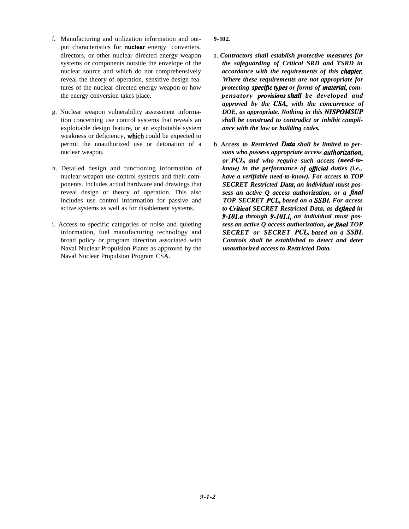- f. Manufacturing and utilization information and output characteristics for **nuclear** energy converters, directors, or other nuclear directed energy weapon systems or components outside the envelope of the nuclear source and which do not comprehensively reveal the theory of operation, sensitive design features of the nuclear directed energy weapon or how the energy conversion takes place.
- g. Nuclear weapon vulnerability assessment information concerning use control systems that reveals an exploitable design feature, or an exploitable system weakness or deficiency, which could be expected to permit the unauthorized use or detonation of a nuclear weapon.
- h. Detailed design and functioning information of nuclear weapon use control systems and their components. Includes actual hardware and drawings that reveal design or theory of operation. This also includes use control information for passive and active systems as well as for disablement systems.
- i. Access to specific categories of noise and quieting information, fuel manufacturing technology and broad policy or program direction associated with Naval Nuclear Propulsion Plants as approved by the Naval Nuclear Propulsion Program CSA.

### **9-102.**

- a. *Contractors shall establish protective measures for the safeguarding of Critical SRD and TSRD in accordance with the requirements of this chapter. Where these requirements are not appropriate for protecting specific types or forms of material, compensatory proviswns shaU be developed and approved by the CSA, with the concurrence of DOE, as appropriate. Nothing in this NLSPOMSUP shall be construed to contradict or inhibit compliance with the law or building codes.*
- b. Access to Restricted **Data** shall be limited to persons who possess appropriate access **authorization**, *or PC& and who require such access (need-toknow) in the performance of oficial duties (i.e., have a verifiable need-to-know). For access to TOP* **SECRET** Restricted **Data**, an individual must pos*sess an active Q access authorization, or a jinal TOP SECRET PCG based on a SSBI. For access to Critica[ SECRET Restricted Data, as defined in 9-101.a through 9-101.i, an individual must possess an active Q access authorization, or final TOP* **SECRET** or **SECRET PCL**, based on a **SSBI**. *Controls shall be established to detect and deter unauthorized access to Restricted Data.*

*9-1-2*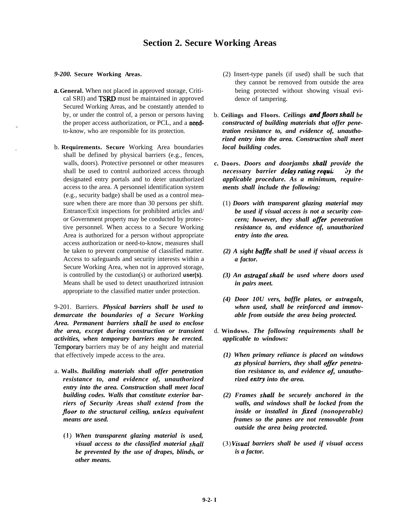### **Section 2. Secure Working Areas**

#### *9-200.* **Secure Working Areas.**

- **a. General.** When not placed in approved storage, Critical SRI) and TSRD must be maintained in approved Secured Working Areas, and be constantly attended to by, or under the control of, a person or persons having the proper access authorization, or PCL, and a needto-know, who are responsible for its protection.
- b. **Requirements. Secure** Working Area boundaries shall be defined by physical barriers (e.g., fences, walls, doors). Protective personnel or other measures shall be used to control authorized access through designated entry portals and to deter unauthorized access to the area. A personnel identification system (e.g., security badge) shall be used as a control measure when there are more than 30 persons per shift. Entrance/Exit inspections for prohibited articles and/ or Government property may be conducted by protective personnel. When access to a Secure Working Area is authorized for a person without appropriate access authorization or need-to-know, measures shall be taken to prevent compromise of classified matter. Access to safeguards and security interests within a Secure Working Area, when not in approved storage, is controlled by the custodian(s) or authorized **user(s).** Means shall be used to detect unauthorized intrusion appropriate to the classified matter under protection.

9-201. Barriers. *Physical barriers shall be used to demarcate the boundaries of a Secure Working Area. Permanent barriers sha!l be used to enclose the area, except during construction or transient activities, when temporary barriers may be erected.* Temporary barriers may be of any height and material that effectively impede access to the area.

a. **Walls.** *Building materials shall offer penetration resistance to, and evidence of, unauthorized entry into the area. Construction shall meet local building codes. Walls that constitute exterior bar-*

*riers of Security Areas shall extend from the floor to the structural ceiling, unless equivalent means are used.*

*(1) When transparent glazing material is used, visual access to the classified material shail be prevented by the use of drapes, blinds, or other means.*

- (2) Insert-type panels (if used) shall be such that they cannot be removed from outside the area being protected without showing visual evidence of tampering.
- **b. Ceilings and Floors.** *Ceilings and floors shall be constructed of building materials that offer penetration resistance to, and evidence of, unauthorized entry into the area. Construction shall meet local building codes.*
- *c.* **Doors.** *Doors and doorjambs shall provide the necessary barrier delay rating requii 3y the applicable procedure. As a minimum, requirements shall include the following:*
	- (1) *Doors with transparent glazing material may be used if visual access is not a security concern; however, they shall offer penetration resistance to, and evidence of, unauthorized entry into the area.*
	- *(2) A sight bafle shall be used if visual access is a factor.*
	- *(3) An astraga[ shall be used where doors used in pairs meet.*
	- *(4) Door 10U vers, baffle plates, or astragals, when used, shall be reinforced and immovable from outside the area being protected.*
- d. **Windows.** *The following requirements shall be applicable to windows:*
	- *(1) When primary reliance is placed on windows as physical barriers, they shall offer penetration resistance to, and evidence of, unauthorized entry into the area.*
	- *(2) Frames shall be securely anchored in the*

*walls, and windows shall be locked from the inside or installed in jixed (nonoperable) frames so the panes are not removable from outside the area being protected.*

*(3) Visual barriers shall be used if visual access is a factor.*

**9-2- I**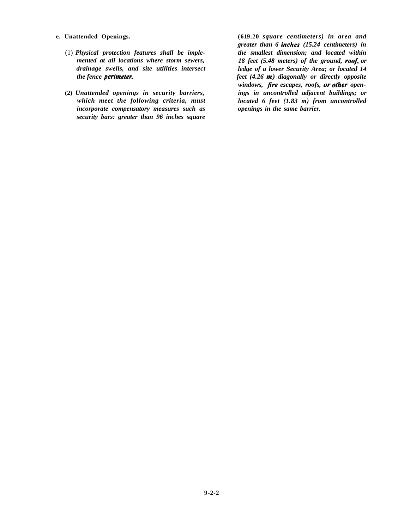### **e. Unattended Openings.**

- (1) *Physical protection features shall be implemented at all locations where storm sewers, drainage swells, and site utilities intersect the fence perimeten*
- **(2)** *Unattended openings in security barriers, which meet the following criteria, must incorporate compensatory measures such as security bars: greater than 96 inches square*

**(619.20** *square centimeters) in area and greater than 6 inches (15.24 centimeters) in the smallest dimension; and located within 18 feet (5.48 meters) of the ground, roof, or ledge of a lower Security Area; or located 14 feet (4.26 m) diagonally or directly opposite* windows, fire escapes, roofs, or other open*ings in uncontrolled adjacent buildings; or located 6 feet (1.83 m) from uncontrolled openings in the same barrier.*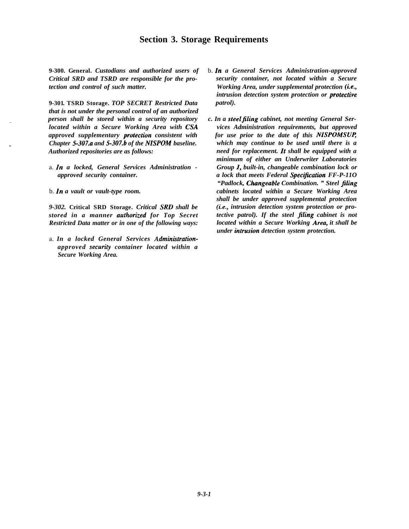### **Section 3. Storage Requirements**

**9-300. General.** *Custodians and authorized users of Critical SRD and TSRD are responsible for the protection and control of such matter.*

**9-301. TSRD Storage.** *TOP SECRET Restricted Data that is not under the personal control of an authorized person shall be stored within a security repository located within a Secure Working Area with CSA approved supplementary protection consistent with Chapter 5-307.a and 5-307.b of the NISPOM baseline. Authorized repositories are as follows:*

- b. *Zn a General Services Administration-approved security container, not located within a Secure Working Area, under supplemental protection (Le., intrusion detection system protection or protective patrol).*
- c. In a steel filing cabinet, not meeting General Ser*vices Administration requirements, but approved for use prior to the date of this NISPOMSU4 which may continue to be used until there is a need for replacement.* It *shall be equipped with a minimum of either an Underwriter Laboratories Group 1, built-in, changeable combination lock or a lock that meets Federal Specification FF-P-110 "Padlock, Changeabk Combination. " Steel jiling cabinets located within a Secure Working Area shall be under approved supplemental protection (Le., intrusion detection system protection or protective patrol). If the steel fding cabinet is not located within a Secure Working Area, it shall be under intrusion detection system protection.*
- a. *In a locked, General Services Administration approved security container.*
- b. *In a vault or vault-type room.*

*9-302.* **Critical SRD Storage.** *Critical SRD shall be stored in a manner authon"zed for Top Secret Restricted Data matter or in one of the following ways:*

a. *In a locked General Services Administrationapproved secun"ty container located within a Secure Working Area.*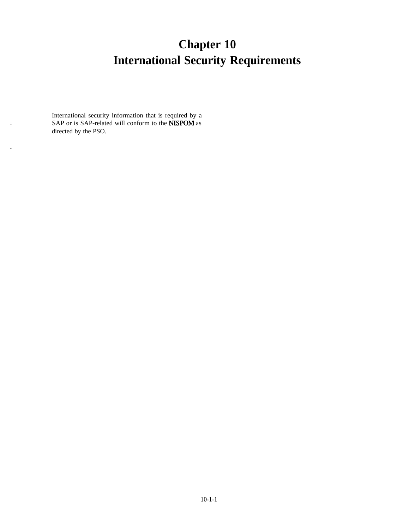# **Chapter 10 International Security Requirements**

International security information that is required by a SAP or is SAP-related will conform to the NISPOM as directed by the PSO.

### 10-1-1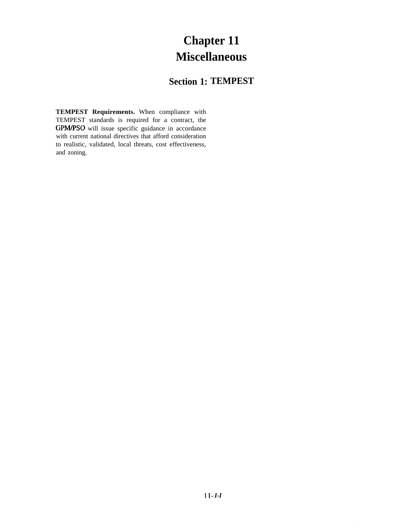## **Chapter 11 Miscellaneous**

### **Section 1: TEMPEST**

**TEMPEST Requirements.** When compliance with TEMPEST standards is required for a contract, the GPNVPSO will issue specific guidance in accordance with current national directives that afford consideration to realistic, validated, local threats, cost effectiveness, and zoning.

### $11 - I-I$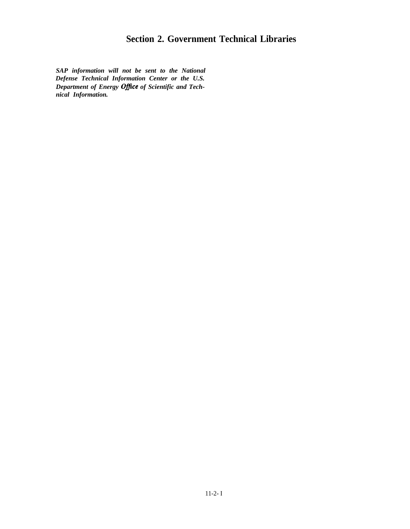### **Section 2. Government Technical Libraries**

*SAP information will not be sent to the National Defense Technical Information Center or the U.S. Department of Energy Ofice of Scientific and Technical Information.*

### 11-2- I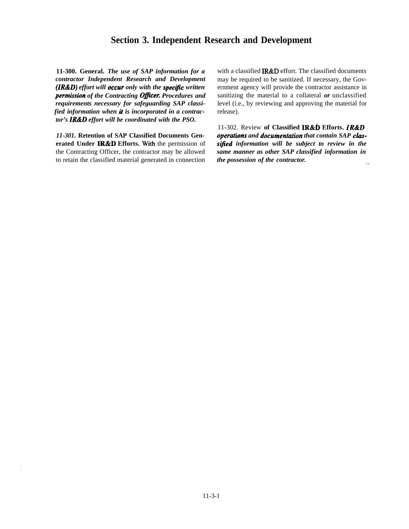### **Section 3. Independent Research and Development**

**11-300. General.** *The use of SAP information for a contractor Independent Research and Development (IR&D) effort will occur only with the specific written* **permission** of the Contracting Officer. Procedures and *requirements necessary for safeguarding SAP classi*fied information when it is incorporated in a contrac*tor's IR&D effort will be coordinated with the PSO.*

with a classified **IR&D** effort. The classified documents may be required to be sanitized. If necessary, the Government agency will provide the contractor assistance in sanitizing the material to a collateral *or* unclassified level (i.e., by reviewing and approving the material for release).

*11-301.* **Retention of SAP Classified Documents Generated Under IR&D Efforts.** With the permission of the Contracting Officer, the contractor may be allowed to retain the classified material generated in connection

 $\frac{1}{\sqrt{2}}$ 

11-302. Review **of Classified IR&D Efforts.** *ZR&D* operations and documentation that contain SAP clas*sijied information will be subject to review in the same manner as other SAP classified information in the possession of the contractor. .,*

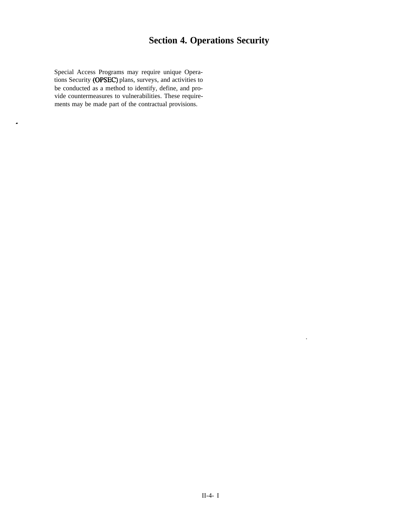## **Section 4. Operations Security**

Special Access Programs may require unique Operations Security (OPSEC) plans, surveys, and activities to be conducted as a method to identify, define, and provide countermeasures to vulnerabilities. These requirements may be made part of the contractual provisions.

.

### II-4- I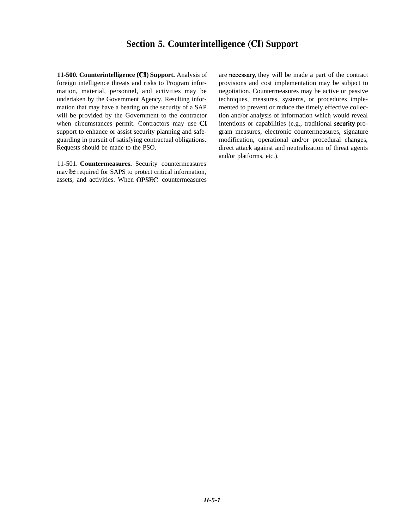### **Section 5. Counterintelligence (CI) Support**

**11-500. Counterintelligence (CI) Support.** Analysis of foreign intelligence threats and risks to Program information, material, personnel, and activities may be undertaken by the Government Agency. Resulting information that may have a bearing on the security of a SAP will be provided by the Government to the contractor when circumstances permit. Contractors may use CI support to enhance or assist security planning and safeguarding in pursuit of satisfying contractual obligations. Requests should be made to the PSO.

11-501. **Countermeasures.** Security countermeasures may be required for SAPS to protect critical information, assets, and activities. When OPSEC countermeasures

are necessary, they will be made a part of the contract provisions and cost implementation may be subject to negotiation. Countermeasures may be active or passive techniques, measures, systems, or procedures implemented to prevent or reduce the timely effective collection and/or analysis of information which would reveal intentions or capabilities (e.g., traditional security program measures, electronic countermeasures, signature modification, operational and/or procedural changes, direct attack against and neutralization of threat agents and/or platforms, etc.).

*II-5-1*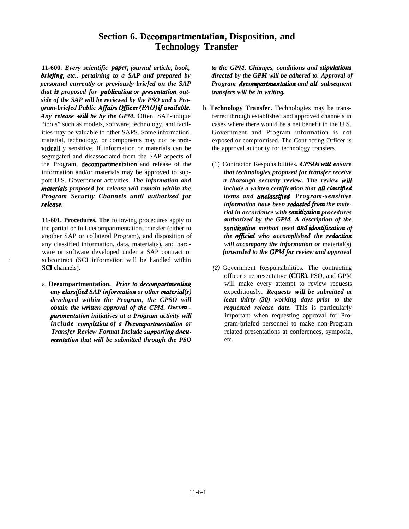### **Section 6. Decompartmentation, Disposition, and Technology Transfer**

11-600. *Every scientific paper, journal article, book, brie\$ng, etc., pertaining to a SAP and prepared by personnel currently or previously briefed on the SAP that is proposed for publication* or **presentation** out*side of the SAP will be reviewed by the PSO and a Program-briefed Public A~airs O@er (PAO) ifavaifable. Any release will be by the GPM.* Often SAP-unique "tools" such as models, software, technology, and facilities may be valuable to other SAPS. Some information, material, technology, or components may not be individuall y sensitive. If information or materials can be segregated and disassociated from the SAP aspects of the Program, decompartmentation and release of the information and/or materials may be approved to support U.S. Government activities. *The information and materials proposed for release will remain within the Program Security Channels until authorized for rekase.*

**11-601. Procedures. The** following procedures apply to the partial or full decompartmentation, transfer (either to another SAP or collateral Program), and disposition of any classified information, data, material(s), and hardware or software developed under a SAP contract or subcontract (SCI information will be handled within SCI channels).

a. **Deeompartmentation.** *Prior to decornpartmenting any classljied SAP inform~"on or other mderial(s) developed within the Program, the CPSO will obtain the written approval of the CPM. Decorn partmentation initiatives at a Program activity will* include completion of a **Decompartmentation** or *Transfer Review Format Include supporting documentation that will be submitted through the PSO* 

*to the GPM. Changes, conditions and stipuhtions directed by the GPM will be adhered to. Approval of Program decompartmentation and all subsequent transfers will be in writing.*

- b. **Technology Transfer.** Technologies may be transferred through established and approved channels in cases where there would be a net benefit to the U.S. Government and Program information is not exposed or compromised. The Contracting Officer is the approval authority for technology transfers.
	- (1) Contractor Responsibilities. *CPSOS will ensure that technologies proposed for transfer receive a thorough security review. The review wifl include a written certification that all chzssified items and unclassified Program-sensitive* information have been **redacted from** the mate*rial in accordance with sanitization procedures authorized by the GPM. A description of the sanitization method used and identific~ion of the official who accomplished the redaction will accompany the information or* material(s) *forwarded to the GPMfor review and approval*
	- *(2)* Government Responsibilities. The contracting officer's representative (COR), PSO, and GPM will make every attempt to review requests expeditiously. *Requests will be submitted at least thirty (30) working days prior to the requested release date.* This is particularly important when requesting approval for Program-briefed personnel to make non-Program related presentations at conferences, symposia, etc.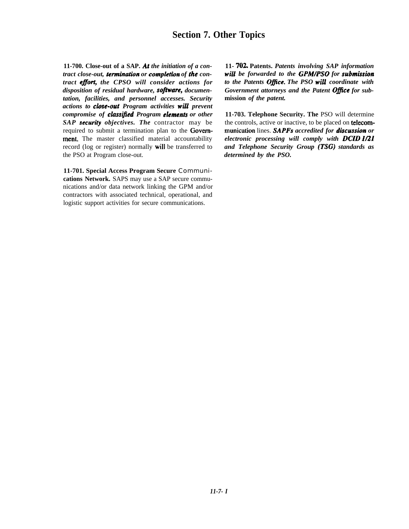### **Section 7. Other Topics**

**11-700. Close-out of a SAP.** *At the initiation of a contract close-out, termination or completion of the contract effort, the CPSO will consider actions for* disposition of residual hardware, software, documen*tation, facilities, and personnel accesses. Security actions to dose.out Program activities wiU prevent compromise of class@ed Program ekments or other* **SAP security objectives. The contractor may be** required to submit a termination plan to the **Govern**ment. The master classified material accountability record (log or register) normally will be transferred to the PSO at Program close-out.

**11- 70Z Patents.** *Patents involving SAP information will be forwarded to the GPMIPSO for submisswn to the Patents Oflce. The PSO wiU coordinate with Government attorneys and the Patent Ofice for sub***mission** *of the patent.*

**11-703. Telephone Security. The** PSO will determine the controls, active or inactive, to be placed on **telecom**munication lines. **SAPFs** accredited for **discussion** or *electronic processing will comply with DCID 1/21 and Telephone Security Group (TSG) standards as determined by the PSO.*

**11-701. Special Access Program Secure** Communi**cations Network.** SAPS may use a SAP secure communications and/or data network linking the GPM and/or contractors with associated technical, operational, and logistic support activities for secure communications.

### *11-7- I*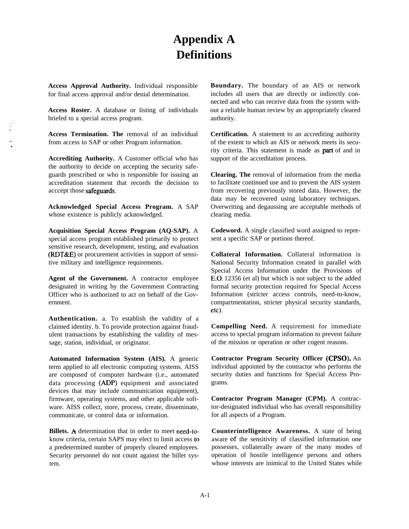## **Appendix A Definitions**

**Access Approval Authority.** Individual responsible for final access approval and/or denial determination.

**Accrediting Authority.** A Customer official who has the authority to decide on accepting the security safeguards prescribed or who is responsible for issuing an accreditation statement that records the decision to acccept those safeguards.

**Access Roster.** A database or listing of individuals briefed to a special access program.

**Access Termination. The** removal of an individual from access to SAP or other Program information.

**Acknowledged Special Access Program.** A SAP whose existence is publicly acknowledged.

**Acquisition Special Access Program (AQ-SAP).** A special access program established primarily to protect sensitive research, development, testing, and evaluation (RDT&E) or procurement activities in support of sensitive military and intelligence requirements.

**Agent of the Government.** A contractor employee designated in writing by the Government Contracting Officer who is authorized to act on behalf of the Government.

**Authentication.** a. To establish the validity of a claimed identity. b. To provide protection against fraudulent transactions by establishing the validity of message, station, individual, or originator.

**Automated Information System (AIS).** A generic term applied to all electronic computing systems. AISS are composed of computer hardware (i.e., automated data processing (ADP) equipment and associated devices that may include communication equipment), firmware, operating systems, and other applicable software. AISS collect, store, process, create, disseminate, communicate, or control data or information.

**Billets. A** determination that in order to meet need-toknow criteria, certain SAPS may elect to limit access to a predetermined number of properly cleared employees. Security personnel do not count against the billet system.

**Boundary.** The boundary of an AIS or network includes all users that are directly or indirectly connected and who can receive data from the system without a reliable human review by an appropriately cleared authority.

**Certification.** A statement to an accrediting authority of the extent to which an AIS or network meets its security criteria. This statement is made as **part** of and in support of the accreditation process.

**Clearing. The** removal of information from the media to facilitate continued use and to prevent the AIS system from recovering previously stored data. However, the data may be recovered using laboratory techniques. Overwriting and degaussing are acceptable methods of clearing media.

**Codeword.** A single classified word assigned to represent a specific SAP or portions thereof.

**Collateral Information.** Collateral information is National Security Information created in parallel with Special Access Information under the Provisions of E.O. 12356 (et al) but which is not subject to the added formal security protection required for Special Access Information (stricter access controls, need-to-know, compartmentation, stricter physical security standards, etc).

**Compelling Need.** A requirement for immediate access to special program information to prevent failure of the mission or operation or other cogent reasons.

**Contractor Program Security Officer (CPSO).** An individual appointed by the contractor who performs the security duties and functions for Special Access Programs.

**Contractor Program Manager (CPM).** A contrac-

tor-designated individual who has overall responsibility for all aspects of a Program.

**Counterintelligence Awareness.** A state of being aware of the sensitivity of classified information one possesses, collaterally aware of the many modes of operation of hostile intelligence persons and others whose interests are inimical to the United States while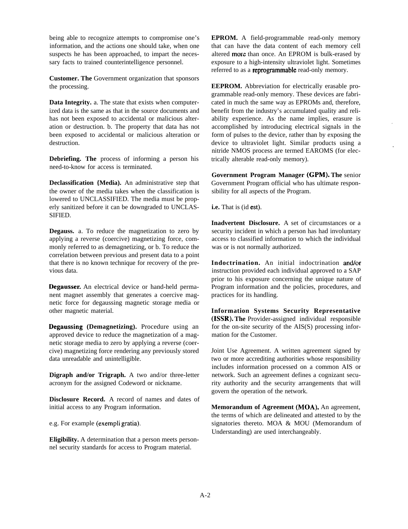being able to recognize attempts to compromise one's information, and the actions one should take, when one suspects he has been approached, to impart the necessary facts to trained counterintelligence personnel.

**Customer. The** Government organization that sponsors the processing.

**Data Integrity.** a. The state that exists when computerized data is the same as that in the source documents and has not been exposed to accidental or malicious alteration or destruction. b. The property that data has not been exposed to accidental or malicious alteration or destruction.

**Debriefing. The** process of informing a person his need-to-know for access is terminated.

**Declassification {Media).** An administrative step that the owner of the media takes when the classification is lowered to UNCLASSIFIED. The media must be properly sanitized before it can be downgraded to UNCLAS-SIFIED.

**EPROM.** A field-programmable read-only memory that can have the data content of each memory cell altered more than once. An EPROM is bulk-erased by exposure to a high-intensity ultraviolet light. Sometimes referred to as a **reprogrammable** read-only memory.

**Degauss.** a. To reduce the magnetization to zero by applying a reverse (coercive) magnetizing force, commonly referred to as demagnetizing, or b. To reduce the correlation between previous and present data to a point that there is no known technique for recovery of the previous data.

**Degausser.** An electrical device or hand-held permanent magnet assembly that generates a coercive magnetic force for degaussing magnetic storage media or other magnetic material.

**Degaussing (Demagnetizing).** Procedure using an approved device to reduce the magnetization of a magnetic storage media to zero by applying a reverse (coercive) magnetizing force rendering any previously stored data unreadable and unintelligible.

**Indoctrination.** An initial indoctrination and/or instruction provided each individual approved to a SAP prior to his exposure concerning the unique nature of Program information and the policies, procedures, and practices for its handling.

**Digraph and/or Trigraph.** A two and/or three-letter acronym for the assigned Codeword or nickname.

**Disclosure Record.** A record of names and dates of

initial access to any Program information.

e.g. For example (exempli gratia).

**EEPROM.** Abbreviation for electrically erasable programmable read-only memory. These devices are fabricated in much the same way as EPROMs and, therefore, benefit from the industry's accumulated quality and reliability experience. As the name implies, erasure is accomplished by introducing electrical signals in the form of pulses to the device, rather than by exposing the device to ultraviolet light. Similar products using a nitride NMOS process are termed EAROMS (for electrically alterable read-only memory).

**Government Program Manager (GPM). The** senior Government Program official who has ultimate responsibility for all aspects of the Program.

**i.e.** That is (id est).

**Inadvertent Disclosure.** A set of circumstances or a security incident in which a person has had involuntary access to classified information to which the individual was or is not normally authorized.

**Information Systems Security Representative (ISSR). The** Provider-assigned individual responsible for the on-site security of the AIS(S) processing information for the Customer.

Joint Use Agreement. A written agreement signed by two or more accrediting authorities whose responsibility includes information processed on a common AIS or network. Such an agreement defines a cognizant security authority and the security arrangements that will govern the operation of the network.

**Memorandum of Agreement (MOA).** An agreement, the terms of which are delineated and attested to by the signatories thereto. MOA & MOU (Memorandum of Understanding) are used interchangeably.

**Eligibility.** A determination that a person meets personnel security standards for access to Program material.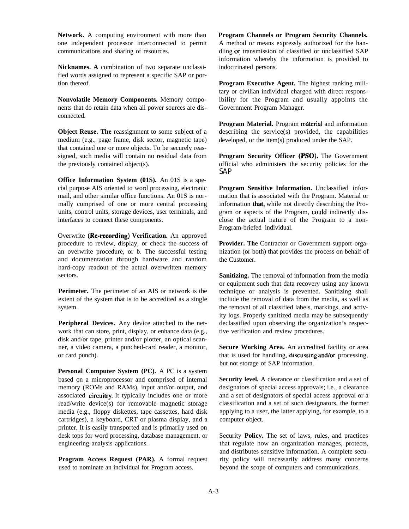**Network.** A computing environment with more than one independent processor interconnected to permit communications and sharing of resources.

**Nicknames. A** combination of two separate unclassified words assigned to represent a specific SAP or portion thereof.

**Nonvolatile Memory Components.** Memory components that do retain data when all power sources are disconnected.

**Object Reuse. The** reassignment to some subject of a medium (e.g., page frame, disk sector, magnetic tape) that contained one or more objects. To be securely reassigned, such media will contain no residual data from the previously contained object(s).

**Office Information System (01S).** An 01S is a special purpose AIS oriented to word processing, electronic mail, and other similar office functions. An 01S is normally comprised of one or more central processing units, control units, storage devices, user terminals, and interfaces to connect these components.

Overwrite **(Re-recording) Verification.** An approved procedure to review, display, or check the success of an overwrite procedure, or b. The successful testing and documentation through hardware and random hard-copy readout of the actual overwritten memory sectors.

**Perimeter.** The perimeter of an AIS or network is the extent of the system that is to be accredited as a single system.

**Program Material.** Program material and information describing the service(s) provided, the capabilities developed, or the item(s) produced under the SAP.

**Peripheral Devices.** Any device attached to the network that can store, print, display, or enhance data (e.g., disk and/or tape, printer and/or plotter, an optical scanner, a video camera, a punched-card reader, a monitor, or card punch).

**Personal Computer System (PC).** A PC is a system based on a microprocessor and comprised of internal memory (ROMs and RAMs), input and/or output, and associated circuitry. It typically includes one or more read/write device(s) for removable magnetic storage media (e.g., floppy diskettes, tape cassettes, hard disk cartridges), a keyboard, CRT or plasma display, and a printer. It is easily transported and is primarily used on desk tops for word processing, database management, or engineering analysis applications.

**Secure Working Area.** An accredited facility or area that is used for handling, discussing and/or processing, but not storage of SAP information.

**Program Access Request (PAR).** A formal request used to nominate an individual for Program access.

**Program Channels or Program Security Channels.** A method or means expressly authorized for the handling or transmission of classified or unclassified SAP information whereby the information is provided to indoctrinated persons.

**Program Executive Agent.** The highest ranking military or civilian individual charged with direct responsibility for the Program and usually appoints the Government Program Manager.

**Program Security Officer (PSO).** The Government official who administers the security policies for the SAP

**Program Sensitive Information.** Unclassified information that is associated with the Program. Material or information **that**, while not directly describing the Program or aspects of the Program, could indirectly disclose the actual nature of the Program to a non-Program-briefed individual.

**Provider. The** Contractor or Government-support organization (or both) that provides the process on behalf of the Customer.

**Sanitizing.** The removal of information from the media or equipment such that data recovery using any known technique or analysis is prevented. Sanitizing shall include the removal of data from the media, as well as the removal of all classified labels, markings, and activity logs. Properly sanitized media may be subsequently declassified upon observing the organization's respective verification and review procedures.

**Security level.** A clearance or classification and a set of designators of special access approvals; i.e., a clearance and a set of designators of special access approval or a

classification and a set of such designators, the former applying to a user, the latter applying, for example, to a computer object.

Security **Policy.** The set of laws, rules, and practices that regulate how an organization manages, protects, and distributes sensitive information. A complete security policy will necessarily address many concerns beyond the scope of computers and communications.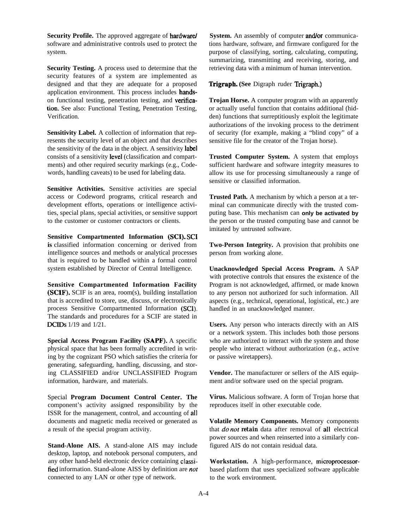**Security Profile.** The approved aggregate of **hardware/** software and administrative controls used to protect the system.

**Security Testing.** A process used to determine that the security features of a system are implemented as designed and that they are adequate for a proposed application environment. This process includes handson functional testing, penetration testing, and venfication. See also: Functional Testing, Penetration Testing, Verification.

**Sensitivity Label.** A collection of information that represents the security level of an object and that describes the sensitivity of the data in the object. A sensitivity label consists of a sensitivity level (classification and compartments) and other required security markings (e.g., Codewords, handling caveats) to be used for labeling data.

**Sensitive Activities.** Sensitive activities are special access or Codeword programs, critical research and development efforts, operations or intelligence activities, special plans, special activities, or sensitive support to the customer or customer contractors or clients.

**Sensitive Compartmented Information (SCI). SCI is** classified information concerning or derived from intelligence sources and methods or analytical processes that is required to be handled within a formal control system established by Director of Central Intelligence.

**System.** An assembly of computer **and/or** communications hardware, software, and firmware configured for the purpose of classifying, sorting, calculating, computing, summarizing, transmitting and receiving, storing, and retrieving data with a minimum of human intervention.

**Sensitive Compartmented Information Facility (SCIF).** SCIF is an area, room(s), building installation that is accredited to store, use, discuss, or electronically process Sensitive Compartmented Information (SCI). The standards and procedures for a SCIF are stated in DCIDS 1/19 and 1/21.

**Special Access Program Facility (SAPF).** A specific physical space that has been formally accredited in writing by the cognizant PSO which satisfies the criteria for generating, safeguarding, handling, discussing, and storing CLASSIFIED and/or UNCLASSIFIED Program information, hardware, and materials.

Special **Program Document Control Center. The**

component's activity assigned responsibility by the ISSR for the management, control, and accounting of all documents and magnetic media received or generated as a result of the special program activity.

**Stand-Alone AIS.** A stand-alone AIS may include desktop, laptop, and notebook personal computers, and any other hand-held electronic device containing classified information. Stand-alone AISS by definition are not connected to any LAN or other type of network.

## **Trigraph. (See** Digraph ruder Trigraph.)

**Trojan Horse.** A computer program with an apparently or actually useful function that contains additional (hidden) functions that surreptitiously exploit the legitimate authorizations of the invoking process to the detriment of security (for example, making a "blind copy" of a sensitive file for the creator of the Trojan horse).

**Trusted Computer System.** A system that employs sufficient hardware and software integrity measures to allow its use for processing simultaneously a range of sensitive or classified information.

**Trusted Path.** A mechanism by which a person at a terminal can communicate directly with the trusted computing base. This mechanism can **only be activated by** the person or the trusted computing base and cannot be imitated by untrusted software.

**Two-Person Integrity.** A provision that prohibits one person from working alone.

**Unacknowledged Special Access Program.** A SAP with protective controls that ensures the existence of the Program is not acknowledged, affirmed, or made known to any person not authorized for such information. All aspects (e.g., technical, operational, logistical, etc.) are handled in an unacknowledged manner.

**Users.** Any person who interacts directly with an AIS or a network system. This includes both those persons who are authorized to interact with the system and those people who interact without authorization (e.g., active or passive wiretappers).

**Vendor.** The manufacturer or sellers of the AIS equipment and/or software used on the special program.

**Virus.** Malicious software. A form of Trojan horse that

reproduces itself in other executable code.

**Volatile Memory Components.** Memory components that do not *retain* data after removal of all electrical power sources and when reinserted into a similarly configured AIS do not contain residual data.

**Workstation.** A high-performance, microprocessorbased platform that uses specialized software applicable to the work environment.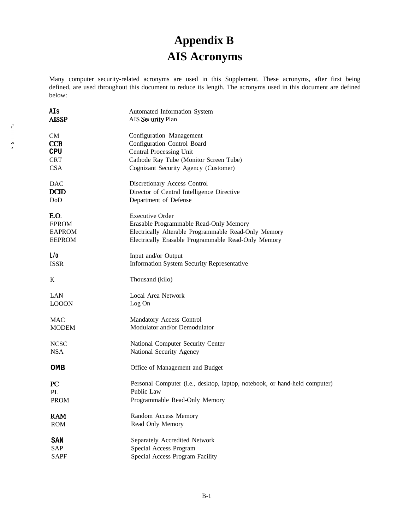# **Appendix B AIS Acronyms**

Many computer security-related acronyms are used in this Supplement. These acronyms, after first being defined, are used throughout this document to reduce its length. The acronyms used in this document are defined below:

| <b>Automated Information System</b>                                        |
|----------------------------------------------------------------------------|
| AIS See urity Plan                                                         |
| Configuration Management                                                   |
| <b>Configuration Control Board</b>                                         |
| <b>Central Processing Unit</b>                                             |
| Cathode Ray Tube (Monitor Screen Tube)                                     |
| Cognizant Security Agency (Customer)                                       |
| Discretionary Access Control                                               |
| Director of Central Intelligence Directive                                 |
| Department of Defense                                                      |
| <b>Executive Order</b>                                                     |
| Erasable Programmable Read-Only Memory                                     |
| Electrically Alterable Programmable Read-Only Memory                       |
| Electrically Erasable Programmable Read-Only Memory                        |
| Input and/or Output                                                        |
| <b>Information System Security Representative</b>                          |
| Thousand (kilo)                                                            |
| <b>Local Area Network</b>                                                  |
| Log On                                                                     |
| <b>Mandatory Access Control</b>                                            |
| Modulator and/or Demodulator                                               |
| <b>National Computer Security Center</b>                                   |
| <b>National Security Agency</b>                                            |
| Office of Management and Budget                                            |
| Personal Computer (i.e., desktop, laptop, notebook, or hand-held computer) |
| Public Law                                                                 |
| Programmable Read-Only Memory                                              |
|                                                                            |

 $\boldsymbol{\gamma}^t$ 

 $\ddot{\phantom{0}}$  $\blacktriangleleft$ 

| <b>FINUM</b> | Frogrammatic Read-Only Memory          |
|--------------|----------------------------------------|
| <b>RAM</b>   | Random Access Memory                   |
| <b>ROM</b>   | Read Only Memory                       |
| <b>SAN</b>   | Separately Accredited Network          |
| <b>SAP</b>   | Special Access Program                 |
| <b>SAPF</b>  | <b>Special Access Program Facility</b> |

B-1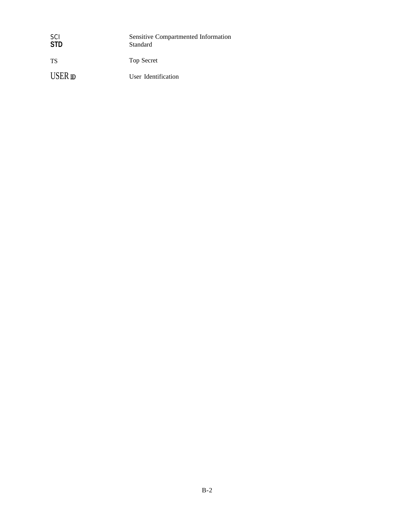| <b>SCI</b><br><b>STD</b> | <b>Sensitive Compartmented Information</b><br><b>Standard</b> |
|--------------------------|---------------------------------------------------------------|
| <b>TS</b>                | Top Secret                                                    |
| USER <sub>ID</sub>       | User Identification                                           |

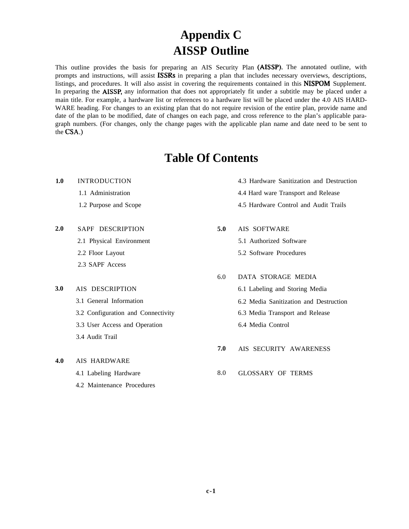## **Appendix C AISSP Outline**

This outline provides the basis for preparing an AIS Security Plan (AISSP). The annotated outline, with prompts and instructions, will assist ISSRS in preparing a plan that includes necessary overviews, descriptions, listings, and procedures. It will also assist in covering the requirements contained in this NISPOM Supplement. In preparing the AISSP, any information that does not appropriately fit under a subtitle may be placed under a main title. For example, a hardware list or references to a hardware list will be placed under the 4.0 AIS HARD-WARE heading. For changes to an existing plan that do not require revision of the entire plan, provide name and date of the plan to be modified, date of changes on each page, and cross reference to the plan's applicable paragraph numbers. (For changes, only the change pages with the applicable plan name and date need to be sent to the CSA.)

## **Table Of Contents**

**1.0** 

**4.0** 

| 1.0 | <b>INTRODUCTION</b>                |     | 4.3 Hardware Sanitization and Destruction |  |
|-----|------------------------------------|-----|-------------------------------------------|--|
|     | 1.1 Administration                 |     | 4.4 Hard ware Transport and Release       |  |
|     | 1.2 Purpose and Scope              |     | 4.5 Hardware Control and Audit Trails     |  |
|     |                                    |     |                                           |  |
| 2.0 | SAPF DESCRIPTION                   | 5.0 | AIS SOFTWARE                              |  |
|     | 2.1 Physical Environment           |     | 5.1 Authorized Software                   |  |
|     | 2.2 Floor Layout                   |     | 5.2 Software Procedures                   |  |
|     | 2.3 SAPF Access                    |     |                                           |  |
|     |                                    | 6.0 | DATA STORAGE MEDIA                        |  |
| 3.0 | AIS DESCRIPTION                    |     | 6.1 Labeling and Storing Media            |  |
|     | 3.1 General Information            |     | 6.2 Media Sanitization and Destruction    |  |
|     | 3.2 Configuration and Connectivity |     | 6.3 Media Transport and Release           |  |
|     | 3.3 User Access and Operation      |     | 6.4 Media Control                         |  |
|     | 3.4 Audit Trail                    |     |                                           |  |
|     |                                    | 7.0 | AIS SECURITY AWARENESS                    |  |
| 4.0 | AIS HARDWARE                       |     |                                           |  |
|     | 4.1 Labeling Hardware              | 8.0 | <b>GLOSSARY OF TERMS</b>                  |  |
|     | 4.2 Maintenance Procedures         |     |                                           |  |

### **c-1**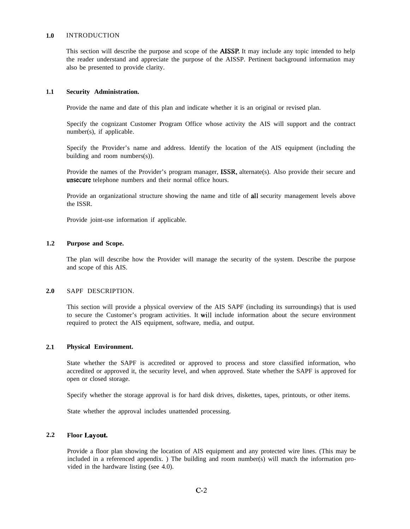#### **1.0** INTRODUCTION

This section will describe the purpose and scope of the **AISSP**. It may include any topic intended to help the reader understand and appreciate the purpose of the AISSP. Pertinent background information may also be presented to provide clarity.

#### **1.1 Security Administration.**

Specify the cognizant Customer Program Office whose activity the AIS will support and the contract number(s), if applicable.

Provide the name and date of this plan and indicate whether it is an original or revised plan.

#### **1.2 Purpose and Scope.**

#### **2.0** SAPF DESCRIPTION.

Specify the Provider's name and address. Identify the location of the AIS equipment (including the building and room numbers(s)).

#### **2.1 Physical Environment.**

Provide the names of the Provider's program manager, ISSR, alternate(s). Also provide their secure and unsecure telephone numbers and their normal office hours.

Provide an organizational structure showing the name and title of all security management levels above the ISSR.

#### **2.2 Floor J.ayout.**

Provide joint-use information if applicable.

The plan will describe how the Provider will manage the security of the system. Describe the purpose and scope of this AIS.

This section will provide a physical overview of the AIS SAPF (including its surroundings) that is used to secure the Customer's program activities. It will include information about the secure environment required to protect the AIS equipment, software, media, and output.

State whether the SAPF is accredited or approved to process and store classified information, who accredited or approved it, the security level, and when approved. State whether the SAPF is approved for open or closed storage.

Specify whether the storage approval is for hard disk drives, diskettes, tapes, printouts, or other items.

State whether the approval includes unattended processing.

Provide a floor plan showing the location of AIS equipment and any protected wire lines. (This may be included in a referenced appendix. ) The building and room number(s) will match the information provided in the hardware listing (see 4.0).

 $C-2$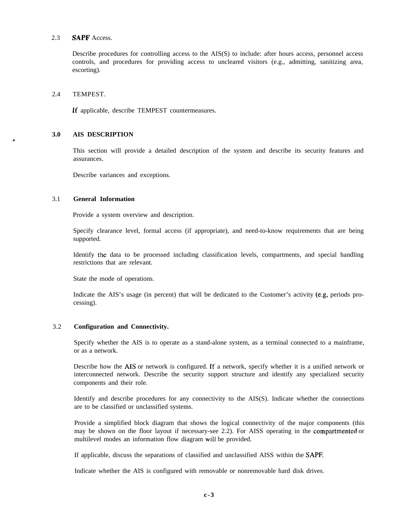### 2.3 SAPF Access.

Describe procedures for controlling access to the AIS(S) to include: after hours access, personnel access controls, and procedures for providing access to uncleared visitors (e.g., admitting, sanitizing area, escorting).

### 2.4 TEMPEST.

If applicable, describe TEMPEST countermeasures.

### **3.0 AIS DESCRIPTION**

'

This section will provide a detailed description of the system and describe its security features and assurances.

Describe variances and exceptions.

#### 3.1 **General Information**

Provide a system overview and description.

Specify clearance level, formal access (if appropriate), and need-to-know requirements that are being supported.

Identify the data to be processed including classification levels, compartments, and special handling restrictions that are relevant.

State the mode of operations.

Indicate the AIS's usage (in percent) that will be dedicated to the Customer's activity (e.g, periods processing).

#### 3.2 **Configuration and Connectivity.**

Specify whether the AIS is to operate as a stand-alone system, as a terminal connected to a mainframe, or as a network.

Describe how the AIS or network is configured. If a network, specify whether it is a unified network or interconnected network. Describe the security support structure and identify any specialized security components and their role.

Identify and describe procedures for any connectivity to the AIS(S). Indicate whether the connections

are to be classified or unclassified systems.

Provide a simplified block diagram that shows the logical connectivity of the major components (this may be shown on the floor layout if necessary-see 2.2). For AISS operating in the compartmented or multilevel modes an information flow diagram wili be provided.

If applicable, discuss the separations of classified and unclassified AISS within the SAPF.

Indicate whether the AIS is configured with removable or nonremovable hard disk drives.

**c-3**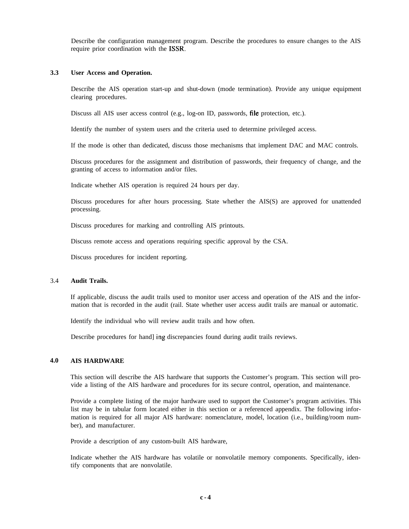Describe the configuration management program. Describe the procedures to ensure changes to the AIS require prior coordination with the ISSR.

#### **3.3 User Access and Operation.**

Describe the AIS operation start-up and shut-down (mode termination). Provide any unique equipment clearing procedures.

Discuss all AIS user access control (e.g., log-on ID, passwords, file protection, etc.).

Identify the number of system users and the criteria used to determine privileged access.

If the mode is other than dedicated, discuss those mechanisms that implement DAC and MAC controls.

Discuss procedures for the assignment and distribution of passwords, their frequency of change, and the granting of access to information and/or files.

Indicate whether AIS operation is required 24 hours per day.

Discuss procedures for after hours processing. State whether the AIS(S) are approved for unattended processing.

Discuss procedures for marking and controlling AIS printouts.

Discuss remote access and operations requiring specific approval by the CSA.

Discuss procedures for incident reporting.

#### 3.4 **Audit Trails.**

If applicable, discuss the audit trails used to monitor user access and operation of the AIS and the information that is recorded in the audit (rail. State whether user access audit trails are manual or automatic.

Identify the individual who will review audit trails and how often.

Describe procedures for hand] ing discrepancies found during audit trails reviews.

#### **4.0 AIS HARDWARE**

This section will describe the AIS hardware that supports the Customer's program. This section will provide a listing of the AIS hardware and procedures for its secure control, operation, and maintenance.

Provide a complete listing of the major hardware used to support the Customer's program activities. This list may be in tabular form located either in this section or a referenced appendix. The following information is required for all major AIS hardware: nomenclature, model, location (i.e., building/room number), and manufacturer.

Provide a description of any custom-built AIS hardware,

Indicate whether the AIS hardware has volatile or nonvolatile memory components. Specifically, identify components that are nonvolatile.

**c - 4**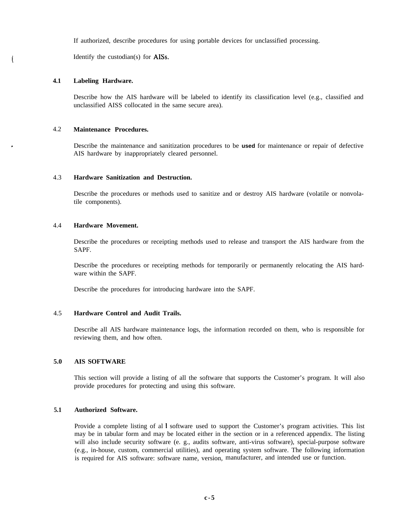.

If authorized, describe procedures for using portable devices for unclassified processing.

Identify the custodian(s) for AISS.

#### **4.1 Labeling Hardware.**

Describe how the AIS hardware will be labeled to identify its classification level (e.g., classified and unclassified AISS collocated in the same secure area).

#### 4.2 **Maintenance Procedures.**

Describe the maintenance and sanitization procedures to be **used** for maintenance or repair of defective AIS hardware by inappropriately cleared personnel.

#### 4.3 **Hardware Sanitization and Destruction.**

Describe the procedures or methods used to sanitize and or destroy AIS hardware (volatile or nonvolatile components).

#### 4.4 **Hardware Movement.**

Describe the procedures or receipting methods used to release and transport the AIS hardware from the SAPF.

Describe the procedures or receipting methods for temporarily or permanently relocating the AIS hardware within the SAPF.

Describe the procedures for introducing hardware into the SAPF.

#### 4.5 **Hardware Control and Audit Trails.**

Describe all AIS hardware maintenance logs, the information recorded on them, who is responsible for reviewing them, and how often.

#### **5.0 AIS SOFTWARE**

This section will provide a listing of all the software that supports the Customer's program. It will also provide procedures for protecting and using this software.

#### **5.1 Authorized Software.**

Provide a complete listing of al I software used to support the Customer's program activities. This list may be in tabular form and may be located either in the section or in a referenced appendix. The listing will also include security software (e. g., audits software, anti-virus software), special-purpose software (e.g., in-house, custom, commercial utilities), and operating system software. The following information is required for AIS software: software name, version, manufacturer, and intended use or function.

**c - 5**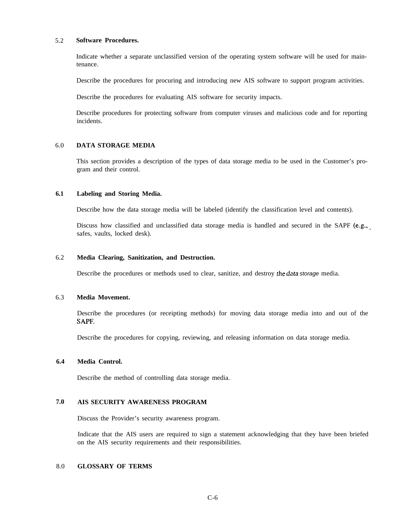#### 5.2 **Software Procedures.**

Indicate whether a separate unclassified version of the operating system software will be used for maintenance.

Describe the procedures for procuring and introducing new AIS software to support program activities.

Describe the procedures for evaluating AIS software for security impacts.

Describe procedures for protecting software from computer viruses and malicious code and for reporting incidents.

Discuss how classified and unclassified data storage media is handled and secured in the SAPF (e.g., safes, vaults, locked desk).

#### 6.0 **DATA STORAGE MEDIA**

This section provides a description of the types of data storage media to be used in the Customer's program and their control.

#### **6.1 Labeling and Storing Media.**

Describe how the data storage media will be labeled (identify the classification level and contents).

#### 6.2 **Media Clearing, Sanitization, and Destruction.**

Describe the procedures or methods used to clear, sanitize, and destroy the data storage media.

#### 6.3 **Media Movement.**

Describe the procedures (or receipting methods) for moving data storage media into and out of the SAPF.

Describe the procedures for copying, reviewing, and releasing information on data storage media.

#### **6.4 Media Control.**

Describe the method of controlling data storage media.

## **7.0 AIS SECURITY AWARENESS PROGRAM**

Discuss the Provider's security awareness program.

Indicate that the AIS users are required to sign a statement acknowledging that they have been briefed on the AIS security requirements and their responsibilities.

8.0 **GLOSSARY OF TERMS**

C-6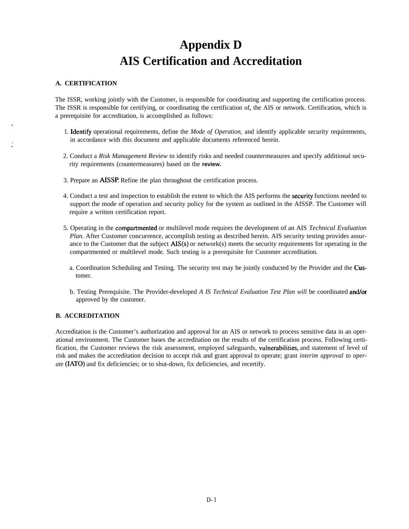# **Appendix D AIS Certification and Accreditation**

### **A. CERTIFICATION**

The ISSR, working jointly with the Customer, is responsible for coordinating and supporting the certification process. The ISSR is responsible for certifying, or coordinating the certification of, the AIS or network. Certification, which is a prerequisite for accreditation, is accomplished as follows:

- 1. **Identify** operational requirements, define the *Mode of Operation*, and identify applicable security requirements, in accordance with this document and applicable documents referenced herein.
- 2. Conduct a *Risk Management Review* to identify risks and needed countermeasures and specify additional security requirements (countermeasures) based on the **review.**
- 3. Prepare an AISSP. Refine the plan throughout the certification process.
- 4. Conduct a test and inspection to establish the extent to which the AIS performs the **security** functions needed to support the mode of operation and security policy for the system as outlined in the AISSP. The Customer will require a written certification report.
- 5. Operating in the compartmented or multilevel mode requires the development of an AIS *Technical Evaluation Plan.* After Customer concurrence, accomplish testing as described herein. AIS security testing provides assurance to the Customer that the subject  $\text{AIS}(s)$  or network(s) meets the security requirements for operating in the compartmented or multilevel mode. Such testing is a prerequisite for Customer accreditation.
	- a. Coordination Scheduling and Testing. The security test may be jointly conducted by the Provider and the CuStomer.
	- b. Testing Prerequisite. The Provider-developed *A IS Technical Evaluation Test Plan will* be coordinated **and/or** approved by the customer.

#### **B. ACCREDITATION**

Accreditation is the Customer's authorization and approval for an AIS or network to process sensitive data in an operational environment. The Customer bases the accreditation on the results of the certification process. Following certification, the Customer reviews the risk assessment, employed safeguards, vulnerabilities, and statement of level of risk and makes the accreditation decision to accept risk and grant approval to operate; grant *interim approval to operate* (IATO) and fix deficiencies; or to shut-down, fix deficiencies, and recertify.

### D- I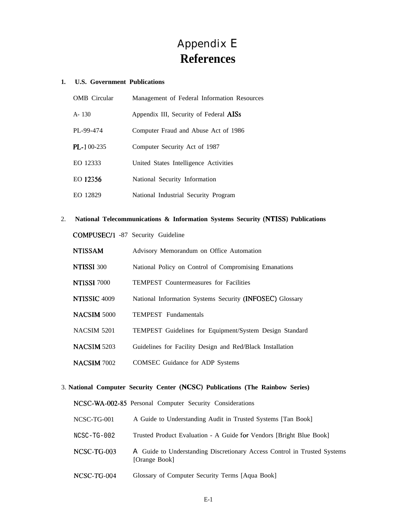# Appendix E **References**

### **1. U.S. Government Publications**

| <b>OMB</b> Circular | Management of Federal Information Resources |
|---------------------|---------------------------------------------|
| $A - 130$           | Appendix III, Security of Federal AISs      |
| PL-99-474           | Computer Fraud and Abuse Act of 1986        |
| $PL-100-235$        | Computer Security Act of 1987               |
| EO 12333            | United States Intelligence Activities       |
| EO 12356            | National Security Information               |
| EO 12829            | National Industrial Security Program        |

2. **National Telecommunications & Information Systems Security (NTISS) Publications**

COMPUSEC/1 -87 Security Guideline

- NTISSAM Advisory Memorandum on Office Automation
- NTISSI 300 National Policy on Control of Compromising Emanations
- NTISSI 7000 TEMPEST Countermeasures for Facilities
- NTISSIC 4009 National Information Systems Security (INFOSEC) Glossary
- NACSIM 5000 TEMPEST Fundamentals
- NACSIM 5201 TEMPEST Guidelines for Equipment/System Design Standard
- NACSIM 5203 Guidelines for Facility Design and Red/Black Installation
- NACSIM 7002 COMSEC Guidance for ADP Systems
- 3. **National Computer Security Center (NCSC) Publications (The Rainbow Series)**

NCSC-WA-002-85 Personal Computer Security Considerations

- NCSC-TG-001 A Guide to Understanding Audit in Trusted Systems [Tan Book]
- NCSC-TG-002 Trusted Product Evaluation A Guide for Vendors [Bright Blue Book]
- NCSC-TG-003 A Guide to Understanding Discretionary Access Control in Trusted Systems [Orange Book]
- NCSC-TG-004 Glossary of Computer Security Terms [Aqua Book]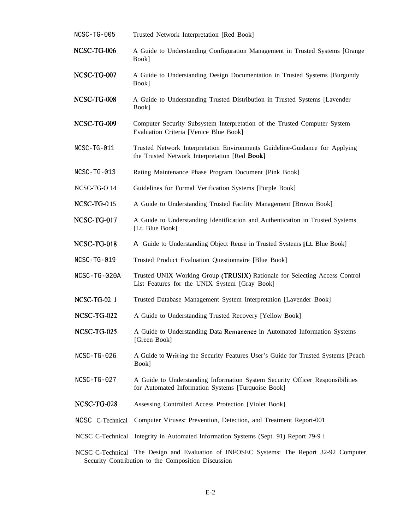- NCSC-TG-005 Trusted Network Interpretation [Red Book]
- NCSC-TG-006 A Guide to Understanding Configuration Management in Trusted Systems [Orange Book]
- NCSC-TG-007 A Guide to Understanding Design Documentation in Trusted Systems [Burgundy Book]
- NCSC-TG-008 A Guide to Understanding Trusted Distribution in Trusted Systems [Lavender Book]
- NCSC-TG-009 Computer Security Subsystem Interpretation of the Trusted Computer System Evaluation Criteria [Venice Blue Book]
- NCSC-TG-011 Trusted Network Interpretation Environments Guideline-Guidance for Applying the Trusted Network Interpretation [Red Book]
- NCSC-TG-013 Rating Maintenance Phase Program Document [Pink Book]
- NCSC-TG-O 14 Guidelines for Formal Verification Systems [Purple Book]
- NCSC-TG-O 15 A Guide to Understanding Trusted Facility Management [Brown Book]
- NCSC-TG-017 A Guide to Understanding Identification and Authentication in Trusted Systems [Lt. Blue Book]
- NCSC-TG-018 A Guide to Understanding Object Reuse in Trusted Systems [Lt. Blue Book]
- NCSC-TG-019 Trusted Product Evaluation Questionnaire [Blue Book]
- NCSC-TG-020A Trusted UNIX Working Group (TRUSIX) Rationale for Selecting Access Control List Features for the UNIX System [Gray Book]
- NCSC-TG-02 <sup>I</sup> Trusted Database Management System Interpretation [Lavender Book]
- NCSC-TG-022 A Guide to Understanding Trusted Recovery [Yellow Book]
- NCSC-TG-025 A Guide to Understanding Data Remanence in Automated Information Systems [Green Book]
- NCSC-TG-026 A Guide to Writing the Security Features User's Guide for Trusted Systems [Peach Book]
- NCSC-TG-027 A Guide to Understanding Information System Security Officer Responsibilities for Automated Information Systems [Turquoise Book]

#### NCSC-TG-028 Assessing Controlled Access Protection [Violet Book]

NCSC C-Technical Computer Viruses: Prevention, Detection, and Treatment Report-001

NCSC C-Technical Integrity in Automated Information Systems (Sept. 91) Report 79-9 i

NCSC C-Technical The Design and Evaluation of INFOSEC Systems: The Report 32-92 Computer Security Contribution to the Composition Discussion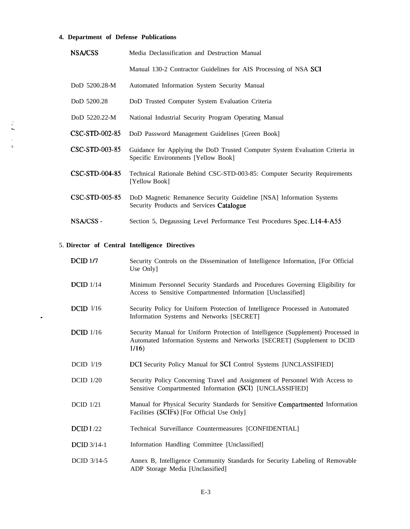## **4. Department of Defense Publications**

|                                                | <b>NSA/CSS</b>        | Media Declassification and Destruction Manual                                                                       |
|------------------------------------------------|-----------------------|---------------------------------------------------------------------------------------------------------------------|
|                                                |                       | Manual 130-2 Contractor Guidelines for AIS Processing of NSA SCI                                                    |
|                                                | DoD 5200.28-M         | Automated Information System Security Manual                                                                        |
|                                                | DoD 5200.28           | DoD Trusted Computer System Evaluation Criteria                                                                     |
|                                                | DoD 5220.22-M         | National Industrial Security Program Operating Manual                                                               |
|                                                | CSC-STD-002-85        | DoD Password Management Guidelines [Green Book]                                                                     |
|                                                | CSC-STD-003-85        | Guidance for Applying the DoD Trusted Computer System Evaluation Criteria in<br>Specific Environments [Yellow Book] |
|                                                | <b>CSC-STD-004-85</b> | Technical Rationale Behind CSC-STD-003-85: Computer Security Requirements<br>[Yellow Book]                          |
|                                                | CSC-STD-005-85        | DoD Magnetic Remanence Security Guideline [NSA] Information Systems<br>Security Products and Services Catalogue     |
|                                                | NSA/CSS-              | Section 5, Degaussing Level Performance Test Procedures Spec. L14-4-A55                                             |
| 5. Director of Central Intelligence Directives |                       |                                                                                                                     |

| DCID 1/7         | Security Controls on the Dissemination of Intelligence Information, [For Official<br>Use Only                                                                       |
|------------------|---------------------------------------------------------------------------------------------------------------------------------------------------------------------|
| DCID $1/14$      | Minimum Personnel Security Standards and Procedures Governing Eligibility for<br>Access to Sensitive Compartmented Information [Unclassified]                       |
| $DCID$ $1/16$    | Security Policy for Uniform Protection of Intelligence Processed in Automated<br>Information Systems and Networks [SECRET]                                          |
| $DCID$ 1/16      | Security Manual for Uniform Protection of Intelligence (Supplement) Processed in<br>Automated Information Systems and Networks [SECRET] (Supplement to DCID<br>1/16 |
| DCID $1/19$      | DCI Security Policy Manual for SCI Control Systems [UNCLASSIFIED]                                                                                                   |
| <b>DCID</b> 1/20 | Security Policy Concerning Travel and Assignment of Personnel With Access to<br>Sensitive Compartmented Information (SCI) [UNCLASSIFIED]                            |

 $\bullet$ 

- DCID 1/21 Manual for Physical Security Standards for Sensitive Compartmented Information Facilities (SCIFS) [For Official Use Only]
- DCID 1 /22 Technical Surveillance Countermeasures [CONFIDENTIAL]
- DCID 3/14-1 Information Handling Committee [Unclassified]
- DCID 3/14-5 Annex B, Intelligence Community Standards for Security Labeling of Removable ADP Storage Media [Unclassified]